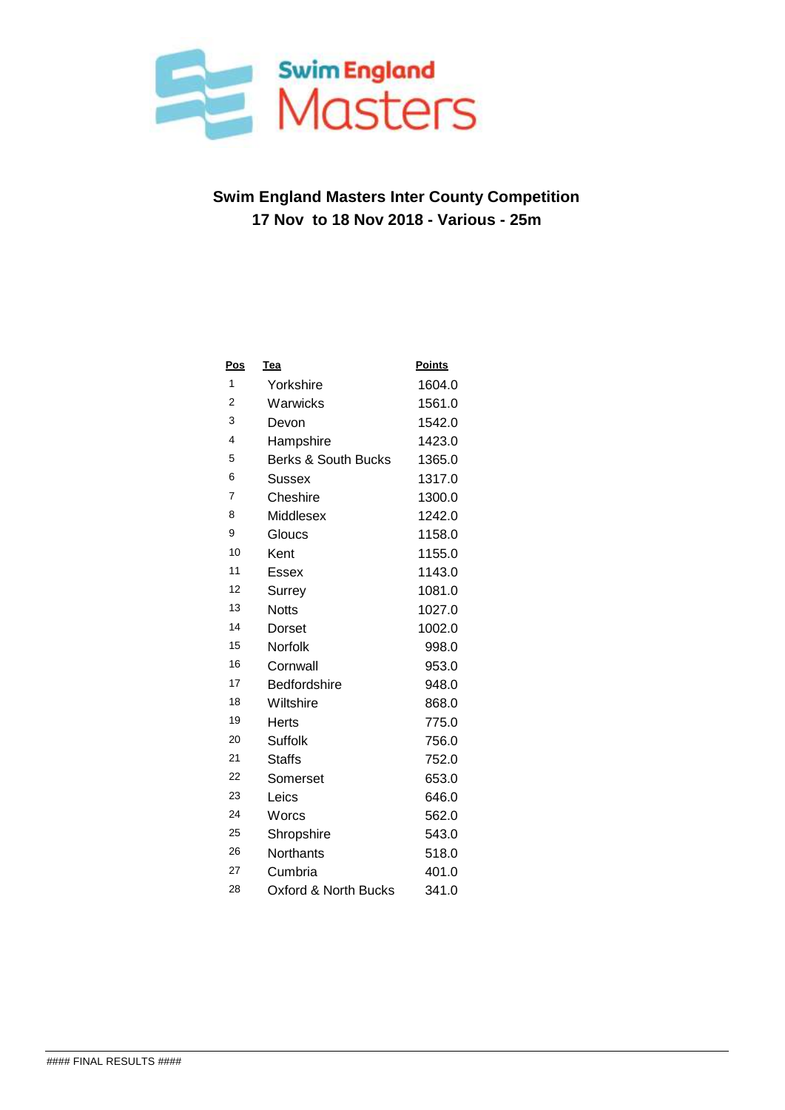

| <b>Pos</b>     | <b>Tea</b>                      | <b>Points</b> |
|----------------|---------------------------------|---------------|
| 1              | Yorkshire                       | 1604.0        |
| 2              | Warwicks                        | 1561.0        |
| 3              | Devon                           | 1542.0        |
| 4              | Hampshire                       | 1423.0        |
| 5              | <b>Berks &amp; South Bucks</b>  | 1365.0        |
| 6              | Sussex                          | 1317.0        |
| $\overline{7}$ | Cheshire                        | 1300.0        |
| 8              | Middlesex                       | 1242.0        |
| 9              | Gloucs                          | 1158.0        |
| 10             | Kent                            | 1155.0        |
| 11             | Essex                           | 1143.0        |
| 12             | Surrey                          | 1081.0        |
| 13             | <b>Notts</b>                    | 1027.0        |
| 14             | Dorset                          | 1002.0        |
| 15             | Norfolk                         | 998.0         |
| 16             | Cornwall                        | 953.0         |
| 17             | <b>Bedfordshire</b>             | 948.0         |
| 18             | Wiltshire                       | 868.0         |
| 19             | Herts                           | 775.0         |
| 20             | Suffolk                         | 756.0         |
| 21             | Staffs                          | 752.0         |
| 22             | Somerset                        | 653.0         |
| 23             | Leics                           | 646.0         |
| 24             | Worcs                           | 562.0         |
| 25             | Shropshire                      | 543.0         |
| 26             | Northants                       | 518.0         |
| 27             | Cumbria                         | 401.0         |
| 28             | <b>Oxford &amp; North Bucks</b> | 341.0         |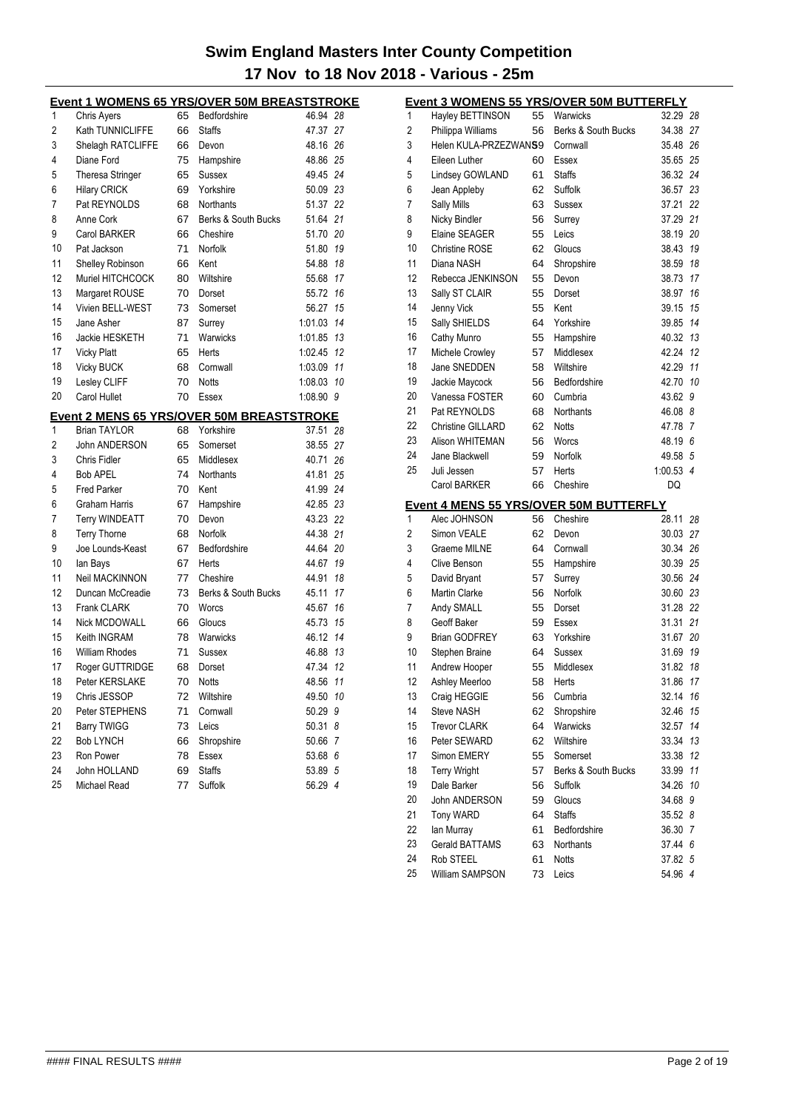|    | <b>Event 1 WOMENS 65 YRS/OVER 50M BREASTSTROKE</b> |    |                     |            |    |
|----|----------------------------------------------------|----|---------------------|------------|----|
| 1  | <b>Chris Avers</b>                                 | 65 | Bedfordshire        | 46.94 28   |    |
| 2  | Kath TUNNICLIFFE                                   | 66 | <b>Staffs</b>       | 47.37 27   |    |
| 3  | Shelagh RATCLIFFE                                  | 66 | Devon               | 48.16 26   |    |
| 4  | Diane Ford                                         | 75 | Hampshire           | 48.86 25   |    |
| 5  | <b>Theresa Stringer</b>                            | 65 | Sussex              | 49.45 24   |    |
| 6  | <b>Hilary CRICK</b>                                | 69 | Yorkshire           | 50.09 23   |    |
| 7  | Pat REYNOLDS                                       | 68 | Northants           | 51.37 22   |    |
| 8  | Anne Cork                                          | 67 | Berks & South Bucks | 51.64 21   |    |
| 9  | <b>Carol BARKER</b>                                | 66 | Cheshire            | 51.70 20   |    |
| 10 | Pat Jackson                                        | 71 | Norfolk             | 51.80      | 19 |
| 11 | <b>Shelley Robinson</b>                            | 66 | Kent                | 54.88      | 18 |
| 12 | Muriel HITCHCOCK                                   | 80 | Wiltshire           | 55.68 17   |    |
| 13 | Margaret ROUSE                                     | 70 | Dorset              | 55.72 16   |    |
| 14 | Vivien BELL-WEST                                   | 73 | Somerset            | 56.27 15   |    |
| 15 | Jane Asher                                         | 87 | Surrey              | 1:01.03    | 14 |
| 16 | Jackie HESKETH                                     | 71 | Warwicks            | 1:01.85 13 |    |
| 17 | <b>Vicky Platt</b>                                 | 65 | Herts               | 1:02.45    | 12 |
| 18 | Vicky BUCK                                         | 68 | Cornwall            | 1:03.09 11 |    |
| 19 | Lesley CLIFF                                       | 70 | <b>Notts</b>        | 1:08.03 10 |    |
| 20 | Carol Hullet                                       | 70 | Essex               | 1:08.90 9  |    |
|    | <b>Event 2 MENS 65 YRS/OVER 50M BREASTSTROKE</b>   |    |                     |            |    |
| 1  | <b>Brian TAYLOR</b>                                | 68 | Yorkshire           | 37.51 28   |    |
| 2  | John ANDERSON                                      | 65 | Somerset            | 38.55 27   |    |
| 3  | Chris Fidler                                       | 65 | Middlesex           | 40.71 26   |    |
| 4  | <b>Bob APEL</b>                                    | 74 | Northants           | 41.81 25   |    |
| 5  | <b>Fred Parker</b>                                 | 70 | Kent                | 41.99 24   |    |
| 6  | <b>Graham Harris</b>                               | 67 | Hampshire           | 42.85 23   |    |
| 7  | <b>Terry WINDEATT</b>                              | 70 | Devon               | 43.23 22   |    |
| 8  | <b>Terry Thorne</b>                                | 68 | Norfolk             | 44.38 21   |    |
| 9  | Joe Lounds-Keast                                   | 67 | Bedfordshire        | 44.64 20   |    |
| 10 | lan Bays                                           | 67 | Herts               | 44.67 19   |    |
| 11 | Neil MACKINNON                                     | 77 | Cheshire            | 44.91 18   |    |
| 12 | Duncan McCreadie                                   | 73 | Berks & South Bucks | 45.11 17   |    |
| 13 | <b>Frank CLARK</b>                                 | 70 | Worcs               | 45.67 16   |    |
| 14 | Nick MCDOWALL                                      | 66 | Gloucs              | 45.73 15   |    |
| 15 | Keith INGRAM                                       | 78 | Warwicks            | 46.12 14   |    |
| 16 | <b>William Rhodes</b>                              | 71 | Sussex              | 46.88 13   |    |
| 17 | Roger GUTTRIDGE                                    | 68 | Dorset              | 47.34      | 12 |
| 18 | Peter KERSLAKE                                     | 70 | Notts               | 48.56      | 11 |
| 19 | Chris JESSOP                                       | 72 | Wiltshire           | 49.50      | 10 |
| 20 | Peter STEPHENS                                     | 71 | Cornwall            | 50.29      | 9  |
| 21 | <b>Barry TWIGG</b>                                 | 73 | Leics               | 50.31      | 8  |
| 22 | Bob LYNCH                                          | 66 | Shropshire          | 50.66 7    |    |
| 23 | Ron Power                                          | 78 | Essex               | 53.68 6    |    |
| 24 | John HOLLAND                                       | 69 | <b>Staffs</b>       | 53.89 5    |    |
| 25 | Michael Read                                       | 77 | Suffolk             | 56.29 4    |    |
|    |                                                    |    |                     |            |    |

|                |                          |    | Event 3 WOMENS 55 YRS/OVER 50M BUTTERFLY           |           |    |
|----------------|--------------------------|----|----------------------------------------------------|-----------|----|
| 1              | Hayley BETTINSON         | 55 | Warwicks                                           | 32.29 28  |    |
| $\overline{c}$ | Philippa Williams        | 56 | Berks & South Bucks                                | 34.38     | 27 |
| 3              | Helen KULA-PRZEZWANS9    |    | Cornwall                                           | 35.48     | 26 |
| 4              | Eileen Luther            | 60 | Essex                                              | 35.65     | 25 |
| 5              | Lindsey GOWLAND          | 61 | <b>Staffs</b>                                      | 36.32     | 24 |
| 6              | Jean Appleby             | 62 | Suffolk                                            | 36.57     | 23 |
| 7              | <b>Sally Mills</b>       | 63 | Sussex                                             | 37.21     | 22 |
| 8              | Nicky Bindler            | 56 | Surrey                                             | 37.29     | 21 |
| 9              | Elaine SEAGER            | 55 | Leics                                              | 38.19     | 20 |
| 10             | <b>Christine ROSE</b>    | 62 | Gloucs                                             | 38.43     | 19 |
| 11             | Diana NASH               | 64 | Shropshire                                         | 38.59     | 18 |
| 12             | Rebecca JENKINSON        | 55 | Devon                                              | 38.73     | 17 |
| 13             | Sally ST CLAIR           | 55 | Dorset                                             | 38.97     | 16 |
| 14             | Jenny Vick               | 55 | Kent                                               | 39.15     | 15 |
| 15             | Sally SHIELDS            | 64 | Yorkshire                                          | 39.85     | 14 |
| 16             | Cathy Munro              | 55 | Hampshire                                          | 40.32     | 13 |
| 17             | Michele Crowley          | 57 | Middlesex                                          | 42.24     | 12 |
| 18             | Jane SNEDDEN             | 58 | Wiltshire                                          | 42.29     | 11 |
| 19             | Jackie Maycock           | 56 | Bedfordshire                                       | 42.70     | 10 |
| 20             | Vanessa FOSTER           | 60 | Cumbria                                            | 43.62     | 9  |
| 21             | Pat REYNOLDS             | 68 | Northants                                          | 46.08 8   |    |
| 22             | <b>Christine GILLARD</b> |    | <b>Notts</b>                                       | 47.78 7   |    |
| 23             | Alison WHITEMAN          | 62 |                                                    |           |    |
|                | Jane Blackwell           | 56 | Worcs                                              | 48.19 6   |    |
| 24             |                          | 59 | Norfolk                                            | 49.58 5   |    |
| 25             | Juli Jessen              | 57 | Herts                                              | 1:00.53 4 |    |
|                | <b>Carol BARKER</b>      | 66 | Cheshire                                           | DQ        |    |
|                | Alec JOHNSON             | 56 | Event 4 MENS 55 YRS/OVER 50M BUTTERFLY<br>Cheshire |           |    |
| 1              |                          |    |                                                    | 28.11     | 28 |
| $\overline{c}$ | Simon VEALE              | 62 | Devon                                              | 30.03     | 27 |
| 3              | Graeme MILNE             | 64 | Cornwall                                           | 30.34     | 26 |
| 4              | Clive Benson             | 55 | Hampshire                                          | 30.39     | 25 |
| 5              | David Bryant             | 57 | Surrey                                             | 30.56     | 24 |
| 6              | <b>Martin Clarke</b>     | 56 | Norfolk                                            | 30.60 23  |    |
| 7              | Andy SMALL               | 55 | Dorset                                             | 31.28 22  |    |
| 8              | Geoff Baker              | 59 | Essex                                              | 31.31     | 21 |
| 9              | <b>Brian GODFREY</b>     | 63 | Yorkshire                                          | 31.67     | 20 |
| 10             | Stephen Braine           | 64 | <b>Sussex</b>                                      | 31.69     | 19 |
| 11             | Andrew Hooper            | 55 | Middlesex                                          | 31.82     | 18 |
| 12             | Ashley Meerloo           | 58 | Herts                                              | 31.86 17  |    |
| 13             | Craig HEGGIE             | 56 | Cumbria                                            | 32.14 16  |    |
| 14             | Steve NASH               | 62 | Shropshire                                         | 32.46     | 15 |
| 15             | <b>Trevor CLARK</b>      | 64 | Warwicks                                           | 32.57     | 14 |
| 16             | Peter SEWARD             | 62 | Wiltshire                                          | 33.34     | 13 |
| 17             | Simon EMERY              | 55 | Somerset                                           | 33.38     | 12 |
| 18             | <b>Terry Wright</b>      | 57 | Berks & South Bucks                                | 33.99     | 11 |
| 19             | Dale Barker              | 56 | Suffolk                                            | 34.26     | 10 |
| 20             | John ANDERSON            | 59 | Gloucs                                             | 34.68     | 9  |
| 21             | Tony WARD                | 64 | <b>Staffs</b>                                      | 35.52 8   |    |
| 22             | lan Murray               | 61 | Bedfordshire                                       | 36.30     | 7  |
| 23             | <b>Gerald BATTAMS</b>    | 63 | Northants                                          | 37.44 6   |    |
| 24             | Rob STEEL                | 61 | <b>Notts</b>                                       | 37.82 5   |    |
| 25             | William SAMPSON          | 73 | Leics                                              | 54.96 4   |    |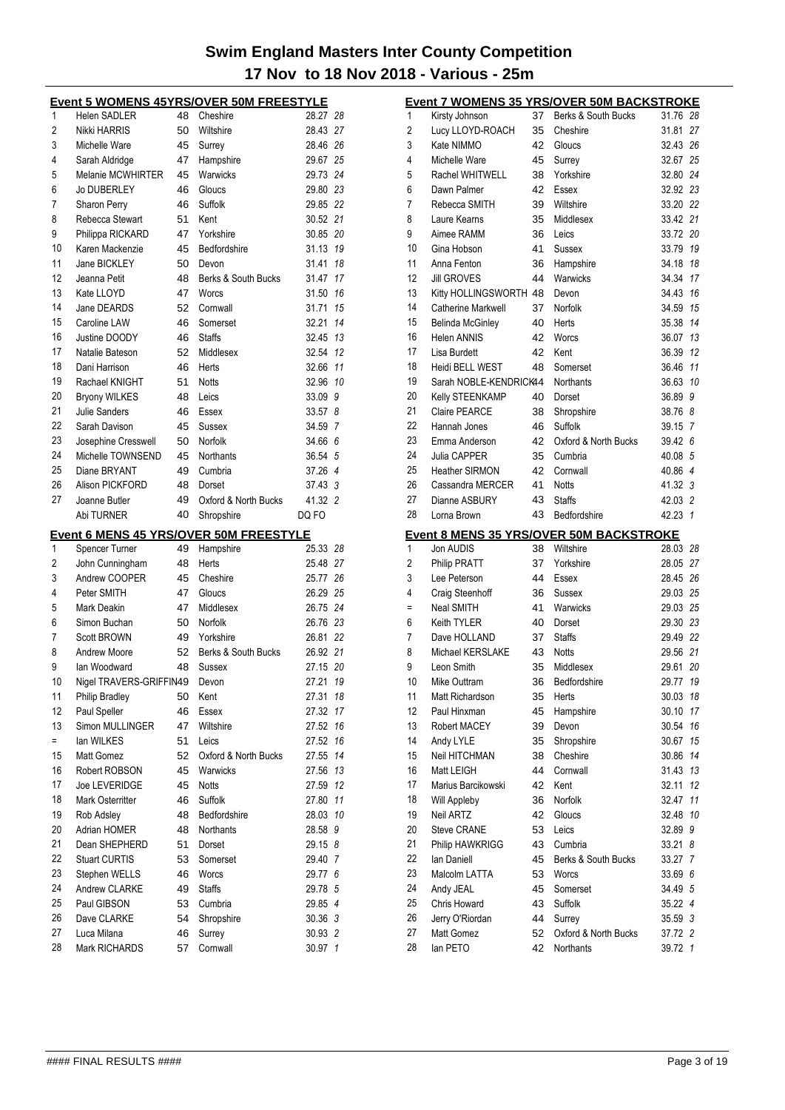|          | Event 5 WOMENS 45YRS/OVER 50M FREESTYLE       |          |                      |                    |                |
|----------|-----------------------------------------------|----------|----------------------|--------------------|----------------|
| 1        | Helen SADLER                                  | 48       | Cheshire             | 28.27              | 28             |
| 2        | Nikki HARRIS                                  | 50       | Wiltshire            | 28.43 27           |                |
| 3        | Michelle Ware                                 | 45       | Surrey               | 28.46 26           |                |
| 4        | Sarah Aldridge                                | 47       | Hampshire            | 29.67              | 25             |
| 5        | Melanie MCWHIRTER                             | 45       | Warwicks             | 29.73              | 24             |
| 6        | <b>Jo DUBERLEY</b>                            | 46       | Gloucs               | 29.80 23           |                |
| 7        | <b>Sharon Perry</b>                           | 46       | Suffolk              | 29.85 22           |                |
| 8        | Rebecca Stewart                               | 51       | Kent                 | 30.52 21           |                |
| 9        | Philippa RICKARD                              | 47       | Yorkshire            | 30.85              | 20             |
| 10       | Karen Mackenzie                               | 45       | Bedfordshire         | 31.13              | 19             |
| 11       | Jane BICKLEY                                  | 50       | Devon                | 31.41              | 18             |
| 12       | Jeanna Petit                                  | 48       | Berks & South Bucks  | 31.47              | 17             |
| 13       | Kate LLOYD                                    | 47       | Worcs                | 31.50              | 16             |
| 14       | Jane DEARDS                                   | 52       | Cornwall             | 31.71              | 15             |
| 15       | Caroline LAW                                  | 46       | Somerset             | 32.21              | 14             |
| 16       | Justine DOODY                                 | 46       | <b>Staffs</b>        | 32.45              | 13             |
| 17       | Natalie Bateson                               | 52       | Middlesex            | 32.54              | 12             |
| 18       | Dani Harrison                                 | 46       | Herts                | 32.66              | 11             |
| 19       | Rachael KNIGHT                                | 51       | <b>Notts</b>         | 32.96              | 10             |
| 20       | <b>Bryony WILKES</b>                          | 48       | Leics                | 33.09              | 9              |
| 21       | Julie Sanders                                 | 46       | Essex                | 33.57              | 8              |
| 22       | Sarah Davison                                 | 45       | Sussex               | 34.59              | 7              |
| 23       | Josephine Cresswell                           | 50       | Norfolk              | 34.66              | 6              |
| 24       | Michelle TOWNSEND                             | 45       | Northants            | 36.54              | 5              |
| 25       | Diane BRYANT                                  | 49       | Cumbria              | 37.26              | $\overline{4}$ |
| 26       | Alison PICKFORD                               | 48       | Dorset               | 37.43 3            |                |
| 27       |                                               |          |                      |                    |                |
|          | Joanne Butler                                 | 49       | Oxford & North Bucks | 41.32 2            |                |
|          | Abi TURNER                                    | 40       | Shropshire           | DQ FO              |                |
|          |                                               |          |                      |                    |                |
|          | <b>Event 6 MENS 45 YRS/OVER 50M FREESTYLE</b> |          |                      |                    |                |
| 1        | <b>Spencer Turner</b>                         | 49       | Hampshire            | 25.33 28           |                |
| 2        | John Cunningham                               | 48       | Herts                | 25.48 27           |                |
| 3        | Andrew COOPER                                 | 45       | Cheshire             | 25.77              | 26             |
| 4        | Peter SMITH                                   | 47       | Gloucs               | 26.29              | 25             |
| 5        | Mark Deakin                                   | 47       | Middlesex            | 26.75 24           |                |
| 6        | Simon Buchan                                  | 50       | Norfolk              | 26.76 23           |                |
| 7        | <b>Scott BROWN</b>                            | 49       | Yorkshire            | 26.81              | 22             |
| 8        | Andrew Moore                                  | 52       | Berks & South Bucks  | 26.92 21           |                |
| 9        | lan Woodward                                  | 48       | Sussex               | 27.15              | 20             |
| 10       | Nigel TRAVERS-GRIFFIN49                       |          | Devon                | 27.21              | 19             |
| 11       | <b>Philip Bradley</b>                         | 50       | Kent                 | 27.31              | 18             |
| 12       | Paul Speller                                  | 46       | Essex                | 27.32              | 17             |
| 13       | Simon MULLINGER                               | 47       | Wiltshire            | 27.52              | 16             |
| $=$      | lan WILKES                                    | 51       | Leics                | 27.52              | 16             |
| 15       | Matt Gomez                                    | 52       | Oxford & North Bucks | 27.55              | 14             |
| 16       | Robert ROBSON                                 | 45       | Warwicks             | 27.56              | 13             |
| 17       |                                               |          |                      |                    |                |
|          | Joe LEVERIDGE                                 | 45       | <b>Notts</b>         | 27.59              | 12             |
| 18       | <b>Mark Osterritter</b>                       | 46       | Suffolk              | 27.80              | 11             |
| 19       | Rob Adsley                                    | 48       | Bedfordshire         | 28.03              | 10             |
| 20       | Adrian HOMER                                  | 48       | Northants            | 28.58              | 9              |
| 21       | Dean SHEPHERD                                 | 51       | Dorset               | 29.15              | 8              |
| 22       | <b>Stuart CURTIS</b>                          | 53       | Somerset             | 29.40              | 7              |
| 23       | Stephen WELLS                                 | 46       | Worcs                | 29.77 6            |                |
| 24       | <b>Andrew CLARKE</b>                          | 49       | <b>Staffs</b>        | 29.78 5            |                |
| 25       | Paul GIBSON                                   | 53       | Cumbria              | 29.85 4            |                |
| 26       | Dave CLARKE                                   | 54       | Shropshire           | 30.36 3            |                |
| 27<br>28 | Luca Milana<br>Mark RICHARDS                  | 46<br>57 | Surrey<br>Cornwall   | 30.93 2<br>30.97 1 |                |

|    |                           |    | <b>Event 7 WOMENS 35 YRS/OVER 50M BACKSTROKE</b> |          |    |
|----|---------------------------|----|--------------------------------------------------|----------|----|
| 1  | Kirsty Johnson            | 37 | Berks & South Bucks                              | 31.76 28 |    |
| 2  | Lucy LLOYD-ROACH          | 35 | Cheshire                                         | 31.81    | 27 |
| 3  | Kate NIMMO                | 42 | Gloucs                                           | 32.43 26 |    |
| 4  | Michelle Ware             | 45 | Surrey                                           | 32.67 25 |    |
| 5  | Rachel WHITWELL           | 38 | Yorkshire                                        | 32.80 24 |    |
| 6  | Dawn Palmer               | 42 | Essex                                            | 32.92 23 |    |
| 7  | Rebecca SMITH             | 39 | Wiltshire                                        | 33.20 22 |    |
| 8  | Laure Kearns              | 35 | Middlesex                                        | 33.42 21 |    |
| 9  | Aimee RAMM                | 36 | Leics                                            | 33.72 20 |    |
| 10 | Gina Hobson               | 41 | Sussex                                           | 33.79 19 |    |
| 11 | Anna Fenton               | 36 | Hampshire                                        | 34.18 18 |    |
| 12 | <b>Jill GROVES</b>        | 44 | Warwicks                                         | 34.34 17 |    |
| 13 | Kitty HOLLINGSWORTH 48    |    | Devon                                            | 34.43 16 |    |
| 14 | <b>Catherine Markwell</b> | 37 | Norfolk                                          | 34.59 15 |    |
| 15 | Belinda McGinley          | 40 | Herts                                            | 35.38 14 |    |
| 16 | <b>Helen ANNIS</b>        | 42 | Worcs                                            | 36.07 13 |    |
| 17 | Lisa Burdett              | 42 | Kent                                             | 36.39 12 |    |
| 18 | Heidi BELL WEST           | 48 | Somerset                                         | 36.46 11 |    |
| 19 | Sarah NOBLE-KENDRICK44    |    | Northants                                        | 36.63 10 |    |
| 20 | Kelly STEENKAMP           | 40 | Dorset                                           | 36.89 9  |    |
| 21 | <b>Claire PEARCE</b>      | 38 | Shropshire                                       | 38.76 8  |    |
| 22 |                           |    |                                                  | 39.15 7  |    |
| 23 | Hannah Jones              | 46 | Suffolk<br>Oxford & North Bucks                  |          |    |
|    | Emma Anderson             | 42 |                                                  | 39.42 6  |    |
| 24 | Julia CAPPER              | 35 | Cumbria                                          | 40.08 5  |    |
| 25 | <b>Heather SIRMON</b>     | 42 | Cornwall                                         | 40.86 4  |    |
| 26 | Cassandra MERCER          | 41 | <b>Notts</b>                                     | 41.32 3  |    |
| 27 | Dianne ASBURY             | 43 | <b>Staffs</b>                                    | 42.03 2  |    |
| 28 | Lorna Brown               | 43 | Bedfordshire                                     | 42.23 1  |    |
|    |                           |    |                                                  |          |    |
|    |                           |    | <u>Event 8 MENS 35 YRS/OVER 50M BACKSTROKE</u>   |          |    |
| 1  | Jon AUDIS                 | 38 | Wiltshire                                        | 28.03 28 |    |
| 2  | Philip PRATT              | 37 | Yorkshire                                        | 28.05 27 |    |
| 3  | Lee Peterson              | 44 | Essex                                            | 28.45 26 |    |
| 4  | Craig Steenhoff           | 36 | Sussex                                           | 29.03 25 |    |
| Ξ  | Neal SMITH                | 41 | Warwicks                                         | 29.03 25 |    |
| 6  | Keith TYLER               | 40 | Dorset                                           | 29.30 23 |    |
| 7  | Dave HOLLAND              | 37 | <b>Staffs</b>                                    | 29.49 22 |    |
| 8  | Michael KERSLAKE          | 43 | <b>Notts</b>                                     | 29.56 21 |    |
| 9  | Leon Smith                | 35 | Middlesex                                        | 29.61 20 |    |
| 10 | Mike Outtram              | 36 | Bedfordshire                                     | 29.77    | 19 |
| 11 | Matt Richardson           | 35 | Herts                                            | 30.03 18 |    |
| 12 | Paul Hinxman              | 45 | Hampshire                                        | 30.10    | 17 |
| 13 | Robert MACEY              | 39 | Devon                                            | 30.54    | 16 |
| 14 | Andy LYLE                 | 35 | Shropshire                                       | 30.67    | 15 |
| 15 | Neil HITCHMAN             | 38 | Cheshire                                         | 30.86    | 14 |
| 16 | Matt LEIGH                | 44 | Cornwall                                         | 31.43 13 |    |
| 17 | Marius Barcikowski        | 42 | Kent                                             | 32.11    | 12 |
| 18 | <b>Will Appleby</b>       | 36 | Norfolk                                          | 32.47    | 11 |
| 19 | Neil ARTZ                 | 42 | Gloucs                                           | 32.48    | 10 |
| 20 | Steve CRANE               | 53 | Leics                                            | 32.89    | 9  |
| 21 | Philip HAWKRIGG           | 43 | Cumbria                                          | 33.21    | 8  |
| 22 | lan Daniell               | 45 | Berks & South Bucks                              | 33.27 7  |    |
| 23 | Malcolm LATTA             | 53 | Worcs                                            | 33.69 6  |    |
| 24 | Andy JEAL                 | 45 | Somerset                                         | 34.49 5  |    |
| 25 | Chris Howard              | 43 | Suffolk                                          | 35.22 4  |    |
| 26 | Jerry O'Riordan           | 44 | Surrey                                           | 35.59 3  |    |
| 27 | Matt Gomez                | 52 | Oxford & North Bucks                             | 37.72 2  |    |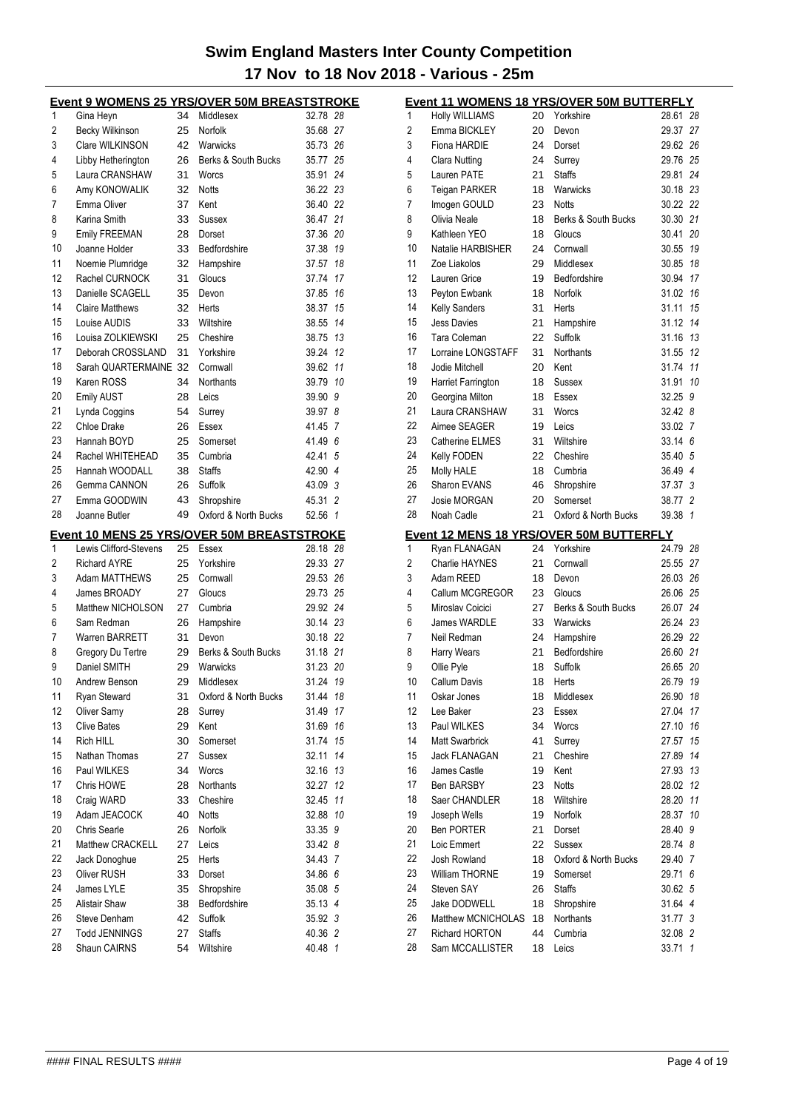|          |                                 |          | <b>Event 9 WOMENS 25 YRS/OVER 50M BREASTSTROKE</b> |                    |                |
|----------|---------------------------------|----------|----------------------------------------------------|--------------------|----------------|
| 1        | Gina Heyn                       | 34       | Middlesex                                          | 32.78 28           |                |
| 2        | <b>Becky Wilkinson</b>          | 25       | Norfolk                                            | 35.68 27           |                |
| 3        | Clare WILKINSON                 | 42       | Warwicks                                           | 35.73 26           |                |
| 4        | Libby Hetherington              | 26       | Berks & South Bucks                                | 35.77 25           |                |
| 5        | Laura CRANSHAW                  | 31       | Worcs                                              | 35.91 24           |                |
| 6        | Amy KONOWALIK                   | 32       | <b>Notts</b>                                       | 36.22 23           |                |
| 7        | Emma Oliver                     | 37       | Kent                                               | 36.40 22           |                |
| 8        | Karina Smith                    | 33       | Sussex                                             | 36.47 21           |                |
| 9        | <b>Emily FREEMAN</b>            | 28       | Dorset                                             | 37.36 20           |                |
| 10       | Joanne Holder                   | 33       | Bedfordshire                                       | 37.38 19           |                |
| 11       | Noemie Plumridge                | 32       | Hampshire                                          | 37.57              | 18             |
| 12       | Rachel CURNOCK                  | 31       | Gloucs                                             | 37.74              | 17             |
| 13       | Danielle SCAGELL                | 35       | Devon                                              | 37.85 16           |                |
| 14       | <b>Claire Matthews</b>          | 32       | Herts                                              | 38.37 15           |                |
| 15       | Louise AUDIS                    | 33       | Wiltshire                                          | 38.55 14           |                |
| 16       | Louisa ZOLKIEWSKI               | 25       | Cheshire                                           | 38.75 13           |                |
| 17       | Deborah CROSSLAND               | 31       | Yorkshire                                          | 39.24 12           |                |
| 18       | Sarah QUARTERMAINE 32           |          | Cornwall                                           | 39.62 11           |                |
| 19       | Karen ROSS                      | 34       | Northants                                          | 39.79 10           |                |
| 20       | <b>Emily AUST</b>               | 28       | Leics                                              | 39.90              | 9              |
| 21       | Lynda Coggins                   | 54       | Surrey                                             | 39.97              | 8              |
| 22       | Chloe Drake                     | 26       | Essex                                              | 41.45 7            |                |
| 23       | Hannah BOYD                     | 25       | Somerset                                           | 41.496             |                |
| 24       | Rachel WHITEHEAD                | 35       | Cumbria                                            | 42.41              | 5              |
| 25       | Hannah WOODALL                  | 38       | <b>Staffs</b>                                      | 42.90 4            |                |
| 26       | Gemma CANNON                    | 26       | Suffolk                                            | 43.09 3            |                |
| 27       | Emma GOODWIN                    | 43       | Shropshire                                         | 45.31              | $\overline{2}$ |
| 28       | Joanne Butler                   | 49       | Oxford & North Bucks                               | 52.56 1            |                |
|          |                                 |          | <b>Event 10 MENS 25 YRS/OVER 50M BREASTSTROKE</b>  |                    |                |
| 1        | Lewis Clifford-Stevens          | 25       | Essex                                              | 28.18 28           |                |
| 2        | <b>Richard AYRE</b>             | 25       | Yorkshire                                          | 29.33 27           |                |
| 3        | <b>Adam MATTHEWS</b>            | 25       | Cornwall                                           | 29.53 26           |                |
| 4        | James BROADY                    | 27       | Gloucs                                             | 29.73 25           |                |
| 5        | Matthew NICHOLSON               | 27       | Cumbria                                            | 29.92 24           |                |
| 6        | Sam Redman                      | 26       | Hampshire                                          | 30.14 23           |                |
| 7        | Warren BARRETT                  | 31       | Devon                                              | 30.18 22           |                |
| 8        | Gregory Du Tertre               | 29       | Berks & South Bucks                                | 31.18 21           |                |
| 9        | Daniel SMITH                    | 29       | Warwicks                                           | 31.23 20           |                |
| 10       | Andrew Benson                   | 29       | Middlesex                                          | 31.24 19           |                |
| 11       | Ryan Steward                    | 31       | Oxford & North Bucks                               | 31.44              | 18             |
| 12       | Oliver Samy                     | 28       | Surrey                                             | 31.49              | 17             |
| 13       |                                 |          |                                                    |                    |                |
| 14       |                                 |          | Kent                                               |                    |                |
|          | <b>Clive Bates</b><br>Rich HILL | 29       |                                                    | 31.69 16           |                |
| 15       |                                 | 30       | Somerset                                           | 31.74 15<br>32.11  | 14             |
| 16       | Nathan Thomas                   | 27       | Sussex<br>Worcs                                    | 32.16 13           |                |
| 17       | Paul WILKES                     | 34       |                                                    |                    |                |
|          | Chris HOWE                      | 28       | Northants                                          | 32.27              | 12<br>11       |
| 18<br>19 | Craig WARD                      | 33       | Cheshire<br><b>Notts</b>                           | 32.45              | 10             |
|          | Adam JEACOCK<br>Chris Searle    | 40<br>26 |                                                    | 32.88              |                |
| 20<br>21 | Matthew CRACKELL                | 27       | Norfolk<br>Leics                                   | 33.35 9            |                |
| 22       |                                 |          | Herts                                              | 33.42 8            |                |
|          | Jack Donoghue<br>Oliver RUSH    | 25<br>33 | Dorset                                             | 34.43 7<br>34.86 6 |                |
| 23<br>24 | James LYLE                      | 35       | Shropshire                                         | 35.08 5            |                |
| 25       |                                 | 38       | Bedfordshire                                       | 35.13 4            |                |
| 26       | Alistair Shaw<br>Steve Denham   | 42       | Suffolk                                            | 35.92 3            |                |
| 27       | <b>Todd JENNINGS</b>            | 27       | <b>Staffs</b>                                      | 40.36 2            |                |
| 28       | Shaun CAIRNS                    | 54       | Wiltshire                                          | 40.48 1            |                |

|                |                                   |          | <b>Event 11 WOMENS 18 YRS/OVER 50M BUTTERFLY</b> |                    |              |
|----------------|-----------------------------------|----------|--------------------------------------------------|--------------------|--------------|
| 1              | <b>Holly WILLIAMS</b>             | 20       | Yorkshire                                        | 28.61              | 28           |
| 2              | Emma BICKLEY                      | 20       | Devon                                            | 29.37              | 27           |
| 3              | Fiona HARDIE                      | 24       | Dorset                                           | 29.62 26           |              |
| 4              | Clara Nutting                     | 24       | Surrey                                           | 29.76 25           |              |
| 5              | Lauren PATE                       | 21       | <b>Staffs</b>                                    | 29.81              | 24           |
| 6              | <b>Teigan PARKER</b>              | 18       | Warwicks                                         | 30.18 23           |              |
| 7              | Imogen GOULD                      | 23       | Notts                                            | 30.22 22           |              |
| 8              | Olivia Neale                      | 18       | Berks & South Bucks                              | 30.30 21           |              |
| 9              | Kathleen YEO                      | 18       | Gloucs                                           | 30.41              | 20           |
| 10             | Natalie HARBISHER                 | 24       | Cornwall                                         | 30.55              | 19           |
| 11             | Zoe Liakolos                      | 29       | Middlesex                                        | 30.85 18           |              |
| 12             | Lauren Grice                      | 19       | Bedfordshire                                     | 30.94              | 17           |
| 13             | Peyton Ewbank                     | 18       | Norfolk                                          | 31.02 16           |              |
| 14             | Kelly Sanders                     | 31       | Herts                                            | 31.11              | 15           |
| 15             | <b>Jess Davies</b>                | 21       | Hampshire                                        | 31.12              | 14           |
| 16             | Tara Coleman                      | 22       | Suffolk                                          | 31.16              | 13           |
| 17             | Lorraine LONGSTAFF                | 31       | Northants                                        | 31.55              | 12           |
| 18             | Jodie Mitchell                    | 20       | Kent                                             | 31.74              | 11           |
| 19             | Harriet Farrington                | 18       | Sussex                                           | 31.91              | 10           |
| 20             | Georgina Milton                   | 18       | Essex                                            | 32.25              | 9            |
| 21             | Laura CRANSHAW                    | 31       | Worcs                                            | 32.42 8            |              |
| 22             | Aimee SEAGER                      | 19       | Leics                                            | 33.02 7            |              |
| 23             | Catherine ELMES                   | 31       | Wiltshire                                        | 33.146             |              |
| 24             | Kelly FODEN                       | 22       | Cheshire                                         | 35.40 5            |              |
| 25             | <b>Molly HALE</b>                 | 18       | Cumbria                                          | 36.49 4            |              |
| 26             | Sharon EVANS                      | 46       | Shropshire                                       | 37.37 3            |              |
| 27             | Josie MORGAN                      | 20       | Somerset                                         | 38.77 2            |              |
| 28             | Noah Cadle                        | 21       | Oxford & North Bucks                             | 39.38              | $\mathbf{1}$ |
|                |                                   |          |                                                  |                    |              |
|                |                                   |          | Event 12 MENS 18 YRS/OVER 50M BUTTERFLY          |                    |              |
|                |                                   |          |                                                  |                    |              |
| 1              | Ryan FLANAGAN                     | 24       | Yorkshire                                        | 24.79 28           |              |
| $\overline{c}$ | <b>Charlie HAYNES</b>             | 21       | Cornwall                                         | 25.55 27           |              |
| 3              | Adam REED                         | 18       | Devon                                            | 26.03 26           |              |
| 4              | Callum MCGREGOR                   | 23       | Gloucs                                           | 26.06 25           |              |
| 5              | Miroslav Coicici                  | 27       | Berks & South Bucks                              | 26.07 24           |              |
| 6              | James WARDLE                      | 33       | Warwicks                                         | 26.24 23           |              |
| 7              | Neil Redman                       | 24       | Hampshire                                        | 26.29 22           |              |
| 8              | Harry Wears                       | 21       | Bedfordshire                                     | 26.60 21           |              |
| 9              | Ollie Pyle                        | 18       | Suffolk                                          | 26.65 20           |              |
| 10             | Callum Davis                      |          | 18 Herts                                         | 26.79 19           |              |
| 11             | Oskar Jones                       | 18       | Middlesex                                        | 26.90 18           |              |
| 12             | Lee Baker                         | 23       | Essex                                            | 27.04              | 17           |
| 13             | Paul WILKES                       | 34       | Worcs                                            | 27.10              | 16           |
| 14             | Matt Swarbrick                    | 41       | Surrey                                           | 27.57              | 15           |
| 15             | <b>Jack FLANAGAN</b>              | 21       | Cheshire                                         | 27.89              | 14           |
| 16             | James Castle                      | 19       | Kent                                             | 27.93              | 13           |
| 17             | <b>Ben BARSBY</b>                 | 23       | Notts                                            | 28.02              | 12           |
| 18             | Saer CHANDLER                     | 18       | Wiltshire                                        | 28.20              | 11           |
| 19             | Joseph Wells                      | 19       | Norfolk                                          | 28.37              | 10           |
| 20             | <b>Ben PORTER</b>                 | 21       | Dorset                                           | 28.40              | 9            |
| 21             | Loic Emmert                       | 22       | Sussex                                           | 28.74 8            |              |
| 22             | Josh Rowland                      | 18       | Oxford & North Bucks                             | 29.40              | 7            |
| 23             | William THORNE                    | 19       | Somerset                                         | 29.71              | 6            |
| 24             | Steven SAY                        | 26       | <b>Staffs</b>                                    | 30.62 5            |              |
| 25             | Jake DODWELL                      | 18       | Shropshire                                       | 31.64 4            |              |
| 26             | Matthew MCNICHOLAS                | 18       | Northants                                        | 31.77 3            |              |
| 27<br>28       | Richard HORTON<br>Sam MCCALLISTER | 44<br>18 | Cumbria<br>Leics                                 | 32.08 2<br>33.71 1 |              |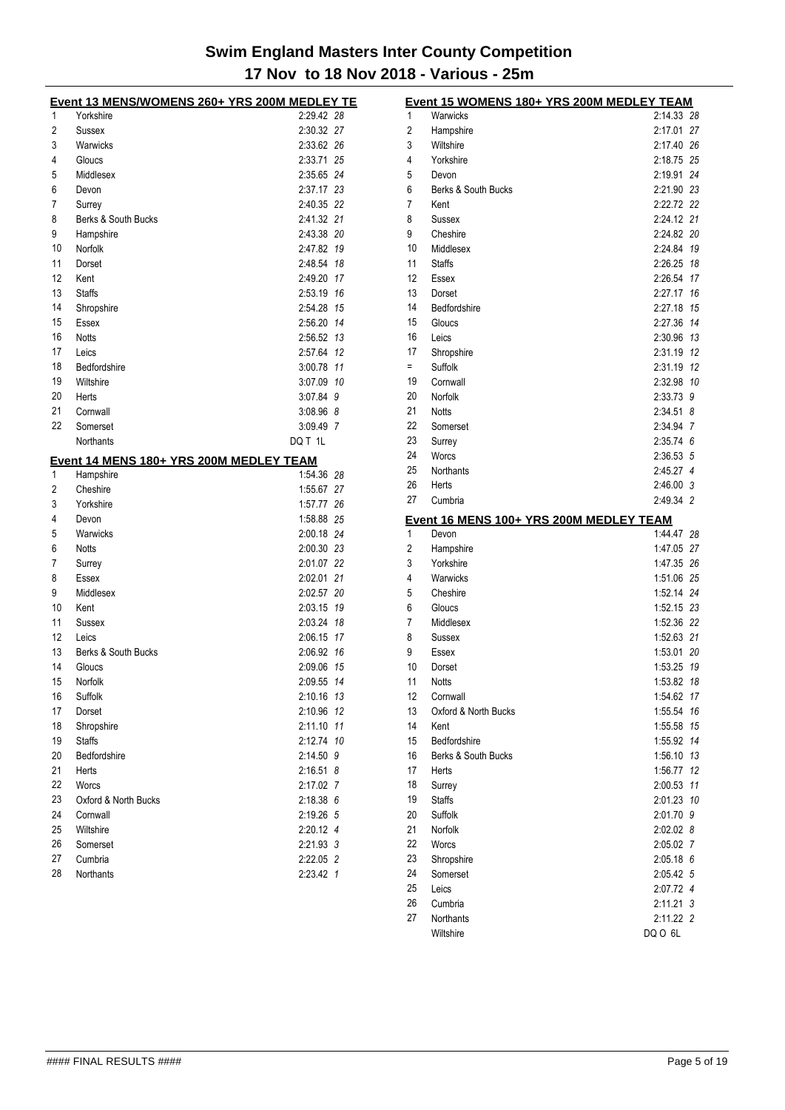|    | <u>Event 13 MENS/WOMENS 260+ YRS 200M MEDLEY TE</u> |               |  |
|----|-----------------------------------------------------|---------------|--|
| 1  | Yorkshire                                           | 2:29.42 28    |  |
| 2  | <b>Sussex</b>                                       | 2:30.32 27    |  |
| 3  | Warwicks                                            | 2:33.62 26    |  |
| 4  | Gloucs                                              | 2:33.71 25    |  |
| 5  | Middlesex                                           | 2:35.65 24    |  |
| 6  | Devon                                               | 2:37.17 23    |  |
| 7  | Surrey                                              | 2:40.35 22    |  |
| 8  | Berks & South Bucks                                 | 2:41.32 21    |  |
| 9  | Hampshire                                           | 2:43.38 20    |  |
| 10 | Norfolk                                             | 2:47.82 19    |  |
| 11 | Dorset                                              | 2:48.54 18    |  |
| 12 | Kent                                                | 2:49.20 17    |  |
| 13 | <b>Staffs</b>                                       | 2:53.19 16    |  |
| 14 | Shropshire                                          | 2:54.28 15    |  |
| 15 | Essex                                               | 2:56.20 14    |  |
| 16 | <b>Notts</b>                                        | 2:56.52 13    |  |
| 17 | Leics                                               | 2:57.64 12    |  |
| 18 | Bedfordshire                                        | 3:00.78 11    |  |
| 19 | Wiltshire                                           | 3:07.09 10    |  |
| 20 | Herts                                               | 3:07.84 9     |  |
| 21 | Cornwall                                            | $3:08.96$ $8$ |  |
| 22 | Somerset                                            | 3:09.49 7     |  |
|    | Northants                                           | DQ T 1L       |  |
|    |                                                     |               |  |
|    | Event 14 MENS 180+ YRS 200M MEDLEY TEAM             |               |  |
| 1  | Hampshire                                           | 1:54.36 28    |  |
| 2  | Cheshire                                            | 1:55.67 27    |  |
| 3  | Yorkshire                                           | 1:57.77 26    |  |
| 4  | Devon                                               | 1:58.88 25    |  |
| 5  | Warwicks                                            | 2:00.18 24    |  |
| 6  | <b>Notts</b>                                        | 2:00.30 23    |  |
| 7  | Surrey                                              | 2:01.07 22    |  |
| 8  | Essex                                               | 2:02.01 21    |  |
| 9  | Middlesex                                           | 2:02.57 20    |  |
| 10 | Kent                                                | 2:03.15 19    |  |
| 11 | Sussex                                              | 2:03.24 18    |  |
| 12 | Leics                                               | 2:06.15 17    |  |
| 13 | Berks & South Bucks                                 | 2:06.92 16    |  |
| 14 | Gloucs                                              | 2:09.06 15    |  |
| 15 | Norfolk                                             | 2:09.55 14    |  |
| 16 | Suffolk                                             | 2:10.16 13    |  |
| 17 | Dorset                                              | 2:10.96 12    |  |
| 18 | Shropshire                                          | 2:11.10 11    |  |
| 19 | <b>Staffs</b>                                       | 2:12.74 10    |  |
| 20 | Bedfordshire                                        | 2:14.50 9     |  |
| 21 | Herts                                               | $2:16.51$ 8   |  |
| 22 | Worcs                                               | 2:17.02 7     |  |
| 23 | Oxford & North Bucks                                | 2:18.38 6     |  |
| 24 | Cornwall                                            | 2:19.26 5     |  |
| 25 | Wiltshire                                           | 2:20.12 4     |  |
| 26 | Somerset                                            | 2:21.93 3     |  |
| 27 | Cumbria                                             | 2:22.05 2     |  |
| 28 | Northants                                           | 2:23.42 1     |  |

|                | Event 15 WOMENS 180+ YRS 200M MEDLEY TEAM |            |     |
|----------------|-------------------------------------------|------------|-----|
| 1              | Warwicks                                  | 2:14.33 28 |     |
| 2              | Hampshire                                 | 2:17.01    | 27  |
| 3              | Wiltshire                                 | 2:17.40    | 26  |
| 4              | Yorkshire                                 | 2:18.75 25 |     |
| 5              | Devon                                     | 2:19.91    | 24  |
| 6              | Berks & South Bucks                       | 2:21.90 23 |     |
| 7              | Kent                                      | 2:22.72 22 |     |
| 8              | Sussex                                    | 2:24.12 21 |     |
| 9              | Cheshire                                  | 2:24.82    | -20 |
| 10             | Middlesex                                 | 2:24.84    | 19  |
| 11             | <b>Staffs</b>                             | 2:26.25    | 18  |
| 12             | Essex                                     | 2:26.54    | 17  |
| 13             | Dorset                                    | 2:27.17    | 16  |
| 14             | Bedfordshire                              | 2:27.18    | 15  |
| 15             | Gloucs                                    | 2:27.36    | 14  |
| 16             | Leics                                     | 2:30.96    | 13  |
| 17             | Shropshire                                | 2:31.19    | 12  |
| $=$            | Suffolk                                   | 2:31.19    | 12  |
| 19             | Cornwall                                  | 2:32.98    | 10  |
| 20             | Norfolk                                   | 2:33.73    | 9   |
| 21             | <b>Notts</b>                              | 2:34.51    | 8   |
| 22             |                                           | 2:34.94 7  |     |
|                | Somerset                                  |            |     |
| 23             | Surrey                                    | 2:35.74 6  |     |
| 24             | Worcs                                     | 2:36.53 5  |     |
| 25             | Northants                                 | 2:45.27 4  |     |
| 26             | Herts                                     | 2:46.00 3  |     |
| 27             | Cumbria                                   | 2:49.34 2  |     |
|                | Event 16 MENS 100+ YRS 200M MEDLEY TEAM   |            |     |
| 1              | Devon                                     | 1:44.47    | 28  |
| $\overline{c}$ | Hampshire                                 | 1:47.05    | 27  |
| 3              | Yorkshire                                 | 1:47.35    | -26 |
| 4              | Warwicks                                  | 1:51.06 25 |     |
| 5              | Cheshire                                  | 1:52.14 24 |     |
| 6              | Gloucs                                    | 1:52.15 23 |     |
| 7              | Middlesex                                 | 1:52.36 22 |     |
| 8              | Sussex                                    | 1:52.63 21 |     |
| 9              | Essex                                     | 1:53.01    | 20  |
| 10             | Dorset                                    | 1:53.25    | 19  |
| 11             | Notts                                     | 1:53.82 18 |     |
| 12             | Cornwall                                  | 1:54.62    | 17  |
| 13             | Oxford & North Bucks                      | 1:55.54    | 16  |
| 14             | Kent                                      | 1:55.58    | 15  |
| 15             | Bedfordshire                              | 1:55.92    | 14  |
| 16             |                                           |            |     |
| 17             | Berks & South Bucks                       | 1:56.10    | 13  |
|                | Herts                                     | 1:56.77    | 12  |
| 18             | Surrey                                    | 2:00.53    | 11  |
| 19             | <b>Staffs</b>                             | 2:01.23 10 |     |
| 20             | Suffolk                                   | 2:01.70 9  |     |
| 21             | Norfolk                                   | 2:02.028   |     |
| 22             | Worcs                                     | 2:05.02 7  |     |
| 23             | Shropshire                                | 2:05.18 6  |     |
| 24             | Somerset                                  | 2:05.42 5  |     |
| 25             | Leics                                     | 2:07.72 4  |     |
| 26             | Cumbria                                   | 2:11.21 3  |     |
| 27             | Northants                                 | 2:11.22 2  |     |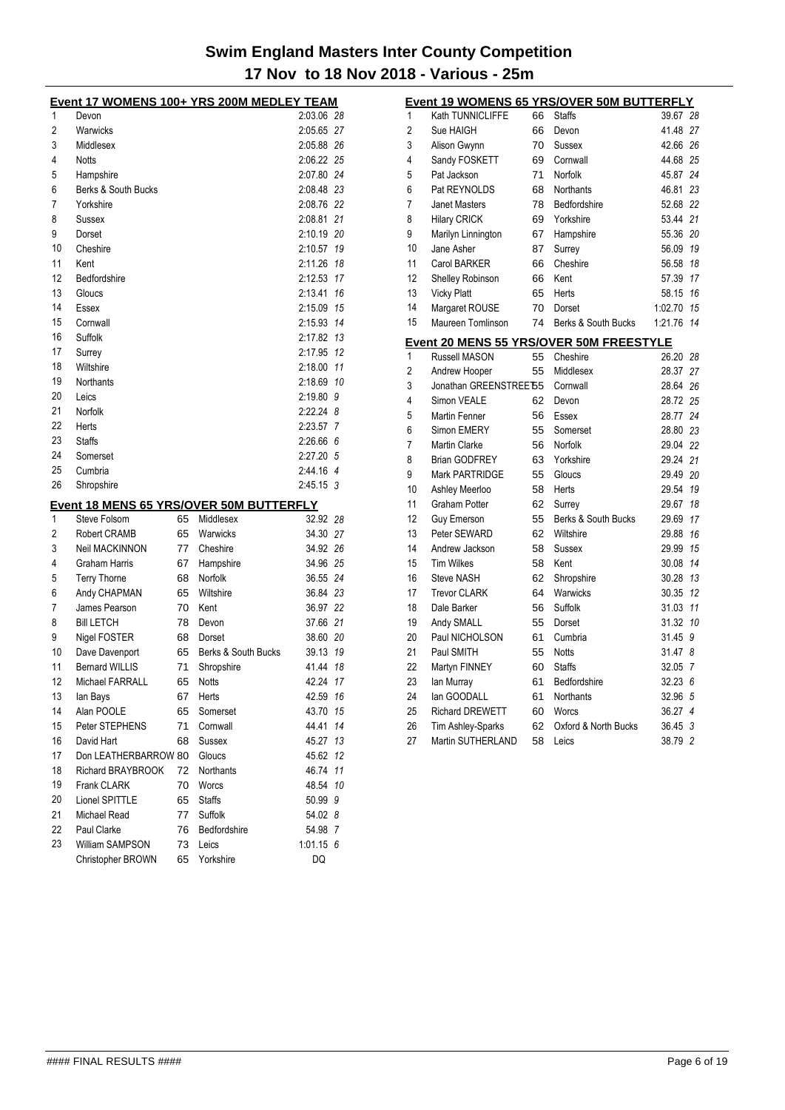|    | <u>Event 17 WOMENS 100+ YRS 200M MEDLEY TEAM</u> |    |                     |             |     |
|----|--------------------------------------------------|----|---------------------|-------------|-----|
| 1  | Devon                                            |    |                     | 2:03.06 28  |     |
| 2  | Warwicks                                         |    |                     | 2:05.65 27  |     |
| 3  | Middlesex                                        |    |                     | 2:05.88 26  |     |
| 4  | <b>Notts</b>                                     |    |                     | 2:06.22 25  |     |
| 5  | Hampshire                                        |    |                     | 2:07.80 24  |     |
| 6  | Berks & South Bucks                              |    |                     | 2:08.48 23  |     |
| 7  | Yorkshire                                        |    |                     | 2:08.76 22  |     |
| 8  | Sussex                                           |    |                     | 2:08.81     | 21  |
| 9  | Dorset                                           |    |                     | 2:10.19     | 20  |
| 10 | Cheshire                                         |    |                     | 2:10.57     | 19  |
| 11 | Kent                                             |    |                     | 2:11.26     | 18  |
| 12 | Bedfordshire                                     |    |                     | 2:12.53     | 17  |
| 13 | Gloucs                                           |    |                     | 2:13.41     | 16  |
| 14 | Essex                                            |    |                     | 2:15.09     | 15  |
| 15 | Cornwall                                         |    |                     | 2:15.93     | 14  |
| 16 | Suffolk                                          |    |                     | 2:17.82     | 13  |
| 17 | Surrey                                           |    |                     | 2:17.95     | 12  |
| 18 | Wiltshire                                        |    |                     | 2:18.00     | 11  |
| 19 | <b>Northants</b>                                 |    |                     | 2:18.69     | 10  |
| 20 | Leics                                            |    |                     | 2:19.80     | 9   |
| 21 | Norfolk                                          |    |                     | $2:22.24$ 8 |     |
| 22 | Herts                                            |    |                     | 2:23.57 7   |     |
| 23 | <b>Staffs</b>                                    |    |                     | 2:26.66 6   |     |
| 24 | Somerset                                         |    |                     | 2:27.20 5   |     |
| 25 | Cumbria                                          |    |                     | 2:44.16 4   |     |
| 26 | Shropshire                                       |    |                     | $2:45.15$ 3 |     |
|    | <u>Event 18 MENS 65 YRS/OVER 50M BUTTERFLY</u>   |    |                     |             |     |
| 1  | Steve Folsom                                     | 65 | Middlesex           | 32.92       | 28  |
| 2  | Robert CRAMB                                     | 65 | Warwicks            | 34.30       | 27  |
| 3  | Neil MACKINNON                                   | 77 | Cheshire            | 34.92 26    |     |
| 4  | Graham Harris                                    | 67 | Hampshire           | 34.96       | -25 |
| 5  | <b>Terry Thorne</b>                              | 68 | Norfolk             | 36.55       | 24  |
| 6  | Andy CHAPMAN                                     | 65 | Wiltshire           | 36.84       | 23  |
| 7  | James Pearson                                    | 70 | Kent                | 36.97       | 22  |
| 8  | <b>Bill LETCH</b>                                | 78 | Devon               | 37.66       | 21  |
| 9  | Nigel FOSTER                                     | 68 | Dorset              | 38.60 20    |     |
| 10 | Dave Davenport                                   | 65 | Berks & South Bucks | 39.13       | 19  |
| 11 | <b>Bernard WILLIS</b>                            | 71 | Shropshire          | 41.44       | 18  |
| 12 | Michael FARRALL                                  | 65 | Notts               | 42.24       | 17  |
| 13 | lan Bays                                         | 67 | Herts               | 42.59       | 16  |
| 14 | Alan POOLE                                       | 65 | Somerset            | 43.70       | 15  |
| 15 | Peter STEPHENS                                   | 71 | Cornwall            | 44.41       | 14  |
| 16 | David Hart                                       | 68 | Sussex              | 45.27       | 13  |
| 17 | Don LEATHERBARROW 80                             |    | Gloucs              | 45.62       | 12  |
| 18 | <b>Richard BRAYBROOK</b>                         | 72 | <b>Northants</b>    | 46.74       | 11  |
| 19 | Frank CLARK                                      | 70 | Worcs               | 48.54       | 10  |
| 20 | Lionel SPITTLE                                   | 65 | <b>Staffs</b>       | 50.99       | 9   |
| 21 | Michael Read                                     | 77 | Suffolk             | 54.02 8     |     |
| 22 | Paul Clarke                                      | 76 | Bedfordshire        | 54.98 7     |     |
| 23 | William SAMPSON                                  | 73 | Leics               | $1:01.15$ 6 |     |
|    | Christopher BROWN                                | 65 | Yorkshire           | DQ          |     |

| <u>Event 19 WOMENS 65 YRS/OVER 50M BUTTERFLY</u> |                        |    |                                         |          |                |
|--------------------------------------------------|------------------------|----|-----------------------------------------|----------|----------------|
| 1                                                | Kath TUNNICLIFFE       | 66 | <b>Staffs</b>                           | 39.67 28 |                |
| $\overline{2}$                                   | Sue HAIGH              | 66 | Devon                                   | 41.48 27 |                |
| 3                                                | Alison Gwynn           | 70 | Sussex                                  | 42.66 26 |                |
| 4                                                | Sandy FOSKETT          | 69 | Cornwall                                | 44.68 25 |                |
| 5                                                | Pat Jackson            | 71 | Norfolk                                 | 45.87    | 24             |
| 6                                                | Pat REYNOLDS           | 68 | <b>Northants</b>                        | 46.81    | 23             |
| 7                                                | <b>Janet Masters</b>   | 78 | Bedfordshire                            | 52.68    | 22             |
| 8                                                | <b>Hilary CRICK</b>    | 69 | Yorkshire                               | 53.44 21 |                |
| 9                                                | Marilyn Linnington     | 67 | Hampshire                               | 55.36 20 |                |
| 10                                               | Jane Asher             | 87 | Surrey                                  | 56.09 19 |                |
| 11                                               | <b>Carol BARKER</b>    | 66 | Cheshire                                | 56.58    | 18             |
| 12                                               | Shelley Robinson       | 66 | Kent                                    | 57.39    | 17             |
| 13                                               | <b>Vicky Platt</b>     | 65 | Herts                                   | 58.15 16 |                |
| 14                                               | Margaret ROUSE         | 70 | Dorset                                  | 1:02.70  | 15             |
| 15                                               | Maureen Tomlinson      | 74 | Berks & South Bucks                     | 1:21.76  | 14             |
|                                                  |                        |    | Event 20 MENS 55 YRS/OVER 50M FREESTYLE |          |                |
| 1                                                | <b>Russell MASON</b>   | 55 | Cheshire                                | 26.20 28 |                |
| 2                                                | Andrew Hooper          | 55 | Middlesex                               | 28.37    | 27             |
| 3                                                | Jonathan GREENSTREE 65 |    | Cornwall                                | 28.64 26 |                |
| 4                                                | Simon VEALE            | 62 | Devon                                   | 28.72 25 |                |
| 5                                                | Martin Fenner          | 56 | Essex                                   | 28.77 24 |                |
| 6                                                | Simon EMERY            | 55 | Somerset                                | 28.80 23 |                |
| 7                                                | <b>Martin Clarke</b>   | 56 | Norfolk                                 | 29.04 22 |                |
| 8                                                | <b>Brian GODFREY</b>   | 63 | Yorkshire                               | 29.24 21 |                |
| 9                                                | <b>Mark PARTRIDGE</b>  | 55 | Gloucs                                  | 29.49 20 |                |
| 10                                               | Ashley Meerloo         | 58 | Herts                                   | 29.54    | 19             |
| 11                                               | <b>Graham Potter</b>   | 62 | Surrey                                  | 29.67    | 18             |
| 12                                               | <b>Guy Emerson</b>     | 55 | Berks & South Bucks                     | 29.69    | 17             |
| 13                                               | Peter SEWARD           | 62 | Wiltshire                               | 29.88    | 16             |
| 14                                               | Andrew Jackson         | 58 | Sussex                                  | 29.99 15 |                |
| 15                                               | <b>Tim Wilkes</b>      | 58 | Kent                                    | 30.08 14 |                |
| 16                                               | <b>Steve NASH</b>      | 62 | Shropshire                              | 30.28    | 13             |
| 17                                               | <b>Trevor CLARK</b>    | 64 | Warwicks                                | 30.35 12 |                |
| 18                                               | Dale Barker            | 56 | Suffolk                                 | 31.03 11 |                |
| 19                                               | Andy SMALL             | 55 | Dorset                                  | 31.32    | 10             |
| 20                                               | Paul NICHOLSON         | 61 | Cumbria                                 | 31.45    | 9              |
| 21                                               | Paul SMITH             | 55 | <b>Notts</b>                            | 31.47    | 8              |
| 22                                               | Martyn FINNEY          | 60 | <b>Staffs</b>                           | 32.05    | $\overline{7}$ |
| 23                                               | lan Murray             | 61 | Bedfordshire                            | 32.23    | 6              |
| 24                                               | lan GOODALL            | 61 | <b>Northants</b>                        | 32.96    | 5              |
| 25                                               | <b>Richard DREWETT</b> | 60 | Worcs                                   | 36.27    | $\overline{4}$ |
| 26                                               | Tim Ashley-Sparks      | 62 | Oxford & North Bucks                    | 36.45    | 3              |
| 27                                               | Martin SUTHERLAND      | 58 | Leics                                   | 38.79    | $\overline{2}$ |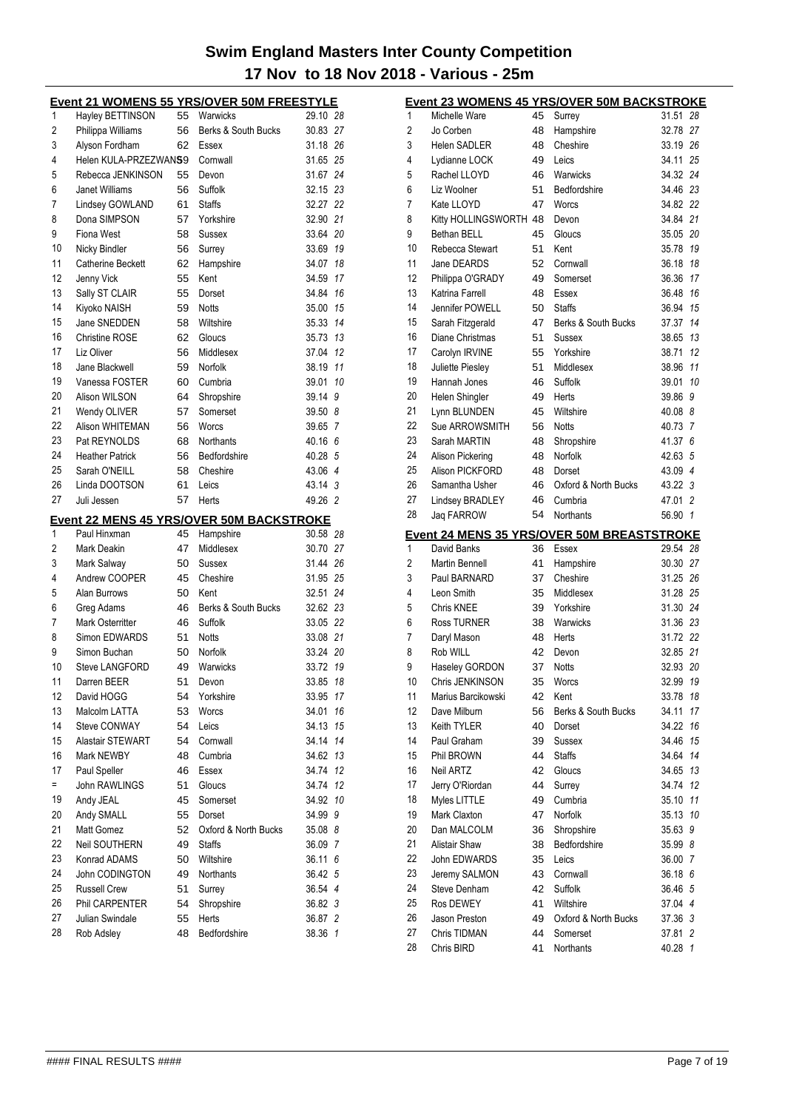|                |                               |          | <u>Event 21 WOMENS 55 YRS/OVER 50M FREESTYLE</u>             |                    |    |
|----------------|-------------------------------|----------|--------------------------------------------------------------|--------------------|----|
| 1              | Hayley BETTINSON              | 55       | Warwicks                                                     | 29.10 28           |    |
| $\overline{2}$ | Philippa Williams             | 56       | Berks & South Bucks                                          | 30.83 27           |    |
| 3              | Alyson Fordham                | 62       | Essex                                                        | 31.18 26           |    |
| 4              | Helen KULA-PRZEZWANS9         |          | Cornwall                                                     | 31.65 25           |    |
| 5              | Rebecca JENKINSON             | 55       | Devon                                                        | 31.67              | 24 |
| 6              | Janet Williams                | 56       | Suffolk                                                      | 32.15 23           |    |
| 7              | Lindsey GOWLAND               | 61       | <b>Staffs</b>                                                | 32.27 22           |    |
| 8              | Dona SIMPSON                  | 57       | Yorkshire                                                    | 32.90 21           |    |
| 9              | Fiona West                    | 58       | <b>Sussex</b>                                                | 33.64              | 20 |
| 10             | Nicky Bindler                 | 56       | Surrey                                                       | 33.69              | 19 |
| 11             | Catherine Beckett             | 62       | Hampshire                                                    | 34.07              | 18 |
| 12             | Jenny Vick                    | 55       | Kent                                                         | 34.59              | 17 |
| 13             | Sally ST CLAIR                | 55       | Dorset                                                       | 34.84              | 16 |
| 14             | Kiyoko NAISH                  | 59       | <b>Notts</b>                                                 | 35.00              | 15 |
| 15             | Jane SNEDDEN                  | 58       | Wiltshire                                                    | 35.33              | 14 |
| 16             | <b>Christine ROSE</b>         | 62       | Gloucs                                                       | 35.73              | 13 |
| 17             | Liz Oliver                    | 56       | Middlesex                                                    | 37.04              | 12 |
| 18             | Jane Blackwell                | 59       | Norfolk                                                      | 38.19              | 11 |
| 19             | Vanessa FOSTER                | 60       | Cumbria                                                      | 39.01              | 10 |
| 20             | Alison WILSON                 | 64       | Shropshire                                                   | 39.14              | 9  |
| 21             | Wendy OLIVER                  | 57       | Somerset                                                     | 39.50 8            |    |
| 22             | Alison WHITEMAN               | 56       | Worcs                                                        | 39.65 7            |    |
| 23             | Pat REYNOLDS                  | 68       | Northants                                                    | 40.16 6            |    |
| 24             | <b>Heather Patrick</b>        | 56       | Bedfordshire                                                 | 40.28 5            |    |
| 25             | Sarah O'NEILL                 | 58       | Cheshire                                                     | 43.06 4            |    |
| 26             | Linda DOOTSON                 | 61       | Leics                                                        | 43.14 3            |    |
| 27             | Juli Jessen                   | 57       | Herts                                                        | 49.26 2            |    |
|                |                               |          |                                                              |                    |    |
| 1              | Paul Hinxman                  | 45       | <b>Event 22 MENS 45 YRS/OVER 50M BACKSTROKE</b><br>Hampshire | 30.58 28           |    |
| $\overline{2}$ | Mark Deakin                   | 47       | Middlesex                                                    | 30.70 27           |    |
| 3              | Mark Salway                   | 50       | <b>Sussex</b>                                                | 31.44 26           |    |
| 4              | Andrew COOPER                 | 45       | Cheshire                                                     | 31.95 25           |    |
| 5              | Alan Burrows                  | 50       | Kent                                                         | 32.51              | 24 |
| 6              | Greg Adams                    | 46       | Berks & South Bucks                                          | 32.62 23           |    |
| 7              | <b>Mark Osterritter</b>       | 46       | Suffolk                                                      | 33.05 22           |    |
| 8              | Simon EDWARDS                 | 51       | <b>Notts</b>                                                 | 33.08 21           |    |
| 9              | Simon Buchan                  | 50       | Norfolk                                                      | 33.24 20           |    |
| 10             | <b>Steve LANGFORD</b>         | 49       | Warwicks                                                     | 33.72              | 19 |
| 11             | Darren BEER                   | 51       | Devon                                                        | 33.85 18           |    |
| 12             | David HOGG                    | 54       | Yorkshire                                                    | 33.95 17           |    |
| 13             | Malcolm LATTA                 | 53       | Worcs                                                        | 34.01              | 16 |
| 14             | Steve CONWAY                  | 54       | Leics                                                        | 34.13              | 15 |
| 15             | Alastair STEWART              | 54       | Cornwall                                                     | 34.14              | 14 |
| 16             | Mark NEWBY                    | 48       | Cumbria                                                      | 34.62              | 13 |
| 17             | Paul Speller                  | 46       | Essex                                                        | 34.74              | 12 |
| Ξ              | John RAWLINGS                 | 51       | Gloucs                                                       | 34.74              | 12 |
| 19             | Andy JEAL                     | 45       | Somerset                                                     | 34.92              | 10 |
| 20             |                               |          |                                                              |                    |    |
| 21             | Andy SMALL                    | 55<br>52 | Dorset                                                       | 34.99              | 9  |
|                | Matt Gomez                    | 49       | Oxford & North Bucks<br><b>Staffs</b>                        | 35.08 8<br>36.09 7 |    |
| 22<br>23       |                               |          |                                                              |                    |    |
|                | Neil SOUTHERN                 |          |                                                              |                    |    |
|                | Konrad ADAMS                  | 50       | Wiltshire                                                    | 36.11 6            |    |
| 24             | John CODINGTON                | 49       | Northants                                                    | 36.42 5            |    |
| 25             | <b>Russell Crew</b>           | 51       | Surrey                                                       | 36.54 4            |    |
| 26             | Phil CARPENTER                | 54       | Shropshire                                                   | 36.82 3            |    |
| 27<br>28       | Julian Swindale<br>Rob Adsley | 55<br>48 | Herts<br>Bedfordshire                                        | 36.87 2<br>38.36 1 |    |

|    |                         |    | <b>Event 23 WOMENS 45 YRS/OVER 50M BACKSTROKE</b> |          |                |
|----|-------------------------|----|---------------------------------------------------|----------|----------------|
| 1  | Michelle Ware           | 45 | Surrey                                            | 31.51    | 28             |
| 2  | Jo Corben               | 48 | Hampshire                                         | 32.78    | 27             |
| 3  | Helen SADLER            | 48 | Cheshire                                          | 33.19 26 |                |
| 4  | Lydianne LOCK           | 49 | Leics                                             | 34.11    | 25             |
| 5  | Rachel LLOYD            | 46 | Warwicks                                          | 34.32 24 |                |
| 6  | Liz Woolner             | 51 | Bedfordshire                                      | 34.46    | 23             |
| 7  | Kate LLOYD              | 47 | Worcs                                             | 34.82 22 |                |
| 8  | Kitty HOLLINGSWORTH 48  |    | Devon                                             | 34.84    | 21             |
| 9  | Bethan BELL             | 45 | Gloucs                                            | 35.05    | 20             |
| 10 | Rebecca Stewart         | 51 | Kent                                              | 35.78    | 19             |
| 11 | Jane DEARDS             | 52 | Cornwall                                          | 36.18    | 18             |
| 12 | Philippa O'GRADY        | 49 | Somerset                                          | 36.36    | 17             |
| 13 | Katrina Farrell         | 48 | Essex                                             | 36.48    | 16             |
| 14 | Jennifer POWELL         | 50 | <b>Staffs</b>                                     | 36.94    | 15             |
| 15 | Sarah Fitzgerald        | 47 | Berks & South Bucks                               | 37.37    | 14             |
| 16 | Diane Christmas         | 51 | Sussex                                            | 38.65    | 13             |
| 17 | Carolyn IRVINE          | 55 | Yorkshire                                         | 38.71    | 12             |
| 18 | <b>Juliette Piesley</b> | 51 | Middlesex                                         | 38.96    | 11             |
| 19 | Hannah Jones            | 46 | Suffolk                                           | 39.01    | 10             |
| 20 | Helen Shingler          | 49 | Herts                                             | 39.86    | 9              |
| 21 | Lynn BLUNDEN            | 45 | Wiltshire                                         | 40.08 8  |                |
| 22 | Sue ARROWSMITH          | 56 | Notts                                             | 40.73    | 7              |
| 23 | Sarah MARTIN            | 48 | Shropshire                                        | 41.37    | 6              |
| 24 | Alison Pickering        | 48 | Norfolk                                           | 42.63    | 5              |
| 25 | Alison PICKFORD         | 48 | Dorset                                            | 43.09    | $\overline{4}$ |
| 26 | Samantha Usher          | 46 | Oxford & North Bucks                              | 43.22    | 3              |
| 27 | Lindsey BRADLEY         | 46 | Cumbria                                           | 47.01    | 2              |
| 28 | Jaq FARROW              | 54 | Northants                                         | 56.90    | $\mathbf{1}$   |
|    |                         |    | <u>Event 24 MENS 35 YRS/OVER 50M BREASTSTROKE</u> |          |                |
| 1  | David Banks             | 36 | Essex                                             | 29.54    | 28             |
| 2  | <b>Martin Bennell</b>   | 41 | Hampshire                                         | 30.30    | 27             |
| 3  | Paul BARNARD            | 37 | Cheshire                                          | 31.25    | -26            |
| 4  | Leon Smith              | 35 | Middlesex                                         | 31.28    | 25             |
| 5  | Chris KNEE              | 39 | Yorkshire                                         | 31.30    | 24             |
| 6  | <b>Ross TURNER</b>      | 38 | Warwicks                                          | 31.36 23 |                |
| 7  | Daryl Mason             | 48 | Herts                                             | 31.72 22 |                |
| 8  | Rob WILL                | 42 | Devon                                             | 32.85 21 |                |
| 9  | Haseley GORDON          | 37 | <b>Notts</b>                                      | 32.93 20 |                |
| 10 | Chris JENKINSON         | 35 | Worcs                                             |          | 19             |
| 11 |                         |    |                                                   | 32.99    |                |
| 12 | Marius Barcikowski      | 42 | Kent                                              | 33.78    | 18             |
|    | Dave Milburn            | 56 | Berks & South Bucks                               | 34.11    | 17             |
| 13 | Keith TYLER             | 40 | Dorset                                            | 34.22    | 16             |
| 14 | Paul Graham             | 39 | <b>Sussex</b>                                     | 34.46    | 15             |
| 15 | Phil BROWN              | 44 | <b>Staffs</b>                                     | 34.64    | 14             |
| 16 | <b>Neil ARTZ</b>        | 42 | Gloucs                                            | 34.65    | 13             |
| 17 | Jerry O'Riordan         | 44 | Surrey                                            | 34.74    | 12             |
| 18 | Myles LITTLE            | 49 | Cumbria                                           | 35.10    | 11             |
| 19 | Mark Claxton            | 47 | Norfolk                                           | 35.13    | 10             |
| 20 | Dan MALCOLM             | 36 | Shropshire                                        | 35.63    | 9              |
| 21 | <b>Alistair Shaw</b>    | 38 | Bedfordshire                                      | 35.99 8  |                |
| 22 | John EDWARDS            | 35 | Leics                                             | 36.00 7  |                |
| 23 | Jeremy SALMON           | 43 | Cornwall                                          | 36.18 6  |                |
| 24 | Steve Denham            | 42 | Suffolk                                           | 36.46    | 5              |
| 25 | Ros DEWEY               | 41 | Wiltshire                                         | 37.04 4  |                |
| 26 | Jason Preston           | 49 | Oxford & North Bucks                              | 37.36 3  |                |
| 27 | Chris TIDMAN            | 44 | Somerset                                          | 37.81    | 2              |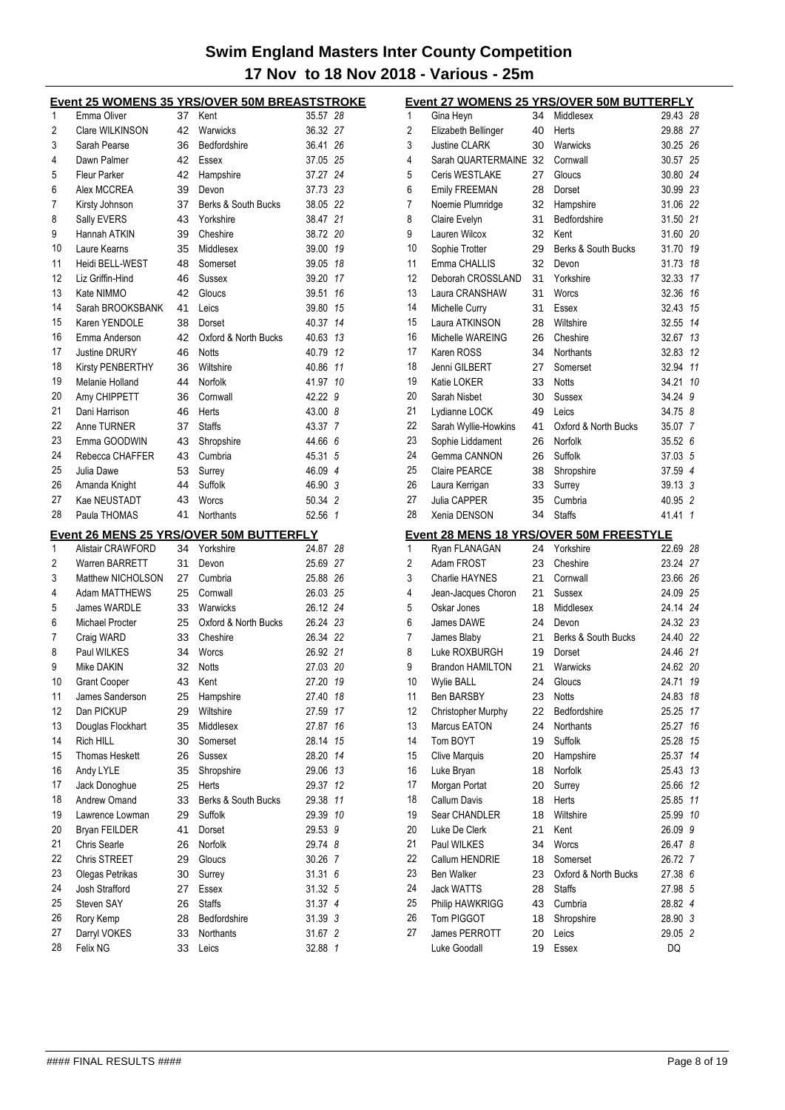|          |                          |          | <b>Event 25 WOMENS 35 YRS/OVER 50M BREASTSTROKE</b>  |                    |    |
|----------|--------------------------|----------|------------------------------------------------------|--------------------|----|
| 1        | Emma Oliver              | 37       | Kent                                                 | 35.57 28           |    |
| 2        | Clare WILKINSON          | 42       | Warwicks                                             | 36.32 27           |    |
| 3        | Sarah Pearse             | 36       | Bedfordshire                                         | 36.41 26           |    |
| 4        | Dawn Palmer              | 42       | Essex                                                | 37.05 25           |    |
| 5        | <b>Fleur Parker</b>      | 42       | Hampshire                                            | 37.27 24           |    |
| 6        | Alex MCCREA              | 39       | Devon                                                | 37.73 23           |    |
| 7        | Kirsty Johnson           | 37       | Berks & South Bucks                                  | 38.05 22           |    |
| 8        | Sally EVERS              | 43       | Yorkshire                                            | 38.47 21           |    |
| 9        | Hannah ATKIN             | 39       | Cheshire                                             | 38.72 20           |    |
| 10       | Laure Kearns             | 35       | Middlesex                                            | 39.00              | 19 |
| 11       | Heidi BELL-WEST          | 48       | Somerset                                             | 39.05              | 18 |
| 12       | Liz Griffin-Hind         | 46       | Sussex                                               | 39.20 17           |    |
| 13       | Kate NIMMO               | 42       | Gloucs                                               | 39.51              | 16 |
| 14       | Sarah BROOKSBANK         | 41       | Leics                                                | 39.80 15           |    |
| 15       | Karen YENDOLE            | 38       | Dorset                                               | 40.37 14           |    |
| 16       | Emma Anderson            | 42       | Oxford & North Bucks                                 | 40.63 13           |    |
| 17       | Justine DRURY            | 46       | <b>Notts</b>                                         | 40.79 12           |    |
| 18       | Kirsty PENBERTHY         | 36       | Wiltshire                                            | 40.86              | 11 |
| 19       | Melanie Holland          | 44       | Norfolk                                              | 41.97 10           |    |
| 20       | Amy CHIPPETT             | 36       | Cornwall                                             | 42.22 9            |    |
| 21       | Dani Harrison            | 46       | Herts                                                | 43.00 8            |    |
| 22       | Anne TURNER              | 37       | <b>Staffs</b>                                        | 43.37 7            |    |
| 23       | Emma GOODWIN             | 43       | Shropshire                                           | 44.66 6            |    |
| 24       | Rebecca CHAFFER          | 43       | Cumbria                                              | 45.31 5            |    |
| 25       | Julia Dawe               | 53       | Surrey                                               | 46.09 4            |    |
| 26       | Amanda Knight            | 44       | Suffolk                                              | 46.90 3            |    |
| 27       | Kae NEUSTADT             | 43       | Worcs                                                | 50.34 2            |    |
| 28       | Paula THOMAS             | 41       | Northants                                            | 52.56 1            |    |
|          |                          |          |                                                      |                    |    |
|          |                          |          |                                                      |                    |    |
| 1        | Alistair CRAWFORD        | 34       | Event 26 MENS 25 YRS/OVER 50M BUTTERFLY<br>Yorkshire | 24.87 28           |    |
| 2        | Warren BARRETT           | 31       | Devon                                                | 25.69 27           |    |
| 3        | Matthew NICHOLSON        | 27       | Cumbria                                              | 25.88 26           |    |
| 4        | <b>Adam MATTHEWS</b>     | 25       | Cornwall                                             | 26.03 25           |    |
| 5        | <b>James WARDLE</b>      | 33       | Warwicks                                             | 26.12 24           |    |
| 6        | Michael Procter          | 25       | Oxford & North Bucks                                 | 26.24 23           |    |
| 7        | Craig WARD               | 33       | Cheshire                                             | 26.34 22           |    |
| 8        | Paul WILKES              | 34       | Worcs                                                | 26.92 21           |    |
| 9        | Mike DAKIN               | 32       | <b>Notts</b>                                         | 27.03 20           |    |
| 10       | <b>Grant Cooper</b>      | 43       | Kent                                                 | 27.20 19           |    |
| 11       | James Sanderson          | 25       | Hampshire                                            | 27.40              | 18 |
| 12       | Dan PICKUP               | 29       | Wiltshire                                            | 27.59              | 17 |
| 13       | Douglas Flockhart        | 35       | Middlesex                                            | 27.87              | 16 |
| 14       | Rich HILL                | 30       | Somerset                                             | 28.14              | 15 |
| 15       | <b>Thomas Heskett</b>    | 26       | Sussex                                               | 28.20              | 14 |
| 16       | Andy LYLE                | 35       | Shropshire                                           | 29.06              | 13 |
| 17       | Jack Donoghue            | 25       | Herts                                                | 29.37              | 12 |
| 18       | Andrew Omand             | 33       | Berks & South Bucks                                  | 29.38              | 11 |
| 19       | Lawrence Lowman          | 29       | Suffolk                                              | 29.39              | 10 |
| 20       | Bryan FEILDER            | 41       | Dorset                                               | 29.53 9            |    |
| 21       | Chris Searle             | 26       | Norfolk                                              | 29.74 8            |    |
| 22       | Chris STREET             | 29       | Gloucs                                               | 30.26 7            |    |
| 23       | Olegas Petrikas          | 30       | Surrey                                               | 31.316             |    |
| 24       | Josh Strafford           | 27       | Essex                                                | 31.32 5            |    |
| 25       | Steven SAY               | 26       | <b>Staffs</b>                                        | 31.37 4            |    |
| 26       | Rory Kemp                | 28       | Bedfordshire                                         | 31.39 3            |    |
| 27<br>28 | Darryl VOKES<br>Felix NG | 33<br>33 | Northants                                            | 31.67 2<br>32.88 1 |    |

|    |                               |    | Event 27 WOMENS 25 YRS/OVER 50M BUTTERFLY                   |          |                |
|----|-------------------------------|----|-------------------------------------------------------------|----------|----------------|
| 1  | Gina Heyn                     | 34 | Middlesex                                                   | 29.43 28 |                |
| 2  | Elizabeth Bellinger           | 40 | Herts                                                       | 29.88 27 |                |
| 3  | <b>Justine CLARK</b>          | 30 | Warwicks                                                    | 30.25 26 |                |
| 4  | Sarah QUARTERMAINE 32         |    | Cornwall                                                    | 30.57    | 25             |
| 5  | Ceris WESTLAKE                | 27 | Gloucs                                                      | 30.80 24 |                |
| 6  | <b>Emily FREEMAN</b>          | 28 | Dorset                                                      | 30.99 23 |                |
| 7  | Noemie Plumridge              | 32 | Hampshire                                                   | 31.06 22 |                |
| 8  | Claire Evelyn                 | 31 | Bedfordshire                                                | 31.50    | 21             |
| 9  | Lauren Wilcox                 | 32 | Kent                                                        | 31.60    | 20             |
| 10 | Sophie Trotter                | 29 | Berks & South Bucks                                         | 31.70    | 19             |
| 11 | Emma CHALLIS                  | 32 | Devon                                                       | 31.73    | 18             |
| 12 | Deborah CROSSLAND             | 31 | Yorkshire                                                   | 32.33    | 17             |
| 13 | Laura CRANSHAW                | 31 | Worcs                                                       | 32.36    | 16             |
| 14 | Michelle Curry                | 31 | Essex                                                       | 32.43    | 15             |
| 15 | Laura ATKINSON                | 28 | Wiltshire                                                   | 32.55    | 14             |
| 16 | Michelle WAREING              | 26 | Cheshire                                                    | 32.67    | 13             |
| 17 | Karen ROSS                    | 34 | Northants                                                   | 32.83    | 12             |
| 18 | Jenni GILBERT                 | 27 | Somerset                                                    | 32.94    | 11             |
| 19 | Katie LOKER                   | 33 | Notts                                                       | 34.21    | 10             |
| 20 | Sarah Nisbet                  | 30 | Sussex                                                      | 34.24    | 9              |
| 21 | Lydianne LOCK                 | 49 | Leics                                                       | 34.75 8  |                |
| 22 | Sarah Wyllie-Howkins          | 41 | Oxford & North Bucks                                        | 35.07    | 7              |
| 23 | Sophie Liddament              | 26 | Norfolk                                                     | 35.52    | 6              |
| 24 | Gemma CANNON                  | 26 | Suffolk                                                     | 37.03    | 5              |
| 25 | <b>Claire PEARCE</b>          | 38 | Shropshire                                                  | 37.59 4  |                |
| 26 | Laura Kerrigan                | 33 | Surrey                                                      | 39.13 3  |                |
| 27 | Julia CAPPER                  | 35 | Cumbria                                                     | 40.95 2  |                |
| 28 | Xenia DENSON                  | 34 | <b>Staffs</b>                                               | 41.41    | $\overline{1}$ |
|    |                               |    |                                                             |          |                |
|    |                               |    |                                                             |          |                |
| 1  | Ryan FLANAGAN                 | 24 | <u>Event 28 MENS 18 YRS/OVER 50M FREESTYLE</u><br>Yorkshire | 22.69    | 28             |
| 2  | Adam FROST                    | 23 | Cheshire                                                    | 23.24 27 |                |
| 3  | <b>Charlie HAYNES</b>         | 21 | Cornwall                                                    | 23.66 26 |                |
| 4  | Jean-Jacques Choron           | 21 | Sussex                                                      | 24.09    | 25             |
| 5  | Oskar Jones                   | 18 | Middlesex                                                   | 24.14 24 |                |
| 6  | James DAWE                    | 24 | Devon                                                       | 24.32 23 |                |
| 7  | James Blaby                   | 21 | Berks & South Bucks                                         | 24.40    | 22             |
| 8  | Luke ROXBURGH                 | 19 | Dorset                                                      | 24.46    | 21             |
| 9  | <b>Brandon HAMILTON</b>       | 21 | Warwicks                                                    | 24.62 20 |                |
| 10 | Wylie BALL                    | 24 | Gloucs                                                      | 24.71 19 |                |
| 11 | Ben BARSBY                    | 23 | Notts                                                       | 24.83    | 18             |
| 12 | Christopher Murphy            | 22 | Bedfordshire                                                | 25.25    | 17             |
| 13 | Marcus EATON                  | 24 | Northants                                                   | 25.27    | 16             |
| 14 | Tom BOYT                      | 19 | Suffolk                                                     | 25.28    | 15             |
| 15 | <b>Clive Marquis</b>          | 20 | Hampshire                                                   | 25.37    | 14             |
| 16 | Luke Bryan                    | 18 | Norfolk                                                     | 25.43    | 13             |
| 17 | Morgan Portat                 | 20 | Surrey                                                      | 25.66    | 12             |
| 18 | <b>Callum Davis</b>           | 18 | Herts                                                       | 25.85    | 11             |
| 19 | Sear CHANDLER                 | 18 | Wiltshire                                                   | 25.99    | 10             |
| 20 | Luke De Clerk                 | 21 | Kent                                                        | 26.09    | 9              |
| 21 | Paul WILKES                   | 34 | Worcs                                                       | 26.47 8  |                |
| 22 | Callum HENDRIE                | 18 | Somerset                                                    | 26.72 7  |                |
| 23 | <b>Ben Walker</b>             | 23 | Oxford & North Bucks                                        | 27.38 6  |                |
| 24 | <b>Jack WATTS</b>             | 28 | Staffs                                                      | 27.98    | 5              |
| 25 | Philip HAWKRIGG               | 43 | Cumbria                                                     | 28.82 4  |                |
| 26 | Tom PIGGOT                    | 18 | Shropshire                                                  | 28.90 3  |                |
| 27 | James PERROTT<br>Luke Goodall | 20 | Leics                                                       | 29.05 2  |                |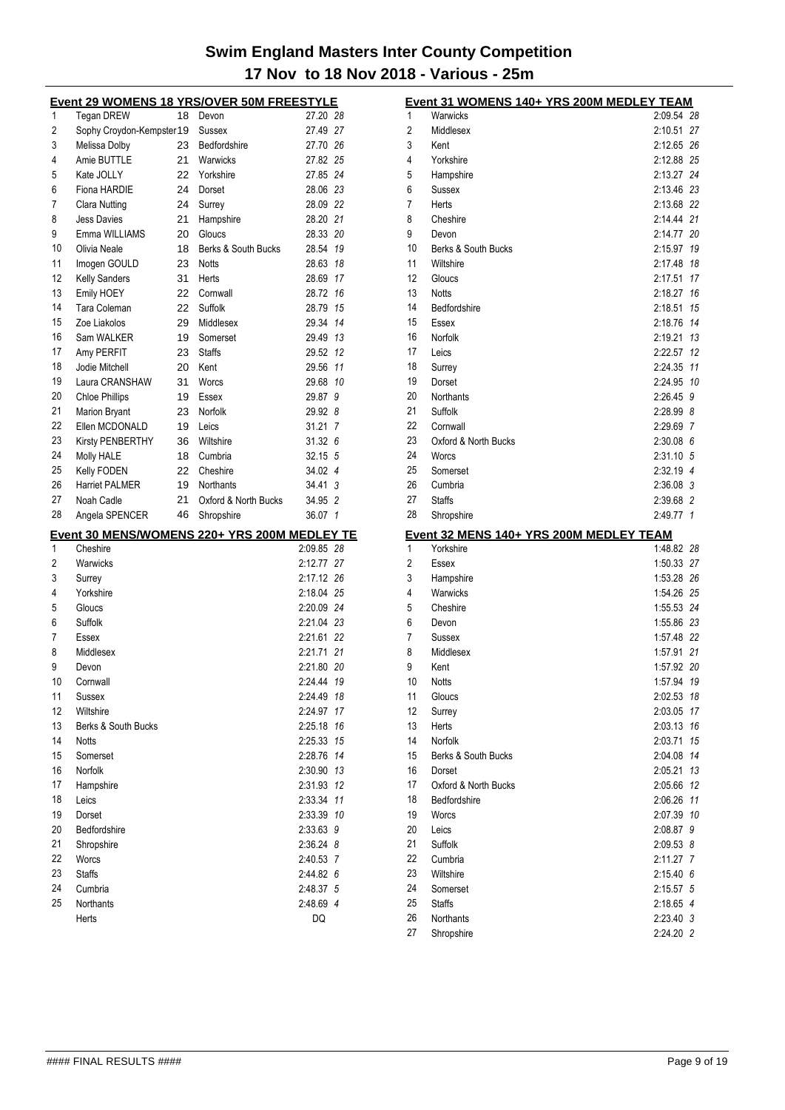|    | <u>Event 29 WOMENS 18 YRS/OVER 50M FREESTYLE</u> |    |                      |                 |
|----|--------------------------------------------------|----|----------------------|-----------------|
| 1  | Tegan DREW                                       | 18 | Devon                | 27.20 28        |
| 2  | Sophy Croydon-Kempster19                         |    | Sussex               | 27.49 27        |
| 3  | Melissa Dolby                                    | 23 | Bedfordshire         | 27.70 26        |
| 4  | Amie BUTTLE                                      | 21 | Warwicks             | 27.82 25        |
| 5  | Kate JOLLY                                       | 22 | Yorkshire            | 27.85 24        |
| 6  | Fiona HARDIE                                     | 24 | Dorset               | 28.06 23        |
| 7  | Clara Nutting                                    | 24 | Surrey               | 28.09 22        |
| 8  | <b>Jess Davies</b>                               | 21 | Hampshire            | 28.20 21        |
| 9  | Emma WILLIAMS                                    | 20 | Gloucs               | 28.33<br>20     |
| 10 | Olivia Neale                                     | 18 | Berks & South Bucks  | 28.54<br>19     |
| 11 | Imogen GOULD                                     | 23 | Notts                | 28.63<br>18     |
| 12 | <b>Kelly Sanders</b>                             | 31 | Herts                | 28.69<br>17     |
| 13 | Emily HOEY                                       | 22 | Cornwall             | 28.72<br>16     |
| 14 | Tara Coleman                                     | 22 | Suffolk              | 28.79<br>15     |
| 15 | Zoe Liakolos                                     | 29 | Middlesex            | 29.34<br>14     |
| 16 | Sam WALKER                                       | 19 | Somerset             | 29.49 13        |
| 17 | Amy PERFIT                                       | 23 | <b>Staffs</b>        | 29.52<br>12     |
| 18 | Jodie Mitchell                                   | 20 | Kent                 | 29.56<br>11     |
| 19 | Laura CRANSHAW                                   | 31 | Worcs                | 29.68<br>10     |
| 20 | <b>Chloe Phillips</b>                            | 19 | Essex                | 29.87<br>9      |
| 21 | <b>Marion Bryant</b>                             | 23 | Norfolk              | 29.92 8         |
| 22 | Ellen MCDONALD                                   | 19 | Leics                | 31.21 7         |
| 23 | Kirsty PENBERTHY                                 | 36 | Wiltshire            | 31.32 6         |
| 24 | Molly HALE                                       | 18 | Cumbria              | 32.15 5         |
| 25 | Kelly FODEN                                      | 22 | Cheshire             | 34.02 4         |
| 26 | <b>Harriet PALMER</b>                            | 19 | Northants            | 34.41 3         |
| 27 | Noah Cadle                                       | 21 | Oxford & North Bucks | 34.95 2         |
|    |                                                  |    |                      |                 |
| 28 |                                                  |    |                      |                 |
|    | Angela SPENCER                                   | 46 | Shropshire           | 36.07 1         |
|    | Event 30 MENS/WOMENS 220+ YRS 200M MEDLEY TE     |    |                      |                 |
| 1  | Cheshire                                         |    |                      | 2:09.85 28      |
| 2  | Warwicks                                         |    |                      | 2:12.77 27      |
| 3  | Surrey                                           |    |                      | 2:17.12 26      |
| 4  | Yorkshire                                        |    |                      | 2:18.04 25      |
| 5  | Gloucs                                           |    |                      | 2:20.09 24      |
| 6  | Suffolk                                          |    |                      | 2:21.04 23      |
| 7  | Essex                                            |    |                      | 2:21.61 22      |
| 8  | Middlesex                                        |    |                      | 2:21.71 21      |
| 9  | Devon                                            |    |                      | 2:21.80 20      |
| 10 | Cornwall                                         |    |                      | 2:24.44<br>19   |
| 11 | Sussex                                           |    |                      | 2:24.49<br>18   |
| 12 | Wiltshire                                        |    |                      | 2:24.97<br>17   |
| 13 | Berks & South Bucks                              |    |                      | 2:25.18<br>16   |
| 14 | <b>Notts</b>                                     |    |                      | 2:25.33<br>15   |
| 15 | Somerset                                         |    |                      | 14<br>2:28.76   |
| 16 | Norfolk                                          |    |                      | 2:30.90<br>13   |
| 17 | Hampshire                                        |    |                      | 2:31.93<br>12   |
| 18 | Leics                                            |    |                      | 2:33.34<br>11   |
| 19 | Dorset                                           |    |                      | 2:33.39<br>10   |
| 20 | Bedfordshire                                     |    |                      | 2:33.63 9       |
| 21 | Shropshire                                       |    |                      | 2:36.24 8       |
| 22 | Worcs                                            |    |                      | 2:40.53 7       |
| 23 | <b>Staffs</b>                                    |    |                      | 2:44.82 6       |
| 24 | Cumbria                                          |    |                      | 2:48.37 5       |
| 25 | Northants<br>Herts                               |    |                      | 2:48.69 4<br>DQ |

|          | Event 31 WOMENS 140+ YRS 200M MEDLEY TEAM |                        |    |
|----------|-------------------------------------------|------------------------|----|
| 1        | Warwicks                                  | 2:09.54                | 28 |
| 2        | Middlesex                                 | 2:10.51                | 27 |
| 3        | Kent                                      | 2:12.65                | 26 |
| 4        | Yorkshire                                 | 2:12.88 25             |    |
| 5        | Hampshire                                 | 2:13.27                | 24 |
| 6        | Sussex                                    | 2:13.46 23             |    |
| 7        | Herts                                     | 2:13.68 22             |    |
| 8        | Cheshire                                  | 2:14.44 21             |    |
| 9        | Devon                                     | 2:14.77                | 20 |
| 10       | Berks & South Bucks                       | 2:15.97                | 19 |
| 11       | Wiltshire                                 | 2:17.48                | 18 |
| 12       | Gloucs                                    | 2:17.51                | 17 |
| 13       | <b>Notts</b>                              | 2:18.27                | 16 |
| 14       | Bedfordshire                              | 2:18.51                | 15 |
| 15       | Essex                                     | 2:18.76                | 14 |
| 16       | Norfolk                                   | 2:19.21                | 13 |
| 17       | Leics                                     | 2:22.57                | 12 |
| 18       | Surrey                                    | 2:24.35                | 11 |
| 19       | Dorset                                    | 2:24.95                | 10 |
| 20       | <b>Northants</b>                          | 2:26.45                | 9  |
| 21       | Suffolk                                   | 2:28.99                | 8  |
| 22       | Cornwall                                  | 2:29.69                | 7  |
| 23       | Oxford & North Bucks                      | 2:30.08 6              |    |
| 24       | Worcs                                     | 2:31.10 5              |    |
| 25       | Somerset                                  | 2:32.19 4              |    |
| 26       | Cumbria                                   | 2:36.08 3              |    |
| 27       | <b>Staffs</b>                             | 2:39.68 2              |    |
|          |                                           |                        |    |
| 28       | Shropshire                                | 2:49.77 1              |    |
|          | Event 32 MENS 140+ YRS 200M MEDLEY TEAM   |                        |    |
| 1        | Yorkshire                                 | 1:48.82 28             |    |
| 2        | Essex                                     | 1:50.33                | 27 |
| 3        | Hampshire                                 | 1:53.28                | 26 |
| 4        | Warwicks                                  | 1:54.26                | 25 |
| 5        | Cheshire                                  | 1:55.53 24             |    |
| 6        | Devon                                     | 1:55.86 23             |    |
| 7        | Sussex                                    | 1:57.48                | 22 |
| 8        | Middlesex                                 | 1:57.91                | 21 |
| 9        | Kent                                      | 1:57.92 20             |    |
| 10       | Notts                                     | 1:57.94 19             |    |
| 11       | Gloucs                                    | 2:02.53                | 18 |
| 12       | Surrey                                    | 2:03.05                | 17 |
| 13       | Herts                                     | 2:03.13                | 16 |
| 14       | Norfolk                                   | 2:03.71                | 15 |
| 15       | Berks & South Bucks                       | 2:04.08                | 14 |
| 16       | Dorset                                    | 2:05.21                | 13 |
| 17       | Oxford & North Bucks                      | 2:05.66                | 12 |
| 18       | Bedfordshire                              | 2:06.26                | 11 |
| 19       | Worcs                                     | 2:07.39                | 10 |
| 20       | Leics                                     | 2:08.87                | 9  |
| 21       | Suffolk                                   | 2:09.53 8              |    |
| 22       | Cumbria                                   | 2:11.27 7              |    |
| 23       | Wiltshire                                 | 2:15.406               |    |
| 24<br>25 | Somerset<br><b>Staffs</b>                 | 2:15.57 5              |    |
| 26       | Northants                                 | 2:18.65 4<br>2:23.40 3 |    |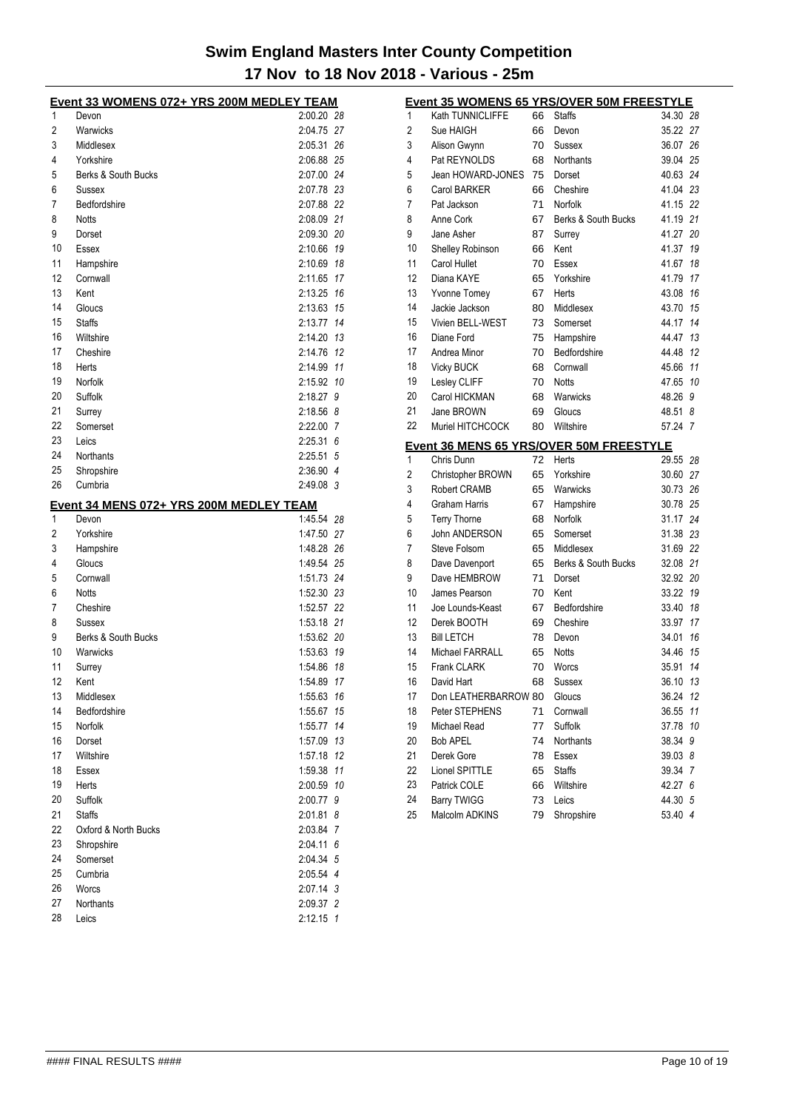|          | Event 33 WOMENS 072+ YRS 200M MEDLEY TEAM |             |     |
|----------|-------------------------------------------|-------------|-----|
| 1        | Devon                                     | 2:00.20 28  |     |
| 2        | Warwicks                                  | 2:04.75 27  |     |
| 3        | Middlesex                                 | 2:05.31 26  |     |
| 4        | Yorkshire                                 | 2:06.88 25  |     |
| 5        | Berks & South Bucks                       | 2:07.00 24  |     |
| 6        | <b>Sussex</b>                             | 2:07.78 23  |     |
| 7        | Bedfordshire                              | 2:07.88 22  |     |
| 8        | <b>Notts</b>                              | 2:08.09 21  |     |
| 9        | Dorset                                    | 2:09.30 20  |     |
| 10       | Essex                                     | 2:10.66 19  |     |
| 11       | Hampshire                                 | 2:10.69     | 18  |
| 12       | Cornwall                                  | 2:11.65     | 17  |
| 13       | Kent                                      | 2:13.25 16  |     |
| 14       | Gloucs                                    | 2:13.63 15  |     |
| 15       | <b>Staffs</b>                             | 2:13.77 14  |     |
| 16       | Wiltshire                                 | 2:14.20 13  |     |
| 17       | Cheshire                                  | 2:14.76 12  |     |
| 18       | Herts                                     | 2:14.99     | 11  |
| 19       | Norfolk                                   | 2:15.92     | 10  |
| 20       | Suffolk                                   | 2:18.27     | 9   |
| 21       | Surrey                                    | 2:18.56 8   |     |
| 22       | Somerset                                  | 2:22.00 7   |     |
| 23       | Leics                                     | 2:25.31     | 6   |
| 24       | Northants                                 | 2:25.51 5   |     |
| 25       | Shropshire                                | 2:36.90 4   |     |
| 26       | Cumbria                                   | 2:49.08 3   |     |
|          | Event 34 MENS 072+ YRS 200M MEDLEY TEAM   |             |     |
|          |                                           |             |     |
| 1        | Devon                                     | 1:45.54 28  |     |
| 2        | Yorkshire                                 | 1:47.50 27  |     |
| 3        |                                           | 1:48.28 26  |     |
| 4        | Hampshire<br>Gloucs                       | 1:49.54 25  |     |
| 5        | Cornwall                                  | 1:51.73 24  |     |
| 6        | <b>Notts</b>                              | 1:52.30 23  |     |
| 7        | Cheshire                                  | 1:52.57 22  |     |
| 8        | Sussex                                    | 1:53.18 21  |     |
| 9        | Berks & South Bucks                       | 1:53.62 20  |     |
| 10       | Warwicks                                  | 1:53.63 19  |     |
| 11       | Surrey                                    | 1:54.86     | 18  |
| 12       | Kent                                      | 1:54.89     | 17  |
| 13       | Middlesex                                 | 1:55.63     | 16  |
| 14       | Bedfordshire                              | 1:55.67     | 15  |
| 15       | Norfolk                                   | 1:55.77     | 14  |
| 16       | Dorset                                    | 1:57.09 13  |     |
| 17       | Wiltshire                                 | 1:57.18 12  |     |
| 18       | Essex                                     | 1:59.38     | 11  |
| 19       | Herts                                     | 2:00.59     | 10  |
| 20       | Suffolk                                   | 2:00.77     | - 9 |
| 21       | <b>Staffs</b>                             | 2:01.81     | - 8 |
| 22       | Oxford & North Bucks                      | 2:03.84 7   |     |
| 23       | Shropshire                                | $2:04.11$ 6 |     |
| 24       | Somerset                                  | 2:04.34 5   |     |
| 25       | Cumbria                                   | 2:05.54 4   |     |
| 26       | Worcs                                     | 2:07.14 3   |     |
| 27<br>28 | Northants                                 | 2:09.37 2   |     |

|                |                         |    | Event 35 WOMENS 65 YRS/OVER 50M FREESTYLE |          |                |
|----------------|-------------------------|----|-------------------------------------------|----------|----------------|
| 1              | Kath TUNNICLIFFE        | 66 | <b>Staffs</b>                             | 34.30 28 |                |
| 2              | Sue HAIGH               | 66 | Devon                                     | 35.22 27 |                |
| 3              | Alison Gwynn            | 70 | Sussex                                    | 36.07 26 |                |
| 4              | Pat REYNOLDS            | 68 | Northants                                 | 39.04 25 |                |
| 5              | Jean HOWARD-JONES       | 75 | Dorset                                    | 40.63 24 |                |
| 6              | Carol BARKER            | 66 | Cheshire                                  | 41.04 23 |                |
| 7              | Pat Jackson             | 71 | Norfolk                                   | 41.15 22 |                |
| 8              | Anne Cork               | 67 | Berks & South Bucks                       | 41.19 21 |                |
| 9              | Jane Asher              | 87 | Surrey                                    | 41.27 20 |                |
| 10             | <b>Shelley Robinson</b> | 66 | Kent                                      | 41.37    | 19             |
| 11             | Carol Hullet            | 70 | Essex                                     | 41.67    | 18             |
| 12             | Diana KAYE              | 65 | Yorkshire                                 | 41.79    | 17             |
| 13             | <b>Yvonne Tomey</b>     | 67 | Herts                                     | 43.08    | 16             |
| 14             | Jackie Jackson          | 80 | Middlesex                                 | 43.70 15 |                |
| 15             | Vivien BELL-WEST        | 73 | Somerset                                  | 44.17    | 14             |
| 16             | Diane Ford              | 75 | Hampshire                                 | 44.47 13 |                |
| 17             | Andrea Minor            | 70 | Bedfordshire                              | 44.48    | 12             |
| 18             | <b>Vicky BUCK</b>       | 68 | Cornwall                                  | 45.66    | 11             |
| 19             | Lesley CLIFF            | 70 | <b>Notts</b>                              | 47.65    | 10             |
| 20             | Carol HICKMAN           | 68 | Warwicks                                  | 48.26    | 9              |
| 21             | Jane BROWN              | 69 | Gloucs                                    | 48.51    | 8              |
| 22             | Muriel HITCHCOCK        | 80 | Wiltshire                                 | 57.24    | $\overline{7}$ |
|                |                         |    | Event 36 MENS 65 YRS/OVER 50M FREESTYLE   |          |                |
| 1              | Chris Dunn              | 72 | Herts                                     | 29.55 28 |                |
| $\overline{c}$ | Christopher BROWN       | 65 | Yorkshire                                 | 30.60 27 |                |
| 3              | <b>Robert CRAMB</b>     | 65 | Warwicks                                  | 30.73 26 |                |
| 4              | Graham Harris           | 67 | Hampshire                                 | 30.78 25 |                |
| 5              | <b>Terry Thorne</b>     | 68 | Norfolk                                   | 31.17 24 |                |
| 6              | John ANDERSON           | 65 | Somerset                                  | 31.38 23 |                |
| 7              | Steve Folsom            | 65 | Middlesex                                 | 31.69 22 |                |
| 8              | Dave Davenport          | 65 | Berks & South Bucks                       | 32.08 21 |                |
| 9              | Dave HEMBROW            | 71 | Dorset                                    | 32.92 20 |                |
| 10             | James Pearson           | 70 | Kent                                      | 33.22 19 |                |
| 11             | Joe Lounds-Keast        | 67 | Bedfordshire                              | 33.40    | 18             |
| 12             | Derek BOOTH             | 69 | Cheshire                                  | 33.97    | 17             |
| 13             | <b>Bill LETCH</b>       | 78 | Devon                                     | 34.01    | 16             |
| 14             | Michael FARRALL         | 65 | <b>Notts</b>                              | 34.46    | 15             |
| 15             | <b>Frank CLARK</b>      | 70 | Worcs                                     | 35.91    | 14             |
| 16             | David Hart              | 68 | Sussex                                    | 36.10    | 13             |
| 17             | Don LEATHERBARROW 80    |    | Gloucs                                    | 36.24    | 12             |
| 18             | Peter STEPHENS          | 71 | Cornwall                                  | 36.55    | 11             |
| 19             | Michael Read            | 77 | Suffolk                                   | 37.78    | 10             |
| 20             | <b>Bob APEL</b>         | 74 | <b>Northants</b>                          | 38.34    | 9              |
| 21             | Derek Gore              | 78 | Essex                                     | 39.03 8  |                |
| 22             | Lionel SPITTLE          | 65 | <b>Staffs</b>                             | 39.34    | 7              |
| 23             | Patrick COLE            | 66 | Wiltshire                                 | 42.27 6  |                |
| 24             | <b>Barry TWIGG</b>      | 73 | Leics                                     | 44.30 5  |                |
| 25             | Malcolm ADKINS          | 79 | Shropshire                                | 53.40 4  |                |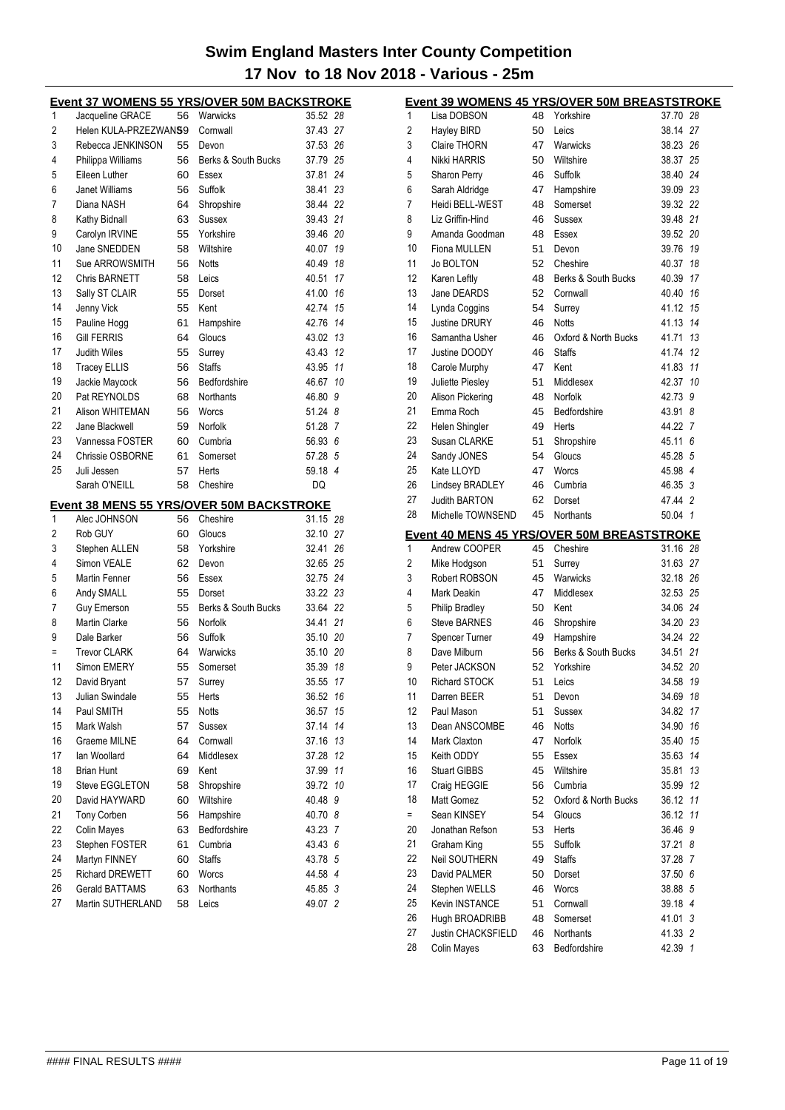|    |                        |    | <b>Event 37 WOMENS 55 YRS/OVER 50M BACKSTROKE</b> |          |    |
|----|------------------------|----|---------------------------------------------------|----------|----|
| 1  | Jacqueline GRACE       | 56 | Warwicks                                          | 35.52 28 |    |
| 2  | Helen KULA-PRZEZWANS9  |    | Cornwall                                          | 37.43 27 |    |
| 3  | Rebecca JENKINSON      | 55 | Devon                                             | 37.53 26 |    |
| 4  | Philippa Williams      | 56 | Berks & South Bucks                               | 37.79 25 |    |
| 5  | Eileen Luther          | 60 | Essex                                             | 37.81    | 24 |
| 6  | <b>Janet Williams</b>  | 56 | Suffolk                                           | 38.41    | 23 |
| 7  | Diana NASH             | 64 | Shropshire                                        | 38.44 22 |    |
| 8  | Kathy Bidnall          | 63 | Sussex                                            | 39.43 21 |    |
| 9  | Carolyn IRVINE         | 55 | Yorkshire                                         | 39.46 20 |    |
| 10 | Jane SNEDDEN           | 58 | Wiltshire                                         | 40.07 19 |    |
| 11 | Sue ARROWSMITH         | 56 | <b>Notts</b>                                      | 40.49 18 |    |
| 12 | Chris BARNETT          | 58 | Leics                                             | 40.51    | 17 |
| 13 | Sally ST CLAIR         | 55 | Dorset                                            | 41.00    | 16 |
| 14 | Jenny Vick             | 55 | Kent                                              | 42.74 15 |    |
| 15 | Pauline Hogg           | 61 | Hampshire                                         | 42.76 14 |    |
| 16 | <b>Gill FERRIS</b>     | 64 | Gloucs                                            | 43.02 13 |    |
| 17 | Judith Wiles           | 55 | Surrey                                            | 43.43 12 |    |
| 18 | <b>Tracey ELLIS</b>    | 56 | <b>Staffs</b>                                     | 43.95 11 |    |
| 19 | Jackie Maycock         | 56 | Bedfordshire                                      | 46.67    | 10 |
| 20 | Pat REYNOLDS           | 68 | Northants                                         | 46.80 9  |    |
| 21 | Alison WHITEMAN        | 56 | Worcs                                             | 51.24 8  |    |
| 22 | Jane Blackwell         | 59 | Norfolk                                           | 51.28 7  |    |
| 23 | Vannessa FOSTER        | 60 | Cumbria                                           | 56.93 6  |    |
| 24 | Chrissie OSBORNE       | 61 | Somerset                                          | 57.28 5  |    |
| 25 | Juli Jessen            | 57 | <b>Herts</b>                                      | 59.18 4  |    |
|    | Sarah O'NEILL          | 58 | Cheshire                                          | DQ       |    |
|    |                        |    | Event 38 MENS 55 YRS/OVER 50M BACKSTROKE          |          |    |
| 1  | Alec JOHNSON           | 56 | Cheshire                                          | 31.15 28 |    |
| 2  | Rob GUY                | 60 | Gloucs                                            | 32.10 27 |    |
| 3  | Stephen ALLEN          | 58 | Yorkshire                                         | 32.41    | 26 |
| 4  | Simon VEALE            | 62 | Devon                                             | 32.65 25 |    |
| 5  | Martin Fenner          | 56 | Essex                                             | 32.75 24 |    |
| 6  | Andy SMALL             | 55 | Dorset                                            | 33.22 23 |    |
| 7  | <b>Guy Emerson</b>     | 55 | Berks & South Bucks                               | 33.64 22 |    |
| 8  | <b>Martin Clarke</b>   | 56 | Norfolk                                           | 34.41 21 |    |
| 9  | Dale Barker            | 56 | Suffolk                                           | 35.10 20 |    |
| Ξ  | <b>Trevor CLARK</b>    | 64 | Warwicks                                          | 35.10 20 |    |
| 11 | Simon EMERY            | 55 | Somerset                                          | 35.39 18 |    |
| 12 | David Bryant           | 57 | Surrey                                            | 35.55 17 |    |
| 13 | Julian Swindale        | 55 | Herts                                             | 36.52    | 16 |
| 14 | Paul SMITH             | 55 | <b>Notts</b>                                      | 36.57    | 15 |
| 15 | Mark Walsh             | 57 | Sussex                                            | 37.14    | 14 |
| 16 | Graeme MILNE           | 64 | Cornwall                                          | 37.16    | 13 |
| 17 | lan Woollard           | 64 | Middlesex                                         | 37.28    | 12 |
| 18 | <b>Brian Hunt</b>      | 69 | Kent                                              | 37.99    | 11 |
| 19 | <b>Steve EGGLETON</b>  | 58 | Shropshire                                        | 39.72    | 10 |
| 20 | David HAYWARD          | 60 | Wiltshire                                         | 40.48    | 9  |
| 21 | <b>Tony Corben</b>     | 56 | Hampshire                                         | 40.70 8  |    |
| 22 | <b>Colin Mayes</b>     | 63 | Bedfordshire                                      | 43.23 7  |    |
| 23 | Stephen FOSTER         | 61 | Cumbria                                           | 43.43 6  |    |
| 24 | Martyn FINNEY          | 60 | <b>Staffs</b>                                     | 43.78 5  |    |
| 25 | <b>Richard DREWETT</b> | 60 | Worcs                                             | 44.58 4  |    |
| 26 | <b>Gerald BATTAMS</b>  | 63 | Northants                                         | 45.85 3  |    |
| 27 | Martin SUTHERLAND      | 58 | Leics                                             | 49.07 2  |    |

|     | Event 39 WOMENS 45 YRS/OVER 50M BREASTSTROKE                |          |                       |                    |
|-----|-------------------------------------------------------------|----------|-----------------------|--------------------|
| 1   | Lisa DOBSON                                                 |          | 48 Yorkshire          | 37.70 28           |
| 2   | <b>Hayley BIRD</b>                                          | 50       | Leics                 | 38.14 27           |
| 3   | <b>Claire THORN</b>                                         | 47       | Warwicks              | 38.23 26           |
| 4   | <b>Nikki HARRIS</b>                                         | 50       | Wiltshire             | 38.37 25           |
| 5   | <b>Sharon Perry</b>                                         | 46       | Suffolk               | 38.40 24           |
| 6   | Sarah Aldridge                                              | 47       | Hampshire             | 39.09 23           |
| 7   | Heidi BELL-WEST                                             | 48       | Somerset              | 39.32 22           |
| 8   | Liz Griffin-Hind                                            | 46       | Sussex                | 39.48 21           |
| 9   | Amanda Goodman                                              | 48       | Essex                 | 39.52 20           |
| 10  | Fiona MULLEN                                                | 51       | Devon                 | 19<br>39.76        |
| 11  | <b>Jo BOLTON</b>                                            | 52       | Cheshire              | 40.37<br>18        |
| 12  | Karen Leftly                                                | 48       | Berks & South Bucks   | 17<br>40.39        |
| 13  | Jane DEARDS                                                 | 52       | Cornwall              | 40.40<br>16        |
| 14  | Lynda Coggins                                               | 54       | Surrey                | 15<br>41.12        |
| 15  | <b>Justine DRURY</b>                                        | 46       | <b>Notts</b>          | 14<br>41.13        |
| 16  | Samantha Usher                                              | 46       | Oxford & North Bucks  | 13<br>41.71        |
| 17  | Justine DOODY                                               | 46       | <b>Staffs</b>         | 12<br>41.74        |
| 18  | Carole Murphy                                               | 47       | Kent                  | 41.83<br>11        |
| 19  | Juliette Piesley                                            | 51       | Middlesex             | 42.37<br>10        |
| 20  | <b>Alison Pickering</b>                                     | 48       | Norfolk               | 42.73 9            |
| 21  | Emma Roch                                                   | 45       | Bedfordshire          | 43.91<br>8         |
| 22  | Helen Shingler                                              | 49       | Herts                 | 44.22 7            |
| 23  | Susan CLARKE                                                | 51       | Shropshire            | 45.11 6            |
| 24  | Sandy JONES                                                 | 54       | Gloucs                | 45.28 5            |
| 25  | Kate LLOYD                                                  | 47       | Worcs                 | 45.98 4            |
| 26  | Lindsey BRADLEY                                             | 46       | Cumbria               | 46.35 3            |
| 27  | <b>Judith BARTON</b>                                        | 62       | Dorset                | 47.44 2            |
| 28  | Michelle TOWNSEND                                           | 45       | <b>Northants</b>      | 50.04 1            |
|     |                                                             |          |                       |                    |
| 1   | Event 40 MENS 45 YRS/OVER 50M BREASTSTROKE<br>Andrew COOPER | 45       | Cheshire              | 31.16 28           |
| 2   | Mike Hodgson                                                | 51       | Surrey                | 31.63 27           |
| 3   | Robert ROBSON                                               | 45       | Warwicks              | 32.18 26           |
| 4   | Mark Deakin                                                 | 47       | Middlesex             | 32.53 25           |
| 5   | <b>Philip Bradley</b>                                       | 50       | Kent                  | 34.06 24           |
| 6   | <b>Steve BARNES</b>                                         | 46       | Shropshire            | 34.20 23           |
| 7   | Spencer Turner                                              | 49       | Hampshire             | 34.24 22           |
| 8   | Dave Milburn                                                | 56       | Berks & South Bucks   | 21<br>34.51        |
| 9   | Peter JACKSON                                               | 52       | Yorkshire             | 34.52 20           |
| 10  | Richard STOCK                                               | 51       | Leics                 | 34.58<br>19        |
| 11  | Darren BEER                                                 | 51       | Devon                 | 34.69<br>18        |
| 12  | Paul Mason                                                  | 51       | Sussex                | 34.82<br>17        |
| 13  | Dean ANSCOMBE                                               | 46       | Notts                 | 34.90<br>16        |
| 14  | Mark Claxton                                                | 47       | Norfolk               | 15<br>35.40        |
| 15  | Keith ODDY                                                  | 55       | Essex                 | 14<br>35.63        |
| 16  | <b>Stuart GIBBS</b>                                         | 45       | Wiltshire             | 35.81<br>13        |
| 17  | Craig HEGGIE                                                | 56       | Cumbria               | 35.99<br>12        |
| 18  | Matt Gomez                                                  | 52       | Oxford & North Bucks  | 36.12<br>11        |
| $=$ | Sean KINSEY                                                 | 54       | Gloucs                | 36.12<br>11        |
| 20  | Jonathan Refson                                             | 53       | <b>Herts</b>          | 36.46 9            |
| 21  | Graham King                                                 | 55       | Suffolk               | 37.21<br>8         |
| 22  | <b>Neil SOUTHERN</b>                                        | 49       | <b>Staffs</b>         | 37.28 7            |
| 23  | David PALMER                                                |          | Dorset                | 37.50 6            |
| 24  | Stephen WELLS                                               | 50<br>46 | Worcs                 | 38.88 5            |
| 25  | Kevin INSTANCE                                              | 51       |                       | 39.18 4            |
| 26  |                                                             |          | Cornwall              |                    |
| 27  | Hugh BROADRIBB<br>Justin CHACKSFIELD                        | 48<br>46 | Somerset<br>Northants | 41.01 3            |
| 28  | Colin Mayes                                                 | 63       | Bedfordshire          | 41.33 2<br>42.39 1 |
|     |                                                             |          |                       |                    |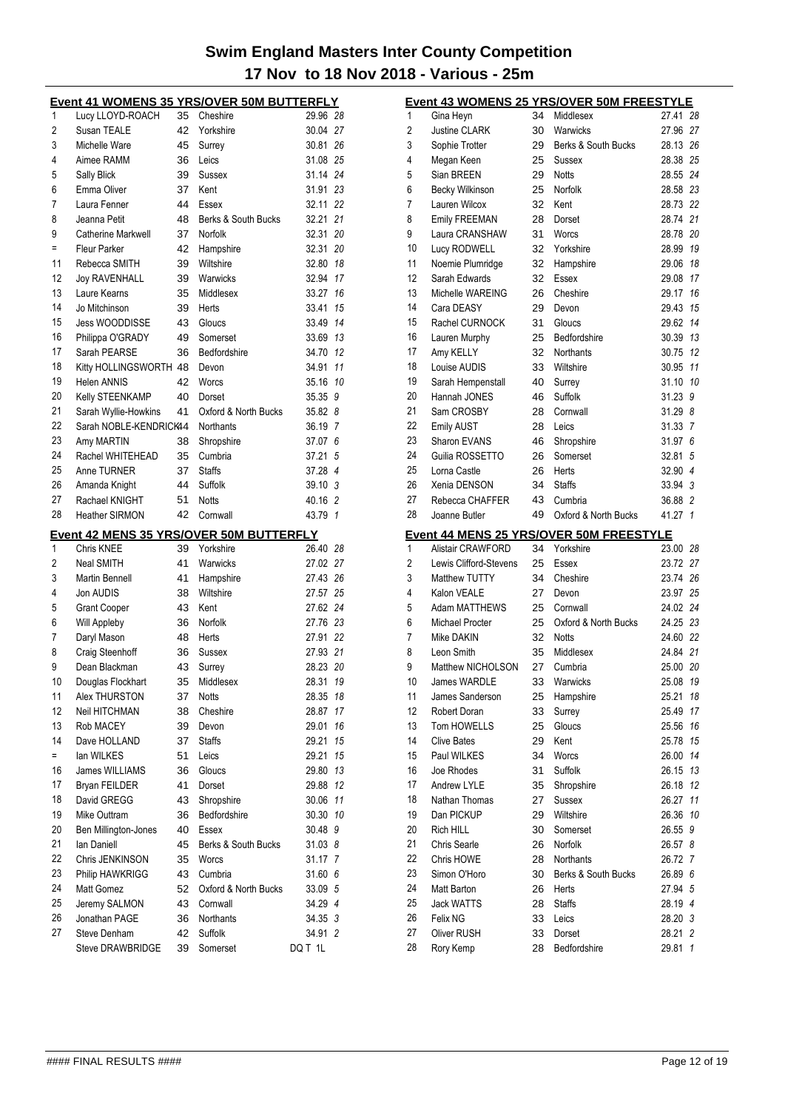|     | Event 41 WOMENS 35 YRS/OVER 50M BUTTERFLY |          |                      |                                    |
|-----|-------------------------------------------|----------|----------------------|------------------------------------|
| 1   | Lucy LLOYD-ROACH                          | 35       | Cheshire             | 29.96 28                           |
| 2   | Susan TEALE                               | 42       | Yorkshire            | 30.04 27                           |
| 3   | Michelle Ware                             | 45       | Surrey               | 30.81<br>26                        |
| 4   | Aimee RAMM                                | 36       | Leics                | 31.08 25                           |
| 5   | Sally Blick                               | 39       | Sussex               | 31.14<br>24                        |
| 6   | Emma Oliver                               | 37       | Kent                 | 31.91<br>23                        |
| 7   | Laura Fenner                              | 44       | Essex                | 32.11<br>22                        |
| 8   | Jeanna Petit                              | 48       | Berks & South Bucks  | 32.21<br>21                        |
| 9   | <b>Catherine Markwell</b>                 | 37       | Norfolk              | 32.31<br>20                        |
| $=$ | Fleur Parker                              | 42       | Hampshire            | 32.31<br>20                        |
| 11  | Rebecca SMITH                             | 39       | Wiltshire            | 32.80<br>18                        |
| 12  | <b>Joy RAVENHALL</b>                      | 39       | Warwicks             | 32.94<br>17                        |
| 13  | Laure Kearns                              | 35       | Middlesex            | 16<br>33.27                        |
| 14  | Jo Mitchinson                             | 39       | Herts                | 33.41<br>15                        |
| 15  | Jess WOODDISSE                            | 43       | Gloucs               | 14<br>33.49                        |
| 16  | Philippa O'GRADY                          | 49       | Somerset             | 13<br>33.69                        |
| 17  | Sarah PEARSE                              | 36       | Bedfordshire         | 12<br>34.70                        |
| 18  | Kitty HOLLINGSWORTH 48                    |          | Devon                | 34.91<br>11                        |
| 19  | <b>Helen ANNIS</b>                        | 42       | Worcs                | 35.16<br>10                        |
| 20  | Kelly STEENKAMP                           | 40       | Dorset               | 35.35<br>9                         |
| 21  | Sarah Wyllie-Howkins                      | 41       | Oxford & North Bucks | 35.82<br>8                         |
| 22  | Sarah NOBLE-KENDRICK44                    |          | Northants            | 36.19<br>7                         |
| 23  | Amy MARTIN                                | 38       | Shropshire           | 37.07<br>6                         |
| 24  | Rachel WHITEHEAD                          | 35       | Cumbria              | 37.21<br>5                         |
| 25  | Anne TURNER                               | 37       | <b>Staffs</b>        | 37.28<br>$\overline{4}$            |
| 26  | Amanda Knight                             | 44       | Suffolk              | 39.10 3                            |
| 27  | Rachael KNIGHT                            | 51       | <b>Notts</b>         | 40.16 2                            |
| 28  | <b>Heather SIRMON</b>                     | 42       | Cornwall             | 43.79<br>$\mathbf{1}$              |
|     |                                           |          |                      |                                    |
|     |                                           |          |                      |                                    |
|     | Event 42 MENS 35 YRS/OVER 50M BUTTERFLY   |          |                      |                                    |
| 1   | Chris KNEE                                | 39       | Yorkshire            | 26.40 28                           |
| 2   | Neal SMITH                                | 41       | Warwicks             | 27.02 27                           |
| 3   | Martin Bennell                            | 41       | Hampshire            | 27.43 26                           |
| 4   | Jon AUDIS                                 | 38       | Wiltshire            | 27.57<br>25                        |
| 5   | <b>Grant Cooper</b>                       | 43       | Kent                 | 27.62 24                           |
| 6   | Will Appleby                              | 36       | Norfolk              | 27.76 23                           |
| 7   | Daryl Mason                               | 48       | Herts                | 27.91<br>22                        |
| 8   | Craig Steenhoff                           | 36       | Sussex               | 27.93<br>21                        |
| 9   | Dean Blackman                             | 43       | Surrey               | 28.23<br>20                        |
| 10  | Douglas Flockhart                         | 35       | Middlesex            | 28.31<br>19                        |
| 11  | Alex THURSTON                             | 37       | Notts                | 28.35<br>18                        |
| 12  | <b>Neil HITCHMAN</b>                      | 38       | Cheshire             | 28.87<br>17                        |
| 13  | Rob MACEY                                 | 39       | Devon                | 16<br>29.01                        |
| 14  | Dave HOLLAND                              | 37       | <b>Staffs</b>        | 29.21<br>15                        |
| $=$ | lan WILKES                                | 51       | Leics                | 15<br>29.21                        |
| 16  | James WILLIAMS                            | 36       | Gloucs               | 13<br>29.80                        |
| 17  | Bryan FEILDER                             | 41       | Dorset               | 12<br>29.88                        |
| 18  | David GREGG                               | 43       | Shropshire           | 11<br>30.06                        |
| 19  | Mike Outtram                              | 36       | Bedfordshire         | 10<br>30.30                        |
| 20  | Ben Millington-Jones                      | 40       | Essex                | 30.48<br>9                         |
| 21  | lan Daniell                               | 45       | Berks & South Bucks  | 31.03 8                            |
| 22  | Chris JENKINSON                           | 35       | Worcs                | 31.17<br>7                         |
| 23  | Philip HAWKRIGG                           | 43       | Cumbria              | 31.60<br>6                         |
| 24  | Matt Gomez                                | 52       | Oxford & North Bucks | 33.09 5                            |
| 25  | Jeremy SALMON                             | 43       | Cornwall             | 34.29 4                            |
| 26  | Jonathan PAGE                             | 36       | Northants            | 34.35 3                            |
| 27  | Steve Denham<br>Steve DRAWBRIDGE          | 42<br>39 | Suffolk<br>Somerset  | 34.91<br>$\overline{2}$<br>DQ T 1L |

|          |                          |          | Event 43 WOMENS 25 YRS/OVER 50M FREESTYLE |                |                     |
|----------|--------------------------|----------|-------------------------------------------|----------------|---------------------|
| 1        | Gina Heyn                | 34       | Middlesex                                 | 27.41          | 28                  |
| 2        | <b>Justine CLARK</b>     | 30       | Warwicks                                  | 27.96 27       |                     |
| 3        | Sophie Trotter           | 29       | Berks & South Bucks                       | 28.13 26       |                     |
| 4        | Megan Keen               | 25       | Sussex                                    | 28.38 25       |                     |
| 5        | Sian BREEN               | 29       | <b>Notts</b>                              | 28.55 24       |                     |
| 6        | Becky Wilkinson          | 25       | Norfolk                                   | 28.58 23       |                     |
| 7        | Lauren Wilcox            | 32       | Kent                                      | 28.73 22       |                     |
| 8        | <b>Emily FREEMAN</b>     | 28       | Dorset                                    | 28.74 21       |                     |
| 9        | Laura CRANSHAW           | 31       | Worcs                                     | 28.78 20       |                     |
| 10       | Lucy RODWELL             | 32       | Yorkshire                                 | 28.99 19       |                     |
| 11       | Noemie Plumridge         | 32       | Hampshire                                 | 29.06 18       |                     |
| 12       | Sarah Edwards            | 32       | Essex                                     | 29.08          | 17                  |
| 13       | Michelle WAREING         | 26       | Cheshire                                  | 29.17          | 16                  |
| 14       | Cara DEASY               | 29       | Devon                                     | 29.43 15       |                     |
| 15       | Rachel CURNOCK           | 31       | Gloucs                                    | 29.62 14       |                     |
| 16       | Lauren Murphy            | 25       | Bedfordshire                              | 30.39 13       |                     |
| 17       | Amy KELLY                | 32       | <b>Northants</b>                          | 30.75 12       |                     |
| 18       | Louise AUDIS             | 33       | Wiltshire                                 | 30.95 11       |                     |
| 19       | Sarah Hempenstall        | 40       | Surrey                                    | 31.10          | 10                  |
| 20       | Hannah JONES             | 46       | Suffolk                                   | 31.23          | 9                   |
| 21       | Sam CROSBY               | 28       | Cornwall                                  | 31.298         |                     |
| 22       | Emily AUST               | 28       | Leics                                     | 31.33          | -7                  |
| 23       | Sharon EVANS             | 46       | Shropshire                                | 31.97          | 6                   |
| 24       | Guilia ROSSETTO          | 26       | Somerset                                  | 32.81          | 5                   |
| 25       | Lorna Castle             | 26       | Herts                                     | 32.90 4        |                     |
| 26       | Xenia DENSON             | 34       | <b>Staffs</b>                             | 33.94 3        |                     |
| 27       | Rebecca CHAFFER          | 43       | Cumbria                                   | 36.88          | $\overline{2}$      |
| 28       | Joanne Butler            | 49       | Oxford & North Bucks                      | 41.27          | $\overline{1}$      |
|          |                          |          |                                           |                |                     |
|          |                          |          | Event 44 MENS 25 YRS/OVER 50M FREESTYLE   |                |                     |
| 1        | Alistair CRAWFORD        | 34       | Yorkshire                                 | 23.00 28       |                     |
| 2        | Lewis Clifford-Stevens   | 25       | Essex                                     | 23.72 27       |                     |
| 3        | <b>Matthew TUTTY</b>     | 34       | Cheshire                                  | 23.74 26       |                     |
| 4        | Kalon VEALE              | 27       | Devon                                     | 23.97 25       |                     |
| 5        | <b>Adam MATTHEWS</b>     | 25       | Cornwall                                  | 24.02 24       |                     |
| 6        | <b>Michael Procter</b>   | 25       | Oxford & North Bucks                      | 24.25 23       |                     |
| 7        | Mike DAKIN               | 32       | <b>Notts</b>                              | 24.60 22       |                     |
| 8        | Leon Smith               | 35       | Middlesex                                 | 24.84 21       |                     |
| 9        | Matthew NICHOLSON        | 27       | Cumbria                                   | 25.00          | 20                  |
| 10       | James WARDI F            | 33       | Warwicks                                  | 25.08 19       |                     |
| 11       | James Sanderson          | 25       | Hampshire                                 | 25.21          | 18                  |
| 12       | Robert Doran             | 33       | Surrey                                    | 25.49          | 17                  |
| 13       | Tom HOWELLS              | 25       | Gloucs                                    | 25.56          | 16                  |
| 14       | <b>Clive Bates</b>       | 29       | Kent                                      | 25.78          | 15                  |
| 15       | Paul WILKES              | 34       | Worcs                                     | 26.00 14       |                     |
| 16       | Joe Rhodes               | 31       | Suffolk                                   | 26.15          | 13                  |
| 17       | Andrew LYLE              | 35       | Shropshire                                | 26.18          | 12                  |
| 18       | Nathan Thomas            | 27       | Sussex                                    | 26.27          | 11                  |
| 19       | Dan PICKUP               | 29       | Wiltshire                                 | 26.36          | 10                  |
| 20       | Rich HILL                | 30       | Somerset                                  | 26.55          | 9                   |
| 21       | <b>Chris Searle</b>      | 26       | Norfolk                                   | 26.57          | 8                   |
| 22       | Chris HOWE               | 28       | Northants                                 | 26.72 7        |                     |
| 23       | Simon O'Horo             | 30       | Berks & South Bucks                       | 26.89 6        |                     |
| 24       | Matt Barton              | 26       | Herts                                     | 27.94          | 5                   |
| 25       | <b>Jack WATTS</b>        | 28       | <b>Staffs</b>                             | 28.19 4        |                     |
| 26       | Felix NG                 | 33       | Leics                                     | 28.20 3        |                     |
| 27<br>28 | Oliver RUSH<br>Rory Kemp | 33<br>28 | Dorset<br>Bedfordshire                    | 28.21<br>29.81 | $\overline{2}$<br>1 |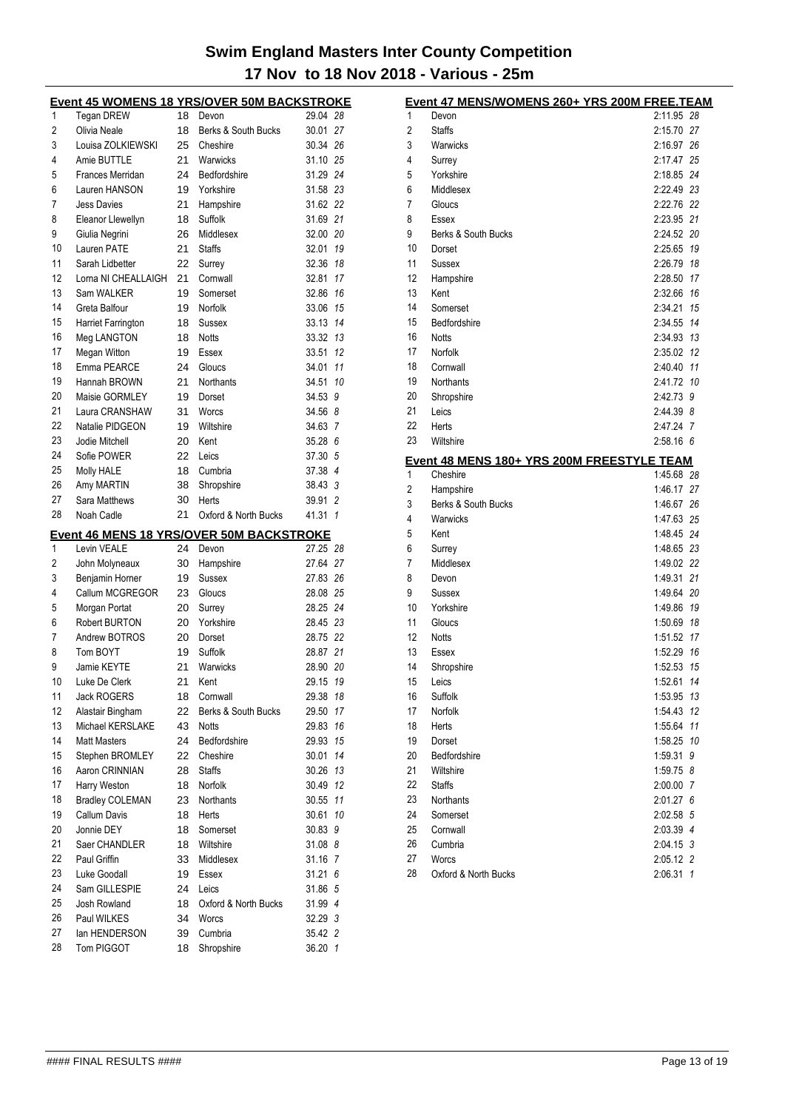|    |                                   |    | <u>Event 45 WOMENS 18 YRS/OVER 50M BACKSTROKE</u> |          |    |
|----|-----------------------------------|----|---------------------------------------------------|----------|----|
| 1  | <b>Tegan DREW</b>                 | 18 | Devon                                             | 29.04 28 |    |
| 2  | Olivia Neale                      | 18 | Berks & South Bucks                               | 30.01 27 |    |
| 3  | Louisa ZOLKIEWSKI                 | 25 | Cheshire                                          | 30.34 26 |    |
| 4  | Amie BUTTLE                       | 21 | Warwicks                                          | 31.10 25 |    |
| 5  | Frances Merridan                  | 24 | Bedfordshire                                      | 31.29 24 |    |
| 6  | Lauren HANSON                     | 19 | Yorkshire                                         | 31.58 23 |    |
| 7  | <b>Jess Davies</b>                | 21 | Hampshire                                         | 31.62 22 |    |
| 8  | Eleanor Llewellyn                 | 18 | Suffolk                                           | 31.69 21 |    |
| 9  | Giulia Negrini                    | 26 | Middlesex                                         | 32.00 20 |    |
| 10 | Lauren PATE                       | 21 | <b>Staffs</b>                                     | 32.01 19 |    |
| 11 | Sarah Lidbetter                   | 22 | Surrey                                            | 32.36 18 |    |
| 12 | Lorna NI CHEALLAIGH               | 21 | Cornwall                                          | 32.81    | 17 |
| 13 | Sam WALKER                        | 19 | Somerset                                          | 32.86 16 |    |
| 14 | Greta Balfour                     | 19 | Norfolk                                           | 33.06 15 |    |
| 15 | Harriet Farrington                | 18 | Sussex                                            | 33.13 14 |    |
| 16 | Meg LANGTON                       | 18 | <b>Notts</b>                                      | 33.32 13 |    |
| 17 | Megan Witton                      | 19 | Essex                                             | 33.51 12 |    |
| 18 | Emma PEARCE                       | 24 | Gloucs                                            | 34.01 11 |    |
| 19 | Hannah BROWN                      | 21 | Northants                                         | 34.51    | 10 |
| 20 | Maisie GORMLEY                    | 19 | Dorset                                            | 34.53    | 9  |
| 21 | Laura CRANSHAW                    | 31 | Worcs                                             | 34.56 8  |    |
| 22 | Natalie PIDGEON                   | 19 | Wiltshire                                         | 34.63    | 7  |
| 23 | Jodie Mitchell                    | 20 | Kent                                              | 35.28 6  |    |
| 24 | Sofie POWER                       | 22 | Leics                                             | 37.30 5  |    |
| 25 | Molly HALE                        | 18 | Cumbria                                           | 37.38 4  |    |
| 26 | Amy MARTIN                        | 38 | Shropshire                                        | 38.43 3  |    |
| 27 | Sara Matthews                     | 30 | Herts                                             | 39.91 2  |    |
| 28 | Noah Cadle                        | 21 | Oxford & North Bucks                              | 41.31 1  |    |
|    |                                   |    |                                                   |          |    |
|    |                                   |    |                                                   |          |    |
| 1  | Levin VEALE                       | 24 | Event 46 MENS 18 YRS/OVER 50M BACKSTROKE<br>Devon | 27.25 28 |    |
| 2  |                                   | 30 | Hampshire                                         | 27.64 27 |    |
| 3  | John Molyneaux<br>Benjamin Horner | 19 | <b>Sussex</b>                                     | 27.83 26 |    |
| 4  | Callum MCGREGOR                   | 23 | Gloucs                                            | 28.08 25 |    |
| 5  | Morgan Portat                     | 20 | Surrey                                            | 28.25 24 |    |
| 6  | Robert BURTON                     | 20 | Yorkshire                                         | 28.45 23 |    |
| 7  | Andrew BOTROS                     | 20 | Dorset                                            | 28.75 22 |    |
| 8  | Tom BOYT                          | 19 | Suffolk                                           | 28.87 21 |    |
| 9  | Jamie KEYTE                       | 21 | Warwicks                                          | 28.90 20 |    |
| 10 | Luke De Clerk                     |    | 21 Kent                                           | 29.15 19 |    |
| 11 | Jack ROGERS                       | 18 | Cornwall                                          | 29.38 18 |    |
| 12 | Alastair Bingham                  | 22 | Berks & South Bucks                               | 29.50    | 17 |
| 13 | Michael KERSLAKE                  | 43 | Notts                                             | 29.83 16 |    |
| 14 | <b>Matt Masters</b>               | 24 | Bedfordshire                                      | 29.93 15 |    |
| 15 | Stephen BROMLEY                   | 22 | Cheshire                                          | 30.01 14 |    |
| 16 | Aaron CRINNIAN                    | 28 | <b>Staffs</b>                                     | 30.26 13 |    |
| 17 | Harry Weston                      | 18 | Norfolk                                           | 30.49 12 |    |
| 18 | <b>Bradley COLEMAN</b>            | 23 | Northants                                         | 30.55    | 11 |
| 19 | Callum Davis                      | 18 | Herts                                             | 30.61    | 10 |
| 20 | Jonnie DEY                        | 18 | Somerset                                          | 30.83    | 9  |
| 21 | Saer CHANDLER                     | 18 | Wiltshire                                         | 31.088   |    |
| 22 | Paul Griffin                      | 33 | Middlesex                                         | 31.16 7  |    |
| 23 | Luke Goodall                      | 19 | Essex                                             | 31.216   |    |
| 24 | Sam GILLESPIE                     | 24 | Leics                                             | 31.86 5  |    |
| 25 | Josh Rowland                      | 18 | Oxford & North Bucks                              | 31.99 4  |    |
| 26 | Paul WILKES                       | 34 | Worcs                                             | 32.29 3  |    |
| 27 | lan HENDERSON                     | 39 | Cumbria                                           | 35.42 2  |    |

|                 | Event 47 MENS/WOMENS 260+ YRS 200M FREE.TEAM |            |    |
|-----------------|----------------------------------------------|------------|----|
| 1               | Devon                                        | 2:11.95 28 |    |
| 2               | <b>Staffs</b>                                | 2:15.70 27 |    |
| 3               | Warwicks                                     | 2:16.97    | 26 |
| 4               | Surrey                                       | 2:17.47 25 |    |
| 5               | Yorkshire                                    | 2:18.85 24 |    |
| 6               | Middlesex                                    | 2:22.49 23 |    |
| 7               | Gloucs                                       | 2:22.76 22 |    |
| 8               | Essex                                        | 2:23.95 21 |    |
| 9               | Berks & South Bucks                          | 2:24.52 20 |    |
| 10              | Dorset                                       | 2:25.65    | 19 |
| 11              | Sussex                                       | 2:26.79    | 18 |
| 12              | Hampshire                                    | 2:28.50    | 17 |
| 13              | Kent                                         | 2:32.66    | 16 |
| 14              | Somerset                                     | 2:34.21    | 15 |
| 15              | Bedfordshire                                 | 2:34.55    | 14 |
| 16              | <b>Notts</b>                                 | 2:34.93    | 13 |
| 17              | Norfolk                                      | 2:35.02    | 12 |
| 18              | Cornwall                                     | 2:40.40    | 11 |
| 19              | Northants                                    | 2:41.72 10 |    |
| 20              | Shropshire                                   | 2:42.73 9  |    |
| 21              | Leics                                        | 2:44.39 8  |    |
| 22              | Herts                                        | 2:47.24 7  |    |
| 23              | Wiltshire                                    | 2:58.16 6  |    |
|                 |                                              |            |    |
|                 | Event 48 MENS 180+ YRS 200M FREESTYLE TEAM   |            |    |
| 1               | Cheshire                                     | 1:45.68 28 |    |
| 2               | Hampshire                                    | 1:46.17 27 |    |
| 3               | Berks & South Bucks                          | 1:46.67 26 |    |
| 4               | Warwicks                                     | 1:47.63 25 |    |
| 5               | Kent                                         | 1:48.45 24 |    |
| 6               | Surrey                                       | 1:48.65 23 |    |
| 7               | Middlesex                                    | 1:49.02 22 |    |
| 8               | Devon                                        | 1:49.31 21 |    |
| 9               | Sussex                                       | 1:49.64 20 |    |
| 10              | Yorkshire                                    | 1:49.86 19 |    |
| 11              | Gloucs                                       | 1:50.69    | 18 |
| 12              | <b>Notts</b>                                 | 1:51.52    | 17 |
| 13              | Essex                                        | 1:52.29    | 16 |
| 14              | Shropshire                                   | 1:52.53    | 15 |
| 15 <sub>1</sub> | Leics                                        | 1:52.61 14 |    |
| 16              | Suffolk                                      | 1:53.95    | 13 |
| 17              | Norfolk                                      | 1.54.43    | 12 |
| 18              | Herts                                        | 1:55.64    | 11 |
| 19              | Dorset                                       | 1:58.25    | 10 |
| 20              | Bedfordshire                                 | 1:59.31    | 9  |
| 21              | Wiltshire                                    | 1:59.75 8  |    |
| 22              | <b>Staffs</b>                                | 2:00.00 7  |    |
| 23              | Northants                                    | 2:01.27 6  |    |
| 24              | Somerset                                     | 2:02.58 5  |    |
| 25              | Cornwall                                     | 2:03.39 4  |    |
| 26              | Cumbria                                      | 2:04.15 3  |    |
| 27              | Worcs                                        | 2:05.12 2  |    |
| 28              | Oxford & North Bucks                         | 2:06.31 1  |    |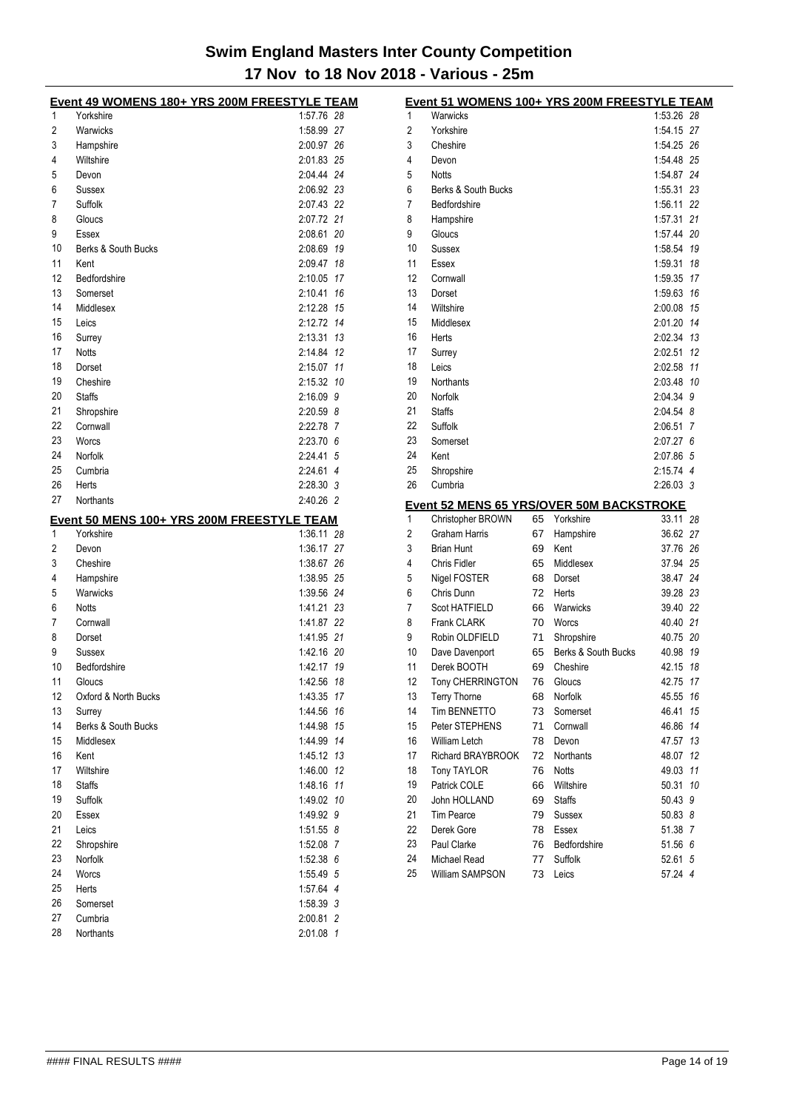|    | Event 49 WOMENS 180+ YRS 200M FREESTYLE TEAM |               |    | Event 51 WOMENS 100+ YRS 200M FREESTYLE TEAM    |    |                     |            |  |
|----|----------------------------------------------|---------------|----|-------------------------------------------------|----|---------------------|------------|--|
| 1  | Yorkshire                                    | 1:57.76 28    | 1  | Warwicks                                        |    |                     | 1:53.26 28 |  |
| 2  | Warwicks                                     | 1:58.99 27    | 2  | Yorkshire                                       |    |                     | 1:54.15 27 |  |
| 3  | Hampshire                                    | 2:00.97 26    | 3  | Cheshire                                        |    |                     | 1:54.25 26 |  |
| 4  | Wiltshire                                    | 2:01.83 25    | 4  | Devon                                           |    |                     | 1:54.48 25 |  |
| 5  | Devon                                        | 2:04.44 24    | 5  | <b>Notts</b>                                    |    |                     | 1:54.87 24 |  |
| 6  | Sussex                                       | 2:06.92 23    | 6  | Berks & South Bucks                             |    |                     | 1:55.31 23 |  |
| 7  | Suffolk                                      | 2:07.43 22    | 7  | Bedfordshire                                    |    |                     | 1:56.11 22 |  |
| 8  | Gloucs                                       | 2:07.72 21    | 8  | Hampshire                                       |    |                     | 1:57.31 21 |  |
| 9  | Essex                                        | 2:08.61 20    | 9  | Gloucs                                          |    |                     | 1.57.44 20 |  |
| 10 | Berks & South Bucks                          | 2:08.69 19    | 10 | Sussex                                          |    |                     | 1:58.54 19 |  |
| 11 | Kent                                         | 2:09.47 18    | 11 | Essex                                           |    |                     | 1:59.31 18 |  |
| 12 | Bedfordshire                                 | 2:10.05 17    | 12 | Cornwall                                        |    |                     | 1:59.35 17 |  |
| 13 | Somerset                                     | 2:10.41 16    | 13 | Dorset                                          |    |                     | 1:59.63 16 |  |
| 14 | Middlesex                                    | 2:12.28 15    | 14 | Wiltshire                                       |    |                     | 2:00.08 15 |  |
| 15 | Leics                                        | 2:12.72 14    | 15 | Middlesex                                       |    |                     | 2:01.20 14 |  |
| 16 | Surrey                                       | 2:13.31 13    | 16 | Herts                                           |    |                     | 2:02.34 13 |  |
| 17 | <b>Notts</b>                                 | 2:14.84 12    | 17 | Surrey                                          |    |                     | 2:02.51 12 |  |
| 18 | Dorset                                       | 2:15.07 11    | 18 | Leics                                           |    |                     | 2:02.58 11 |  |
| 19 | Cheshire                                     | 2:15.32 10    | 19 | Northants                                       |    |                     | 2:03.48 10 |  |
| 20 | <b>Staffs</b>                                | $2:16.09$ $9$ | 20 | Norfolk                                         |    |                     | 2:04.34 9  |  |
| 21 | Shropshire                                   | $2:20.59$ 8   | 21 | <b>Staffs</b>                                   |    |                     | 2:04.54 8  |  |
| 22 | Cornwall                                     | 2:22.78 7     | 22 | Suffolk                                         |    |                     | 2:06.51 7  |  |
|    |                                              | 2:23.70 6     | 23 |                                                 |    |                     | 2:07.27 6  |  |
| 23 | Worcs                                        | 2:24.41 5     | 24 | Somerset                                        |    |                     |            |  |
| 24 | Norfolk                                      |               |    | Kent                                            |    |                     | 2:07.86 5  |  |
| 25 | Cumbria                                      | 2:24.61 4     | 25 | Shropshire                                      |    |                     | 2:15.74 4  |  |
| 26 | Herts                                        | 2:28.30 3     | 26 | Cumbria                                         |    |                     | 2:26.03 3  |  |
| 27 | Northants                                    | 2:40.26 2     |    | <b>Event 52 MENS 65 YRS/OVER 50M BACKSTROKE</b> |    |                     |            |  |
|    | Event 50 MENS 100+ YRS 200M FREESTYLE TEAM   |               | 1  | Christopher BROWN                               |    | 65 Yorkshire        | 33.11 28   |  |
| 1  | Yorkshire                                    | 1:36.11 28    | 2  | Graham Harris                                   | 67 | Hampshire           | 36.62 27   |  |
| 2  | Devon                                        | 1:36.17 27    | 3  | <b>Brian Hunt</b>                               | 69 | Kent                | 37.76 26   |  |
| 3  | Cheshire                                     | 1:38.67 26    | 4  | Chris Fidler                                    | 65 | Middlesex           | 37.94 25   |  |
| 4  | Hampshire                                    | 1:38.95 25    | 5  | Nigel FOSTER                                    | 68 | Dorset              | 38.47 24   |  |
| 5  | Warwicks                                     | 1:39.56 24    | 6  | Chris Dunn                                      | 72 | Herts               | 39.28 23   |  |
| 6  | <b>Notts</b>                                 | 1:41.21 23    | 7  | Scot HATFIELD                                   | 66 | Warwicks            | 39.40 22   |  |
| 7  | Cornwall                                     | 1:41.87 22    | 8  | <b>Frank CLARK</b>                              | 70 | Worcs               | 40.40 21   |  |
| 8  | Dorset                                       | 1:41.95 21    | 9  | Robin OLDFIELD                                  | 71 | Shropshire          | 40.75 20   |  |
| 9  | Sussex                                       | 1:42.16 20    | 10 | Dave Davenport                                  | 65 | Berks & South Bucks | 40.98 19   |  |
| 10 | Bedfordshire                                 | 1:42.17 19    | 11 | Derek BOOTH                                     | 69 | Cheshire            | 42.15 18   |  |
| 11 | Gloucs                                       | 1:42.56 18    | 12 | Tony CHERRINGTON                                |    | 76 Gloucs           | 42.75 17   |  |
| 12 | Oxford & North Bucks                         | 1:43.35 17    | 13 | Terry Thorne                                    |    | 68 Norfolk          | 45.55 16   |  |
| 13 | Surrey                                       | 1:44.56 16    | 14 | Tim BENNETTO                                    |    | 73 Somerset         | 46.41 15   |  |
| 14 | Berks & South Bucks                          | 1:44.98 15    | 15 | Peter STEPHENS                                  | 71 | Cornwall            | 46.86 14   |  |
| 15 | Middlesex                                    | 1:44.99 14    | 16 | William Letch                                   | 78 | Devon               | 47.57 13   |  |
| 16 | Kent                                         | 1:45.12 13    | 17 | Richard BRAYBROOK                               |    | 72 Northants        | 48.07 12   |  |
| 17 | Wiltshire                                    | 1:46.00 12    | 18 | <b>Tony TAYLOR</b>                              | 76 | <b>Notts</b>        | 49.03 11   |  |
| 18 | <b>Staffs</b>                                | 1:48.16 11    | 19 | Patrick COLE                                    | 66 | Wiltshire           | 50.31 10   |  |
| 19 | Suffolk                                      | 1:49.02 10    | 20 | John HOLLAND                                    | 69 | <b>Staffs</b>       | 50.43 9    |  |
| 20 | Essex                                        | 1:49.92 9     | 21 | Tim Pearce                                      | 79 | Sussex              | 50.83 8    |  |
| 21 | Leics                                        | $1:51.55$ 8   | 22 | Derek Gore                                      | 78 | Essex               | 51.38 7    |  |
| 22 | Shropshire                                   | 1:52.08 7     | 23 | Paul Clarke                                     | 76 | Bedfordshire        | 51.56 6    |  |
| 23 | Norfolk                                      | 1:52.38 6     | 24 | Michael Read                                    | 77 | Suffolk             | 52.61 5    |  |
| 24 |                                              | 1:55.49 5     | 25 | William SAMPSON                                 | 73 | Leics               | 57.24 4    |  |
|    | Worcs                                        |               |    |                                                 |    |                     |            |  |
| 25 | Herts                                        | 1:57.64 4     |    |                                                 |    |                     |            |  |
| 26 | Somerset                                     | 1:58.39 3     |    |                                                 |    |                     |            |  |
| 27 | Cumbria                                      | 2:00.81 2     |    |                                                 |    |                     |            |  |
| 28 | Northants                                    | 2:01.08 1     |    |                                                 |    |                     |            |  |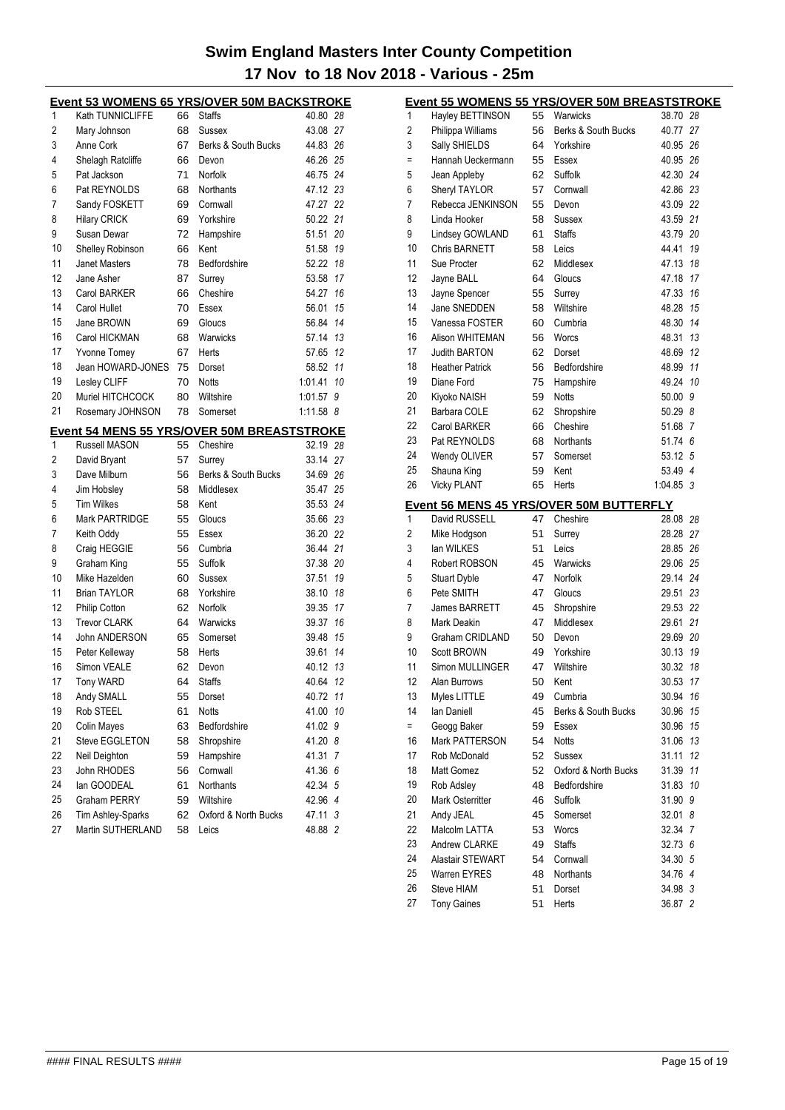|    | <b>Event 53 WOMENS 65 YRS/OVER 50M BACKSTROKE</b> |    |                      |               |    |  |  |  |  |
|----|---------------------------------------------------|----|----------------------|---------------|----|--|--|--|--|
| 1  | Kath TUNNICLIFFE                                  | 66 | <b>Staffs</b>        | 40.80 28      |    |  |  |  |  |
| 2  | Mary Johnson                                      | 68 | Sussex               | 43.08 27      |    |  |  |  |  |
| 3  | Anne Cork                                         | 67 | Berks & South Bucks  | 44.83 26      |    |  |  |  |  |
| 4  | Shelagh Ratcliffe                                 | 66 | Devon                | 46.26 25      |    |  |  |  |  |
| 5  | Pat Jackson                                       | 71 | Norfolk              | 46.75 24      |    |  |  |  |  |
| 6  | Pat REYNOLDS                                      | 68 | Northants            | 47.12 23      |    |  |  |  |  |
| 7  | Sandy FOSKETT                                     | 69 | Cornwall             | 47.27         | 22 |  |  |  |  |
| 8  | <b>Hilary CRICK</b>                               | 69 | Yorkshire            | 50.22         | 21 |  |  |  |  |
| 9  | Susan Dewar                                       | 72 | Hampshire            | 51.51         | 20 |  |  |  |  |
| 10 | Shelley Robinson                                  | 66 | Kent                 | 51.58         | 19 |  |  |  |  |
| 11 | Janet Masters                                     | 78 | Bedfordshire         | 52.22         | 18 |  |  |  |  |
| 12 | Jane Asher                                        | 87 | Surrey               | 53.58         | 17 |  |  |  |  |
| 13 | <b>Carol BARKER</b>                               | 66 | Cheshire             | 54.27         | 16 |  |  |  |  |
| 14 | Carol Hullet                                      | 70 | Essex                | 56.01         | 15 |  |  |  |  |
| 15 | Jane BROWN                                        | 69 | Gloucs               | 56.84         | 14 |  |  |  |  |
| 16 | Carol HICKMAN                                     | 68 | Warwicks             | 57.14         | 13 |  |  |  |  |
| 17 | Yvonne Tomey                                      | 67 | Herts                | 57.65         | 12 |  |  |  |  |
| 18 | Jean HOWARD-JONES                                 | 75 | Dorset               | 58.52         | 11 |  |  |  |  |
| 19 | Lesley CLIFF                                      | 70 | <b>Notts</b>         | 1:01.41       | 10 |  |  |  |  |
| 20 | Muriel HITCHCOCK                                  | 80 | Wiltshire            | 1:01.57       | 9  |  |  |  |  |
| 21 | Rosemary JOHNSON                                  | 78 | Somerset             | $1:11.58$ $8$ |    |  |  |  |  |
|    | <b>Event 54 MENS 55 YRS/OVER 50M BREASTSTROKE</b> |    |                      |               |    |  |  |  |  |
| 1  | Russell MASON                                     | 55 | Cheshire             | 32.19 28      |    |  |  |  |  |
| 2  | David Bryant                                      | 57 | Surrey               | 33.14         | 27 |  |  |  |  |
| 3  | Dave Milburn                                      | 56 | Berks & South Bucks  | 34.69         | 26 |  |  |  |  |
| 4  | Jim Hobsley                                       | 58 | Middlesex            | 35.47         | 25 |  |  |  |  |
| 5  | <b>Tim Wilkes</b>                                 | 58 | Kent                 | 35.53 24      |    |  |  |  |  |
| 6  | <b>Mark PARTRIDGE</b>                             | 55 | Gloucs               | 35.66 23      |    |  |  |  |  |
| 7  | Keith Oddy                                        | 55 | Essex                | 36.20         | 22 |  |  |  |  |
| 8  | Craig HEGGIE                                      | 56 | Cumbria              | 36.44 21      |    |  |  |  |  |
| 9  | Graham King                                       | 55 | Suffolk              | 37.38         | 20 |  |  |  |  |
| 10 | Mike Hazelden                                     | 60 | Sussex               | 37.51         | 19 |  |  |  |  |
| 11 | <b>Brian TAYLOR</b>                               | 68 | Yorkshire            | 38.10         | 18 |  |  |  |  |
| 12 | Philip Cotton                                     | 62 | Norfolk              | 39.35         | 17 |  |  |  |  |
| 13 | <b>Trevor CLARK</b>                               | 64 | Warwicks             | 39.37         | 16 |  |  |  |  |
| 14 | John ANDERSON                                     | 65 | Somerset             | 39.48         | 15 |  |  |  |  |
| 15 | Peter Kelleway                                    | 58 | Herts                | 39.61         | 14 |  |  |  |  |
| 16 | Simon VEALE                                       | 62 | Devon                | 40.12         | 13 |  |  |  |  |
| 17 | <b>Tony WARD</b>                                  | 64 | <b>Staffs</b>        | 40.64 12      |    |  |  |  |  |
| 18 | Andy SMALL                                        | 55 | Dorset               | 40.72         | 11 |  |  |  |  |
| 19 | Rob STEEL                                         | 61 | <b>Notts</b>         | 41.00         | 10 |  |  |  |  |
| 20 | <b>Colin Mayes</b>                                | 63 | Bedfordshire         | 41.02         | 9  |  |  |  |  |
| 21 | Steve EGGLETON                                    | 58 | Shropshire           | 41.20 8       |    |  |  |  |  |
| 22 | Neil Deighton                                     | 59 | Hampshire            | 41.31         | 7  |  |  |  |  |
| 23 | John RHODES                                       | 56 | Cornwall             | 41.36         | 6  |  |  |  |  |
| 24 | lan GOODEAL                                       | 61 | Northants            | 42.34 5       |    |  |  |  |  |
| 25 | Graham PERRY                                      | 59 | Wiltshire            | 42.96 4       |    |  |  |  |  |
| 26 | Tim Ashley-Sparks                                 | 62 | Oxford & North Bucks | 47.11 3       |    |  |  |  |  |
| 27 | Martin SUTHERLAND                                 | 58 | Leics                | 48.88 2       |    |  |  |  |  |
|    |                                                   |    |                      |               |    |  |  |  |  |

| Event 55 WOMENS 55 YRS/OVER 50M BREASTSTROKE |                        |    |                                         |           |    |  |  |
|----------------------------------------------|------------------------|----|-----------------------------------------|-----------|----|--|--|
| 1                                            | Hayley BETTINSON       | 55 | Warwicks                                | 38.70 28  |    |  |  |
| 2                                            | Philippa Williams      | 56 | Berks & South Bucks                     | 40.77 27  |    |  |  |
| 3                                            | Sally SHIELDS          | 64 | Yorkshire                               | 40.95 26  |    |  |  |
| Ξ                                            | Hannah Ueckermann      | 55 | Essex                                   | 40.95 26  |    |  |  |
| 5                                            | Jean Appleby           | 62 | Suffolk                                 | 42.30 24  |    |  |  |
| 6                                            | Sheryl TAYLOR          | 57 | Cornwall                                | 42.86 23  |    |  |  |
| 7                                            | Rebecca JENKINSON      | 55 | Devon                                   | 43.09 22  |    |  |  |
| 8                                            | Linda Hooker           | 58 | Sussex                                  | 43.59 21  |    |  |  |
| 9                                            | Lindsey GOWLAND        | 61 | <b>Staffs</b>                           | 43.79 20  |    |  |  |
| 10                                           | Chris BARNETT          | 58 | Leics                                   | 44.41     | 19 |  |  |
| 11                                           | Sue Procter            | 62 | Middlesex                               | 47.13     | 18 |  |  |
| 12                                           | Jayne BALL             | 64 | Gloucs                                  | 47.18     | 17 |  |  |
| 13                                           | Jayne Spencer          | 55 | Surrey                                  | 47.33     | 16 |  |  |
| 14                                           | Jane SNEDDEN           | 58 | Wiltshire                               | 48.28     | 15 |  |  |
| 15                                           | Vanessa FOSTER         | 60 | Cumbria                                 | 48.30     | 14 |  |  |
| 16                                           | Alison WHITEMAN        | 56 | Worcs                                   | 48.31     | 13 |  |  |
| 17                                           | Judith BARTON          | 62 | Dorset                                  | 48.69     | 12 |  |  |
| 18                                           | <b>Heather Patrick</b> | 56 | Bedfordshire                            | 48.99     | 11 |  |  |
| 19                                           | Diane Ford             | 75 | Hampshire                               | 49.24     | 10 |  |  |
| 20                                           | Kiyoko NAISH           | 59 | <b>Notts</b>                            | 50.00     | 9  |  |  |
| 21                                           | Barbara COLE           | 62 | Shropshire                              | 50.29 8   |    |  |  |
| 22                                           | <b>Carol BARKER</b>    | 66 | Cheshire                                | 51.68 7   |    |  |  |
| 23                                           | Pat REYNOLDS           | 68 | <b>Northants</b>                        | 51.74 6   |    |  |  |
| 24                                           | Wendy OLIVER           | 57 | Somerset                                | 53.12 5   |    |  |  |
| 25                                           | Shauna King            | 59 | Kent                                    | 53.49 4   |    |  |  |
| 26                                           | <b>Vicky PLANT</b>     | 65 | Herts                                   | 1:04.85 3 |    |  |  |
|                                              |                        |    | Event 56 MENS 45 YRS/OVER 50M BUTTERFLY |           |    |  |  |
| 1                                            | David RUSSELL          | 47 | Cheshire                                | 28.08 28  |    |  |  |
| 2                                            | Mike Hodgson           | 51 | Surrey                                  | 28.28 27  |    |  |  |
| 3                                            | lan WILKES             | 51 | Leics                                   | 28.85 26  |    |  |  |
| 4                                            | Robert ROBSON          | 45 | Warwicks                                | 29.06 25  |    |  |  |
| 5                                            | <b>Stuart Dyble</b>    | 47 | Norfolk                                 | 29.14 24  |    |  |  |
| 6                                            | Pete SMITH             | 47 | Gloucs                                  | 29.51 23  |    |  |  |
| 7                                            | James BARRETT          | 45 | Shropshire                              | 29.53 22  |    |  |  |
| 8                                            | Mark Deakin            | 47 | Middlesex                               | 29.61     | 21 |  |  |
| 9                                            | Graham CRIDLAND        | 50 | Devon                                   | 29.69 20  |    |  |  |
| 10                                           | <b>Scott BROWN</b>     | 49 | Yorkshire                               | 30.13     | 19 |  |  |
| 11                                           | Simon MULLINGER        | 47 | Wiltshire                               | 30.32     | 18 |  |  |
| 12                                           | Alan Burrows           | 50 | Kent                                    | 30.53 17  |    |  |  |
| 13                                           | Myles LITTLE           | 49 | Cumbria                                 | 30.94     | 16 |  |  |
| 14                                           | lan Daniell            | 45 | Berks & South Bucks                     | 30.96     | 15 |  |  |
| $=$                                          | Geogg Baker            | 59 | Essex                                   | 30.96     | 15 |  |  |
| 16                                           | <b>Mark PATTERSON</b>  | 54 | Notts                                   | 31.06     | 13 |  |  |
| 17                                           | Rob McDonald           | 52 | Sussex                                  | 31.11     | 12 |  |  |
| 18                                           | Matt Gomez             | 52 | Oxford & North Bucks                    | 31.39     | 11 |  |  |
| 19                                           | Rob Adsley             | 48 | Bedfordshire                            | 31.83     | 10 |  |  |
| 20                                           | Mark Osterritter       | 46 | Suffolk                                 | 31.90     | 9  |  |  |
| 21                                           | Andy JEAL              | 45 | Somerset                                | 32.01 8   |    |  |  |
| 22                                           | Malcolm LATTA          | 53 | Worcs                                   | 32.34 7   |    |  |  |
| 23                                           | Andrew CLARKE          | 49 | <b>Staffs</b>                           | 32.73 6   |    |  |  |
| 24                                           | Alastair STEWART       | 54 | Cornwall                                | 34.30 5   |    |  |  |
| 25                                           | Warren EYRES           | 48 | Northants                               | 34.76 4   |    |  |  |
| 26                                           | Steve HIAM             | 51 | Dorset                                  | 34.98 3   |    |  |  |
| 27                                           | <b>Tony Gaines</b>     | 51 | Herts                                   | 36.87 2   |    |  |  |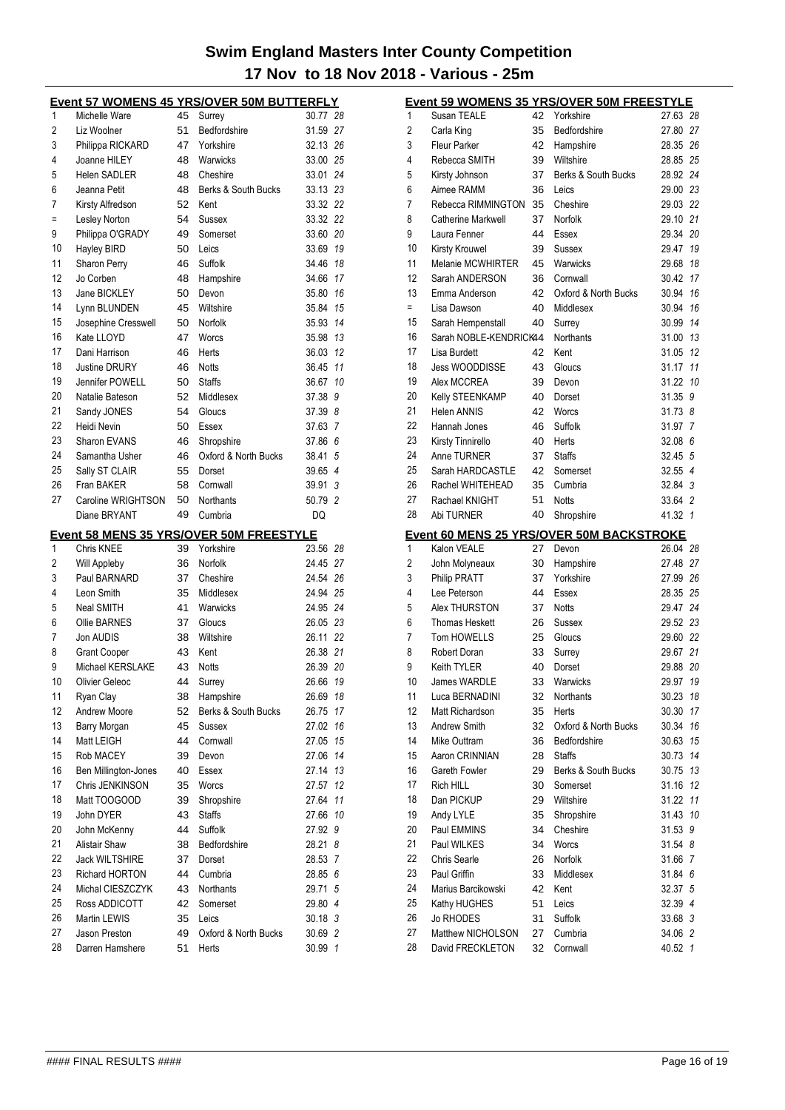| Event 57 WOMENS 45 YRS/OVER 50M BUTTERFLY |                                         |          |                                         |                      |              |  |
|-------------------------------------------|-----------------------------------------|----------|-----------------------------------------|----------------------|--------------|--|
| 1                                         | Michelle Ware                           | 45       | Surrey                                  | 30.77 28             |              |  |
| 2                                         | Liz Woolner                             | 51       | Bedfordshire                            | 31.59 27             |              |  |
| 3                                         | Philippa RICKARD                        | 47       | Yorkshire                               | 32.13 26             |              |  |
| 4                                         | Joanne HILEY                            | 48       | Warwicks                                | 33.00                | 25           |  |
| 5                                         | <b>Helen SADLER</b>                     | 48       | Cheshire                                | 33.01                | 24           |  |
| 6                                         | Jeanna Petit                            | 48       | Berks & South Bucks                     | 33.13                | 23           |  |
| 7                                         | Kirsty Alfredson                        | 52       | Kent                                    | 33.32 22             |              |  |
| $\equiv$                                  | Lesley Norton                           | 54       | Sussex                                  | 33.32                | 22           |  |
| 9                                         | Philippa O'GRADY                        | 49       | Somerset                                | 33.60                | 20           |  |
| 10                                        | Hayley BIRD                             | 50       | Leics                                   | 33.69                | 19           |  |
| 11                                        | Sharon Perry                            | 46       | Suffolk                                 | 34.46                | 18           |  |
| 12                                        | Jo Corben                               | 48       | Hampshire                               | 34.66                | 17           |  |
| 13                                        | Jane BICKLEY                            | 50       | Devon                                   | 35.80                | 16           |  |
| 14                                        | Lynn BLUNDEN                            | 45       | Wiltshire                               | 35.84                | 15           |  |
| 15                                        | Josephine Cresswell                     | 50       | Norfolk                                 | 35.93                | 14           |  |
| 16                                        | Kate LLOYD                              | 47       | Worcs                                   | 35.98                | 13           |  |
| 17                                        | Dani Harrison                           | 46       | Herts                                   | 36.03                | 12           |  |
| 18                                        | <b>Justine DRURY</b>                    | 46       | <b>Notts</b>                            | 36.45                | 11           |  |
| 19                                        | Jennifer POWELL                         | 50       | <b>Staffs</b>                           | 36.67                | 10           |  |
| 20                                        | Natalie Bateson                         | 52       | Middlesex                               | 37.38                | 9            |  |
| 21                                        | Sandy JONES                             | 54       | Gloucs                                  | 37.39                | 8            |  |
| 22                                        | Heidi Nevin                             | 50       | Essex                                   | 37.63 7              |              |  |
| 23                                        | Sharon EVANS                            | 46       | Shropshire                              | 37.86 6              |              |  |
| 24                                        | Samantha Usher                          | 46       | Oxford & North Bucks                    | 38.41                | 5            |  |
| 25                                        | Sally ST CLAIR                          | 55       | Dorset                                  | 39.65 4              |              |  |
| 26                                        | Fran BAKER                              | 58       | Cornwall                                | 39.91                | 3            |  |
| 27                                        | Caroline WRIGHTSON                      | 50       | Northants                               | 50.79 2              |              |  |
|                                           | Diane BRYANT                            | 49       | Cumbria                                 | DQ                   |              |  |
|                                           |                                         |          | Event 58 MENS 35 YRS/OVER 50M FREESTYLE |                      |              |  |
| 1                                         | Chris KNEE                              |          |                                         |                      |              |  |
|                                           |                                         | 39       | Yorkshire                               |                      | 28           |  |
| 2                                         |                                         |          | Norfolk                                 | 23.56                | 27           |  |
| 3                                         | Will Appleby<br>Paul BARNARD            | 36<br>37 | Cheshire                                | 24.45                | 26           |  |
| 4                                         | Leon Smith                              | 35       | Middlesex                               | 24.54<br>24.94       | 25           |  |
| 5                                         | Neal SMITH                              | 41       | Warwicks                                |                      |              |  |
| 6                                         | <b>Ollie BARNES</b>                     | 37       | Gloucs                                  | 24.95 24             |              |  |
| 7                                         | Jon AUDIS                               | 38       | Wiltshire                               | 26.05 23<br>26.11    | 22           |  |
| 8                                         |                                         |          |                                         |                      |              |  |
| 9                                         | <b>Grant Cooper</b><br>Michael KERSLAKE | 43<br>43 | Kent<br><b>Notts</b>                    | 26.38 21<br>26.39 20 |              |  |
|                                           |                                         |          |                                         |                      |              |  |
| 10<br>11                                  | Olivier Geleoc                          | 44       | Surrey                                  | 26.66 19             |              |  |
| 12                                        | Ryan Clay<br>Andrew Moore               | 38       | Hampshire<br>Berks & South Bucks        | 26.69                | 18<br>17     |  |
|                                           |                                         | 52<br>45 | Sussex                                  | 26.75<br>27.02       | 16           |  |
| 13<br>14                                  | Barry Morgan<br>Matt LEIGH              | 44       | Cornwall                                | 27.05                | 15           |  |
| 15                                        | Rob MACEY                               | 39       | Devon                                   | 27.06                | 14           |  |
|                                           |                                         |          |                                         |                      |              |  |
| 16<br>17                                  | Ben Millington-Jones                    | 40       | Essex<br>Worcs                          | 27.14                | 13           |  |
| 18                                        | Chris JENKINSON                         | 35       |                                         | 27.57                | 12<br>11     |  |
| 19                                        | Matt TOOGOOD<br>John DYER               | 39       | Shropshire<br><b>Staffs</b>             | 27.64                | 10           |  |
|                                           |                                         | 43       |                                         | 27.66                |              |  |
| 20                                        | John McKenny<br><b>Alistair Shaw</b>    | 44<br>38 | Suffolk<br>Bedfordshire                 | 27.92<br>28.21       | 9<br>8       |  |
| 21                                        | Jack WILTSHIRE                          | 37       | Dorset                                  | 28.53                | 7            |  |
| 22                                        | Richard HORTON                          | 44       | Cumbria                                 | 28.85 6              |              |  |
| 23                                        | Michal CIESZCZYK                        | 43       | Northants                               | 29.71                | 5            |  |
| 24<br>25                                  | Ross ADDICOTT                           | 42       | Somerset                                |                      |              |  |
| 26                                        | Martin LEWIS                            |          | Leics                                   | 29.80 4              |              |  |
| 27                                        | Jason Preston                           | 35<br>49 | Oxford & North Bucks                    | $30.18$ 3<br>30.69   | 2            |  |
| 28                                        | Darren Hamshere                         | 51       | Herts                                   | 30.99                | $\mathbf{1}$ |  |

| <b>Event 59 WOMENS 35 YRS/OVER 50M FREESTYLE</b> |                                       |          |                                                          |                    |  |  |  |
|--------------------------------------------------|---------------------------------------|----------|----------------------------------------------------------|--------------------|--|--|--|
| 1                                                | Susan TEALE                           | 42       | Yorkshire                                                | 27.63 28           |  |  |  |
| 2                                                | Carla King                            | 35       | Bedfordshire                                             | 27.80 27           |  |  |  |
| 3                                                | <b>Fleur Parker</b>                   | 42       | Hampshire                                                | 28.35 26           |  |  |  |
| 4                                                | Rebecca SMITH                         | 39       | Wiltshire                                                | 28.85 25           |  |  |  |
| 5                                                | Kirsty Johnson                        | 37       | Berks & South Bucks                                      | 28.92 24           |  |  |  |
| 6                                                | Aimee RAMM                            | 36       | Leics                                                    | 29.00 23           |  |  |  |
| 7                                                | Rebecca RIMMINGTON                    | 35       | Cheshire                                                 | 29.03 22           |  |  |  |
| 8                                                | Catherine Markwell                    | 37       | Norfolk                                                  | 29.10 21           |  |  |  |
| 9                                                | Laura Fenner                          | 44       | Essex                                                    | 29.34 20           |  |  |  |
| 10                                               | Kirsty Krouwel                        | 39       | Sussex                                                   | 29.47<br>19        |  |  |  |
| 11                                               | Melanie MCWHIRTER                     | 45       | Warwicks                                                 | 29.68<br>18        |  |  |  |
| 12                                               | Sarah ANDERSON                        | 36       | Cornwall                                                 | 17<br>30.42        |  |  |  |
| 13                                               | Emma Anderson                         | 42       | Oxford & North Bucks                                     | 30.94<br>16        |  |  |  |
| $=$                                              | Lisa Dawson                           | 40       | Middlesex                                                | 30.94<br>16        |  |  |  |
| 15                                               | Sarah Hempenstall                     | 40       | Surrey                                                   | 30.99<br>14        |  |  |  |
| 16                                               | Sarah NOBLE-KENDRICK44                |          | Northants                                                | 13<br>31.00        |  |  |  |
| 17                                               | Lisa Burdett                          | 42       | Kent                                                     | 31.05<br>12        |  |  |  |
| 18                                               | <b>Jess WOODDISSE</b>                 | 43       | Gloucs                                                   | 31.17<br>11        |  |  |  |
| 19                                               | Alex MCCREA                           | 39       | Devon                                                    | 31.22<br>10        |  |  |  |
| 20                                               | Kelly STEENKAMP                       | 40       | Dorset                                                   | 31.35 9            |  |  |  |
| 21                                               | Helen ANNIS                           | 42       | Worcs                                                    | 31.73.8            |  |  |  |
| 22                                               | Hannah Jones                          | 46       | Suffolk                                                  | 31.97 7            |  |  |  |
| 23                                               | Kirsty Tinnirello                     | 40       | Herts                                                    | 32.08 6            |  |  |  |
| 24                                               | Anne TURNER                           | 37       | <b>Staffs</b>                                            | 32.45 5            |  |  |  |
| 25                                               | Sarah HARDCASTLE                      | 42       | Somerset                                                 | 32.55 4            |  |  |  |
| 26                                               | Rachel WHITEHEAD                      | 35       | Cumbria                                                  | 32.84 3            |  |  |  |
| 27                                               | Rachael KNIGHT                        | 51       | <b>Notts</b>                                             | 33.64 2            |  |  |  |
| 28                                               | Abi TURNER                            | 40       | Shropshire                                               | 41.32 1            |  |  |  |
|                                                  |                                       |          |                                                          |                    |  |  |  |
| 1                                                | Kalon VEALE                           | 27       | <u>Event 60 MENS 25 YRS/OVER 50M BACKSTROKE</u><br>Devon | 26.04 28           |  |  |  |
|                                                  |                                       |          |                                                          |                    |  |  |  |
|                                                  |                                       |          |                                                          |                    |  |  |  |
| 2                                                | John Molyneaux                        | 30       | Hampshire                                                | 27.48 27           |  |  |  |
| 3                                                | <b>Philip PRATT</b>                   | 37       | Yorkshire                                                | 27.99 26           |  |  |  |
| 4                                                | Lee Peterson                          | 44       | Essex                                                    | 28.35 25           |  |  |  |
| 5                                                | Alex THURSTON                         | 37       | Notts                                                    | 29.47 24           |  |  |  |
| 6                                                | Thomas Heskett                        | 26       | Sussex                                                   | 29.52 23           |  |  |  |
| 7                                                | Tom HOWELLS                           | 25       | Gloucs                                                   | 29.60 22           |  |  |  |
| 8                                                | Robert Doran                          | 33       | Surrey                                                   | 29.67 21           |  |  |  |
| 9                                                | Keith TYLER                           | 40       | Dorset                                                   | 29.88 20           |  |  |  |
| 10                                               | James WARDLE                          |          | 33 Warwicks                                              | 29.97 19           |  |  |  |
| 11                                               | Luca BERNADINI                        | 32       | Northants                                                | 30.23 18           |  |  |  |
| 12                                               | Matt Richardson                       | 35       | Herts                                                    | 30.30<br>17        |  |  |  |
| 13                                               | Andrew Smith                          | 32       | Oxford & North Bucks                                     | 30.34<br>16        |  |  |  |
| 14                                               | Mike Outtram                          | 36       | Bedfordshire                                             | 15<br>30.63        |  |  |  |
| 15                                               | Aaron CRINNIAN                        | 28       | <b>Staffs</b>                                            | 30.73<br>14        |  |  |  |
| 16                                               | Gareth Fowler                         | 29       | Berks & South Bucks                                      | 30.75 13           |  |  |  |
| 17                                               | Rich HILL                             | 30       | Somerset                                                 | 31.16<br>12        |  |  |  |
| 18                                               | Dan PICKUP                            | 29       | Wiltshire                                                | 31.22<br>11        |  |  |  |
| 19                                               | Andy LYLE                             | 35       | Shropshire                                               | 31.43 10           |  |  |  |
| 20                                               | Paul EMMINS                           | 34       | Cheshire                                                 | 31.53 9            |  |  |  |
| 21                                               | Paul WILKES                           | 34       | Worcs                                                    | 31.54 8            |  |  |  |
| 22                                               | <b>Chris Searle</b>                   | 26       | Norfolk                                                  | 31.66 7            |  |  |  |
| 23                                               | Paul Griffin                          | 33       | Middlesex                                                | 31.84 6            |  |  |  |
| 24                                               | Marius Barcikowski                    | 42       | Kent                                                     | 32.37 5            |  |  |  |
| 25                                               | Kathy HUGHES                          | 51       | Leics                                                    | 32.39 4            |  |  |  |
| 26                                               | <b>Jo RHODES</b>                      | 31       | Suffolk                                                  | 33.68 3            |  |  |  |
| 27<br>28                                         | Matthew NICHOLSON<br>David FRECKLETON | 27<br>32 | Cumbria<br>Cornwall                                      | 34.06 2<br>40.52 1 |  |  |  |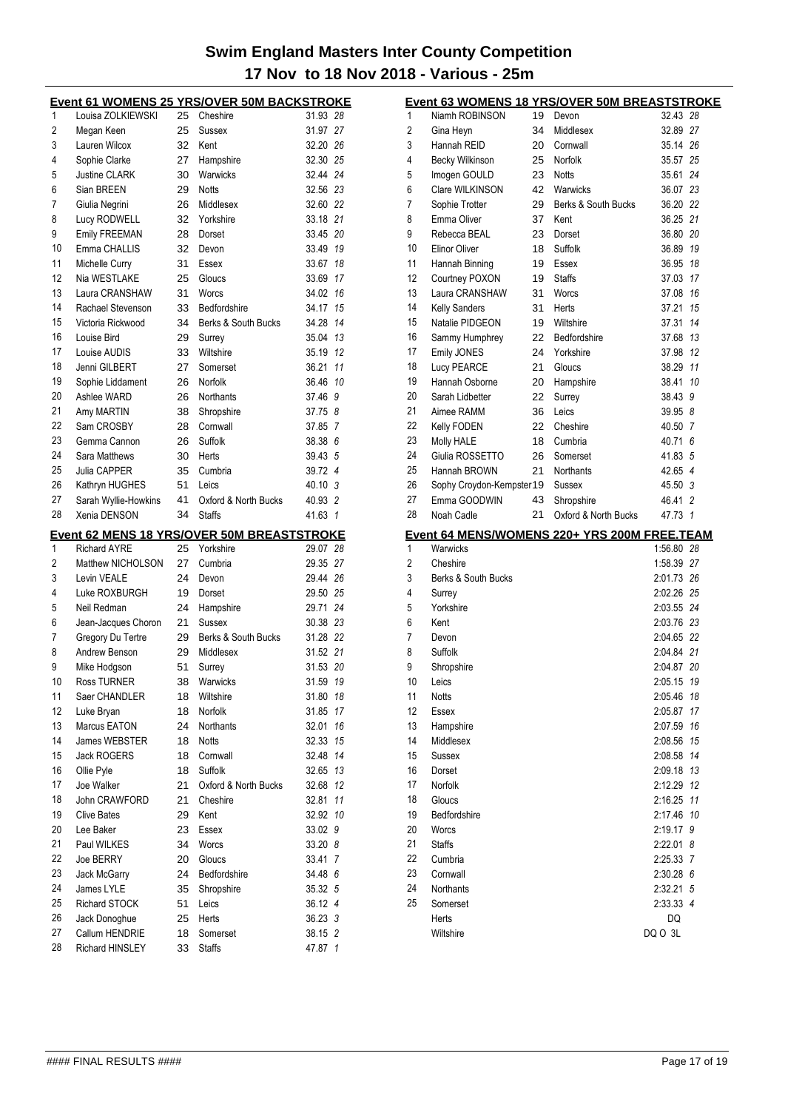| <u>Event 61 WOMENS 25 YRS/OVER 50M BACKSTROKE</u> |                                    |          |                                                         |                      |    |  |
|---------------------------------------------------|------------------------------------|----------|---------------------------------------------------------|----------------------|----|--|
| 1                                                 | Louisa ZOLKIEWSKI                  | 25       | Cheshire                                                | 31.93 28             |    |  |
| 2                                                 | Megan Keen                         | 25       | Sussex                                                  | 31.97 27             |    |  |
| 3                                                 | Lauren Wilcox                      | 32       | Kent                                                    | 32.20 26             |    |  |
| 4                                                 | Sophie Clarke                      | 27       | Hampshire                                               | 32.30 25             |    |  |
| 5                                                 | <b>Justine CLARK</b>               | 30       | Warwicks                                                | 32.44 24             |    |  |
| 6                                                 | Sian BREEN                         | 29       | <b>Notts</b>                                            | 32.56 23             |    |  |
| 7                                                 | Giulia Negrini                     | 26       | Middlesex                                               | 32.60 22             |    |  |
| 8                                                 | Lucy RODWELL                       | 32       | Yorkshire                                               | 33.18 21             |    |  |
| 9                                                 | Emily FREEMAN                      | 28       | Dorset                                                  | 33.45 20             |    |  |
| 10                                                | Emma CHALLIS                       | 32       | Devon                                                   | 33.49 19             |    |  |
| 11                                                | Michelle Curry                     | 31       | Essex                                                   | 33.67 18             |    |  |
| 12                                                | Nia WESTLAKE                       | 25       | Gloucs                                                  | 33.69 17             |    |  |
| 13                                                | Laura CRANSHAW                     | 31       | Worcs                                                   | 34.02 16             |    |  |
| 14                                                | Rachael Stevenson                  | 33       | Bedfordshire                                            | 34.17 15             |    |  |
| 15                                                | Victoria Rickwood                  | 34       | Berks & South Bucks                                     | 34.28 14             |    |  |
| 16                                                | Louise Bird                        | 29       | Surrey                                                  | 35.04 13             |    |  |
| 17                                                | Louise AUDIS                       | 33       | Wiltshire                                               | 35.19 12             |    |  |
| 18                                                | Jenni GILBERT                      | 27       | Somerset                                                | 36.21 11             |    |  |
| 19                                                | Sophie Liddament                   | 26       | Norfolk                                                 | 36.46 10             |    |  |
| 20                                                | Ashlee WARD                        | 26       | Northants                                               | 37.46 9              |    |  |
| 21                                                | Amy MARTIN                         | 38       | Shropshire                                              | 37.75 8              |    |  |
| 22                                                | Sam CROSBY                         | 28       | Cornwall                                                | 37.85 7              |    |  |
| 23                                                | Gemma Cannon                       | 26       | <b>Suffolk</b>                                          | 38.38 6              |    |  |
| 24                                                | Sara Matthews                      | 30       | Herts                                                   | 39.43 5              |    |  |
| 25                                                | Julia CAPPER                       | 35       | Cumbria                                                 | 39.72 4              |    |  |
| 26                                                | Kathryn HUGHES                     | 51       | Leics                                                   | 40.10 3              |    |  |
| 27                                                | Sarah Wyllie-Howkins               | 41       | Oxford & North Bucks                                    | 40.93 2              |    |  |
| 28                                                | Xenia DENSON                       | 34       | <b>Staffs</b>                                           | 41.63 1              |    |  |
|                                                   |                                    |          |                                                         |                      |    |  |
|                                                   |                                    |          |                                                         |                      |    |  |
| 1                                                 | <b>Richard AYRE</b>                | 25       | Event 62 MENS 18 YRS/OVER 50M BREASTSTROKE<br>Yorkshire | 29.07 28             |    |  |
| 2                                                 | Matthew NICHOLSON                  | 27       | Cumbria                                                 | 29.35 27             |    |  |
| 3                                                 | Levin VEALE                        | 24       | Devon                                                   | 29.44 26             |    |  |
| 4                                                 | Luke ROXBURGH                      | 19       | Dorset                                                  | 29.50 25             |    |  |
| 5                                                 | Neil Redman                        | 24       |                                                         | 29.71 24             |    |  |
| 6                                                 |                                    | 21       | Hampshire<br>Sussex                                     |                      |    |  |
| 7                                                 | Jean-Jacques Choron                | 29       | Berks & South Bucks                                     | 30.38 23             |    |  |
| 8                                                 | Gregory Du Tertre<br>Andrew Benson | 29       | Middlesex                                               | 31.28 22             |    |  |
| 9                                                 |                                    | 51       | Surrey                                                  | 31.52 21<br>31.53 20 |    |  |
| 10                                                | Mike Hodgson<br>Ross TURNER        | 38       | Warwicks                                                | 31.59 19             |    |  |
| 11                                                | Saer CHANDLER                      | 18       | Wiltshire                                               | 31.80 18             |    |  |
| 12                                                | Luke Bryan                         | 18       | Norfolk                                                 | 31.85                | 17 |  |
| 13                                                | Marcus EATON                       | 24       | <b>Northants</b>                                        | 32.01                | 16 |  |
| 14                                                | James WEBSTER                      | 18       | <b>Notts</b>                                            | 32.33 15             |    |  |
| 15                                                | <b>Jack ROGERS</b>                 |          | Cornwall                                                |                      |    |  |
| 16                                                | Ollie Pyle                         | 18<br>18 | Suffolk                                                 | 32.48 14             |    |  |
| 17                                                | Joe Walker                         | 21       | Oxford & North Bucks                                    | 32.65 13<br>32.68    | 12 |  |
| 18                                                | John CRAWFORD                      | 21       | Cheshire                                                | 32.81                | 11 |  |
| 19                                                | <b>Clive Bates</b>                 | 29       | Kent                                                    |                      |    |  |
|                                                   | Lee Baker                          | 23       | Essex                                                   | 32.92 10             |    |  |
| 20<br>21                                          | Paul WILKES                        | 34       | Worcs                                                   | 33.02 9<br>33.20 8   |    |  |
|                                                   | Joe BERRY                          | 20       |                                                         | 33.41 7              |    |  |
| 22                                                | Jack McGarry                       | 24       | Gloucs<br>Bedfordshire                                  | 34.48 6              |    |  |
| 23                                                | James LYLE                         | 35       | Shropshire                                              | 35.32 5              |    |  |
| 24<br>25                                          | <b>Richard STOCK</b>               | 51       | Leics                                                   | 36.12 4              |    |  |
| 26                                                |                                    |          | Herts                                                   |                      |    |  |
| 27                                                | Jack Donoghue<br>Callum HENDRIE    | 25<br>18 | Somerset                                                | 36.23 3<br>38.15 2   |    |  |
| 28                                                | Richard HINSLEY                    | 33       | <b>Staffs</b>                                           | 47.87 1              |    |  |

|    | <b>Event 63 WOMENS 18 YRS/OVER 50M BREASTSTROKE</b> |    |                      |               |    |
|----|-----------------------------------------------------|----|----------------------|---------------|----|
| 1  | Niamh ROBINSON                                      | 19 | Devon                | 32.43 28      |    |
| 2  | Gina Heyn                                           | 34 | Middlesex            | 32.89 27      |    |
| 3  | Hannah REID                                         | 20 | Cornwall             | 35.14 26      |    |
| 4  | Becky Wilkinson                                     | 25 | Norfolk              | 35.57         | 25 |
| 5  | Imogen GOULD                                        | 23 | <b>Notts</b>         | 35.61 24      |    |
| 6  | Clare WILKINSON                                     | 42 | Warwicks             | 36.07 23      |    |
| 7  | Sophie Trotter                                      | 29 | Berks & South Bucks  | 36.20 22      |    |
| 8  | Emma Oliver                                         | 37 | Kent                 | 36.25 21      |    |
| 9  | Rebecca BEAL                                        | 23 | Dorset               | 36.80 20      |    |
| 10 | <b>Elinor Oliver</b>                                | 18 | Suffolk              | 36.89         | 19 |
| 11 | Hannah Binning                                      | 19 | Essex                | 36.95         | 18 |
| 12 | Courtney POXON                                      | 19 | <b>Staffs</b>        | 37.03         | 17 |
| 13 | Laura CRANSHAW                                      | 31 | Worcs                | 37.08         | 16 |
| 14 | <b>Kelly Sanders</b>                                | 31 | Herts                | 37.21         | 15 |
| 15 | Natalie PIDGEON                                     | 19 | Wiltshire            | 37.31         | 14 |
| 16 | Sammy Humphrey                                      | 22 | Bedfordshire         | 37.68 13      |    |
| 17 | Emily JONES                                         | 24 | Yorkshire            | 37.98         | 12 |
| 18 | Lucy PEARCE                                         | 21 | Gloucs               | 38.29         | 11 |
| 19 | Hannah Osborne                                      | 20 | Hampshire            | 38.41         | 10 |
| 20 | Sarah Lidbetter                                     | 22 | Surrey               | 38.43 9       |    |
| 21 | Aimee RAMM                                          | 36 | Leics                | 39.95 8       |    |
| 22 | Kelly FODEN                                         | 22 | Cheshire             | 40.50 7       |    |
| 23 | Molly HALE                                          | 18 | Cumbria              | 40.71 6       |    |
| 24 | Giulia ROSSETTO                                     | 26 | Somerset             | 41.83 5       |    |
| 25 | Hannah BROWN                                        | 21 | Northants            | 42.65 4       |    |
| 26 | Sophy Croydon-Kempster 19                           |    | Sussex               | 45.50 3       |    |
| 27 | Emma GOODWIN                                        | 43 | Shropshire           | 46.41 2       |    |
|    |                                                     |    |                      |               |    |
| 28 | Noah Cadle                                          | 21 | Oxford & North Bucks | 47.73 1       |    |
|    | Event 64 MENS/WOMENS 220+ YRS 200M FREE.TEAM        |    |                      |               |    |
| 1  | Warwicks                                            |    |                      | 1:56.80 28    |    |
| 2  | Cheshire                                            |    |                      | 1:58.39 27    |    |
| 3  | Berks & South Bucks                                 |    |                      | 2:01.73 26    |    |
| 4  | Surrey                                              |    |                      | 2:02.26 25    |    |
| 5  | Yorkshire                                           |    |                      | 2:03.55 24    |    |
| 6  | Kent                                                |    |                      | 2:03.76 23    |    |
| 7  | Devon                                               |    |                      | 2:04.65 22    |    |
| 8  | Suffolk                                             |    |                      | 2:04.84 21    |    |
| 9  | Shropshire                                          |    |                      | 2:04.87 20    |    |
| 10 | Leics                                               |    |                      | 2:05.15 19    |    |
| 11 | Notts                                               |    |                      | 2:05.46 18    |    |
| 12 | Essex                                               |    |                      | 2:05.87       | 17 |
| 13 | Hampshire                                           |    |                      | 2:07.59       | 16 |
| 14 | Middlesex                                           |    |                      | 2:08.56       | 15 |
| 15 | Sussex                                              |    |                      | 2:08.58       | 14 |
| 16 | Dorset                                              |    |                      | 2:09.18 13    |    |
| 17 | Norfolk                                             |    |                      | 2:12.29       | 12 |
| 18 | Gloucs                                              |    |                      | 2:16.25       | 11 |
| 19 | Bedfordshire                                        |    |                      | 2:17.46       | 10 |
| 20 | Worcs                                               |    |                      | 2:19.17       | 9  |
| 21 | <b>Staffs</b>                                       |    |                      | 2:22.01 8     |    |
| 22 | Cumbria                                             |    |                      | 2:25.33 7     |    |
| 23 | Cornwall                                            |    |                      | 2:30.28 6     |    |
| 24 | Northants                                           |    |                      | 2:32.21       | 5  |
| 25 | Somerset                                            |    |                      | 2:33.33 4     |    |
|    | Herts<br>Wiltshire                                  |    |                      | DQ<br>DQ O 3L |    |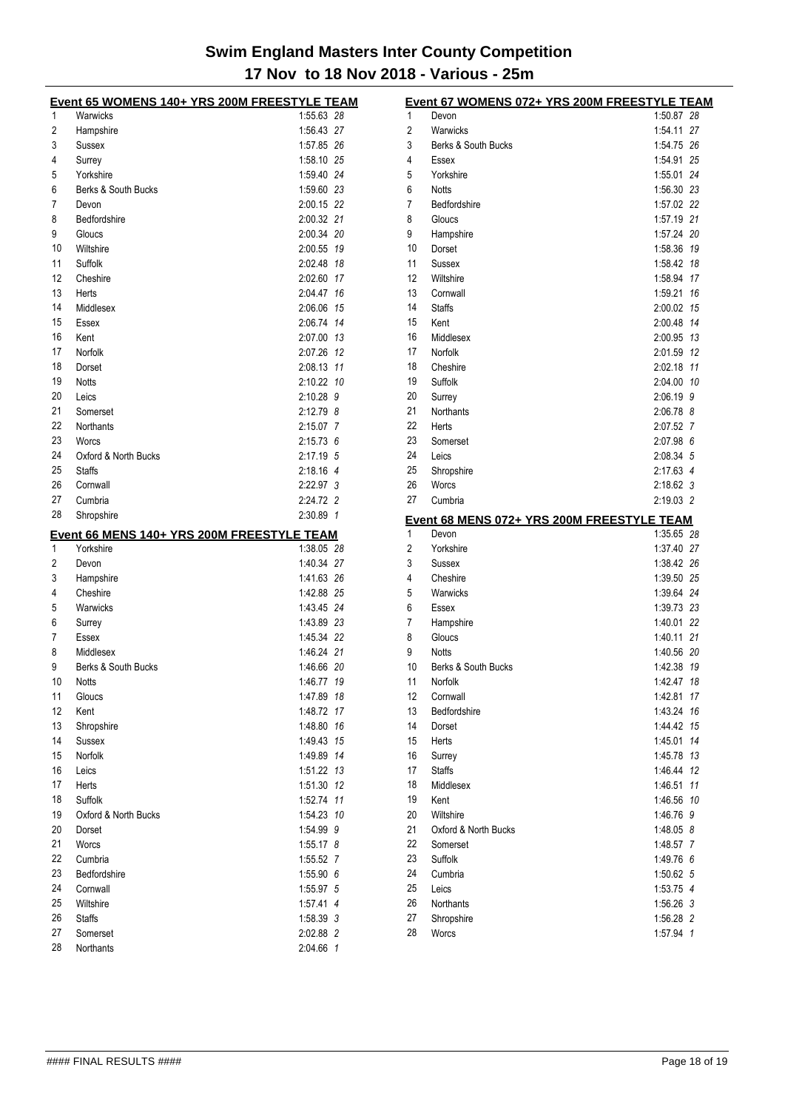|          | Event 65 WOMENS 140+ YRS 200M FREESTYLE TEAM |                          |              | Event 67 WOMENS 072+ YRS 200M FREESTYLE TEAM |                          |  |
|----------|----------------------------------------------|--------------------------|--------------|----------------------------------------------|--------------------------|--|
| 1        | Warwicks                                     | 1:55.63 28               |              | Devon                                        | 1:50.87 28               |  |
| 2        | Hampshire                                    | 1:56.43 27               | 2            | Warwicks                                     | 1:54.11 27               |  |
| 3        | Sussex                                       | 1:57.85 26               | 3            | Berks & South Bucks                          | 1:54.75 26               |  |
| 4        | Surrey                                       | 1:58.10 25               | 4            | Essex                                        | 1:54.91 25               |  |
| 5        | Yorkshire                                    | 1:59.40 24               | 5            | Yorkshire                                    | 1:55.01 24               |  |
| 6        | Berks & South Bucks                          | 1:59.60 23               | 6            | <b>Notts</b>                                 | 1:56.30 23               |  |
| 7        | Devon                                        | 2:00.15 22               | 7            | Bedfordshire                                 | 1:57.02 22               |  |
| 8        | Bedfordshire                                 | 2:00.32 21               | 8            | Gloucs                                       | 1:57.19 21               |  |
| 9        | Gloucs                                       | 2:00.34 20               | 9            | Hampshire                                    | 1:57.24 20               |  |
| 10       | Wiltshire                                    | 2:00.55 19               | 10           | Dorset                                       | 1:58.36 19               |  |
| 11       | Suffolk                                      | 2:02.48 18               | 11           | Sussex                                       | 1:58.42 18               |  |
| 12       | Cheshire                                     | 2:02.60 17               | 12           | Wiltshire                                    | 1:58.94 17               |  |
| 13<br>14 | Herts                                        | 2:04.47 16<br>2:06.06 15 | 13<br>14     | Cornwall                                     | 1:59.21 16<br>2:00.02 15 |  |
| 15       | Middlesex<br>Essex                           | 2:06.74 14               | 15           | <b>Staffs</b><br>Kent                        | 2:00.48 14               |  |
| 16       | Kent                                         | 2:07.00 13               | 16           | Middlesex                                    | 2:00.95 13               |  |
| 17       | Norfolk                                      | 2:07.26 12               | 17           | Norfolk                                      | 2:01.59 12               |  |
| 18       | Dorset                                       | 2:08.13 11               | 18           | Cheshire                                     | 2:02.18 11               |  |
| 19       | <b>Notts</b>                                 | 2:10.22 10               | 19           | Suffolk                                      | 2:04.00 10               |  |
| 20       | Leics                                        | 2:10.28 9                | 20           | Surrey                                       | 2:06.19 9                |  |
| 21       | Somerset                                     | $2:12.79$ 8              | 21           | Northants                                    | 2:06.78 8                |  |
| 22       | Northants                                    | $2:15.07$ 7              | 22           | Herts                                        | 2:07.52 7                |  |
| 23       | Worcs                                        | $2:15.73$ 6              | 23           | Somerset                                     | 2:07.98 6                |  |
| 24       | Oxford & North Bucks                         | 2:17.19 5                | 24           | Leics                                        | 2:08.34 5                |  |
| 25       | <b>Staffs</b>                                | 2:18.16 4                | 25           | Shropshire                                   | 2:17.63 4                |  |
| 26       | Cornwall                                     | 2:22.97 3                | 26           | Worcs                                        | 2:18.62 3                |  |
| 27       | Cumbria                                      | 2:24.72 2                | 27           | Cumbria                                      | 2:19.03 2                |  |
| 28       | Shropshire                                   | 2:30.89 1                |              | Event 68 MENS 072+ YRS 200M FREESTYLE TEAM   |                          |  |
|          | Event 66 MENS 140+ YRS 200M FREESTYLE TEAM   |                          | $\mathbf{1}$ | Devon                                        | 1:35.65 28               |  |
| 1        | Yorkshire                                    | 1:38.05 28               | 2            | Yorkshire                                    | 1:37.40 27               |  |
| 2        | Devon                                        | 1:40.34 27               | 3            | Sussex                                       | 1:38.42 26               |  |
| 3        | Hampshire                                    | 1:41.63 26               | 4            | Cheshire                                     | 1:39.50 25               |  |
| 4        | Cheshire                                     | 1:42.88 25               | 5            | Warwicks                                     | 1:39.64 24               |  |
| 5        | Warwicks                                     | 1:43.45 24               | 6            | Essex                                        | 1:39.73 23               |  |
| 6        | Surrey                                       | 1:43.89 23               | 7            | Hampshire                                    | 1:40.01 22               |  |
| 7        | Essex                                        | 1:45.34 22               | 8            | Gloucs                                       | 1:40.11 21               |  |
| 8        | Middlesex                                    | 1:46.24 21               | 9            | <b>Notts</b>                                 | 1:40.56 20               |  |
| 9        | Berks & South Bucks                          | 1:46.66 20               | 10           | Berks & South Bucks                          | 1:42.38 19               |  |
| 10       | Notts                                        | 1:46.77 19               | 11           | Norfolk                                      | 1:42.47 18               |  |
| 11       | Gloucs                                       | 1:47.89 18               | 12           | Cornwall                                     | 1:42.81 17               |  |
| 12       | Kent                                         | 1:48.72 17               | 13           | Bedfordshire                                 | 1:43.24 16               |  |
| 13       | Shropshire                                   | 1:48.80 16               | 14           | Dorset                                       | 1:44.42 15               |  |
| 14       | Sussex                                       | 1:49.43 15               | 15           | Herts                                        | 1:45.01 14               |  |
| 15       | Norfolk                                      | 1:49.89 14               | 16           | Surrey                                       | 1:45.78 13               |  |
| 16       | Leics                                        | 1:51.22 13               | 17           | <b>Staffs</b>                                | 1:46.44 12               |  |
| 17       | Herts                                        | 1:51.30 12               | 18           | Middlesex                                    | 1:46.51 11               |  |
| 18       | Suffolk                                      | 1:52.74 11               | 19           | Kent                                         | 1:46.56 10               |  |
| 19       | Oxford & North Bucks                         | 1:54.23 10               | 20           | Wiltshire                                    | 1:46.76 9                |  |
| 20       | Dorset                                       | 1:54.99 9<br>$1:55.17$ 8 | 21           | Oxford & North Bucks                         | 1:48.05 8<br>1:48.57 7   |  |
| 21<br>22 | Worcs                                        | 1:55.52 7                | 22<br>23     | Somerset<br>Suffolk                          | 1:49.76 6                |  |
| 23       | Cumbria<br>Bedfordshire                      | 1:55.90 6                | 24           | Cumbria                                      | 1:50.62 5                |  |
| 24       | Cornwall                                     | 1:55.97 5                | 25           | Leics                                        | 1:53.75 4                |  |
| 25       | Wiltshire                                    | 1:57.41 4                | 26           | Northants                                    | 1:56.26 3                |  |
| 26       | Staffs                                       | 1:58.39 3                | 27           | Shropshire                                   | 1:56.28 2                |  |
| 27       | Somerset                                     | 2:02.88 2                | 28           | Worcs                                        | 1:57.94 1                |  |
| 28       | Northants                                    | 2:04.66 1                |              |                                              |                          |  |
|          |                                              |                          |              |                                              |                          |  |